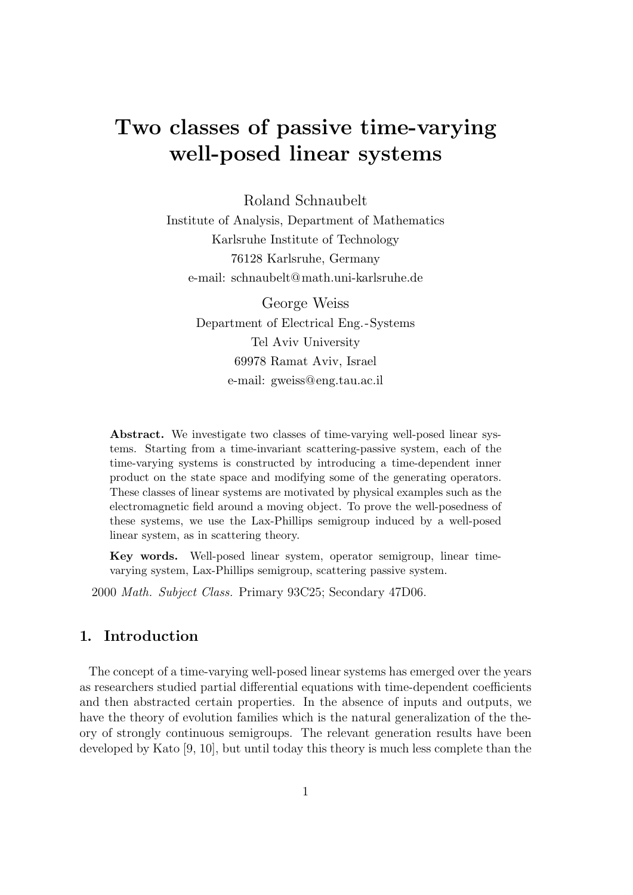# Two classes of passive time-varying well-posed linear systems

Roland Schnaubelt

Institute of Analysis, Department of Mathematics Karlsruhe Institute of Technology 76128 Karlsruhe, Germany e-mail: schnaubelt@math.uni-karlsruhe.de

> George Weiss Department of Electrical Eng.-Systems Tel Aviv University 69978 Ramat Aviv, Israel e-mail: gweiss@eng.tau.ac.il

Abstract. We investigate two classes of time-varying well-posed linear systems. Starting from a time-invariant scattering-passive system, each of the time-varying systems is constructed by introducing a time-dependent inner product on the state space and modifying some of the generating operators. These classes of linear systems are motivated by physical examples such as the electromagnetic field around a moving object. To prove the well-posedness of these systems, we use the Lax-Phillips semigroup induced by a well-posed linear system, as in scattering theory.

Key words. Well-posed linear system, operator semigroup, linear timevarying system, Lax-Phillips semigroup, scattering passive system.

2000 Math. Subject Class. Primary 93C25; Secondary 47D06.

### 1. Introduction

The concept of a time-varying well-posed linear systems has emerged over the years as researchers studied partial differential equations with time-dependent coefficients and then abstracted certain properties. In the absence of inputs and outputs, we have the theory of evolution families which is the natural generalization of the theory of strongly continuous semigroups. The relevant generation results have been developed by Kato [9, 10], but until today this theory is much less complete than the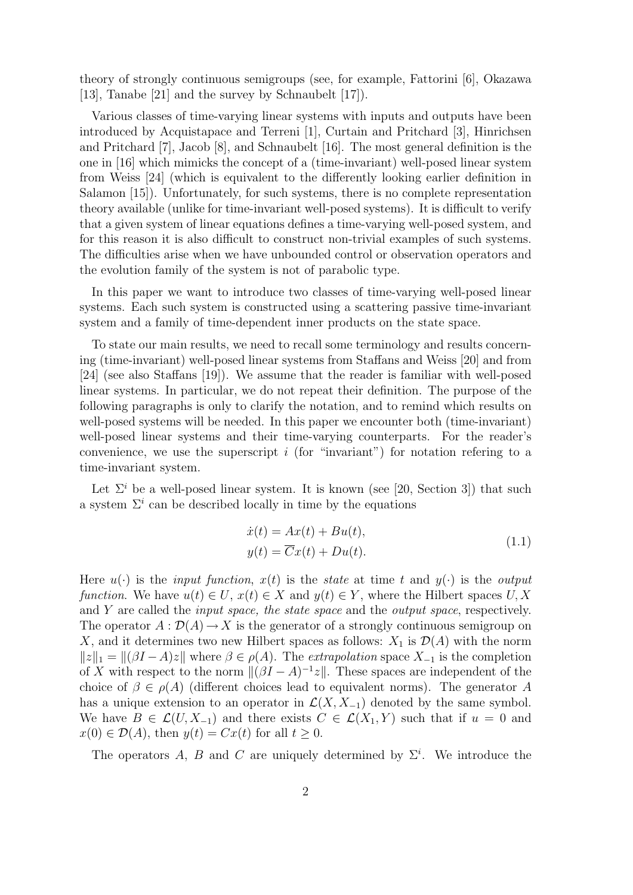theory of strongly continuous semigroups (see, for example, Fattorini [6], Okazawa [13], Tanabe [21] and the survey by Schnaubelt [17]).

Various classes of time-varying linear systems with inputs and outputs have been introduced by Acquistapace and Terreni [1], Curtain and Pritchard [3], Hinrichsen and Pritchard [7], Jacob [8], and Schnaubelt [16]. The most general definition is the one in [16] which mimicks the concept of a (time-invariant) well-posed linear system from Weiss [24] (which is equivalent to the differently looking earlier definition in Salamon [15]). Unfortunately, for such systems, there is no complete representation theory available (unlike for time-invariant well-posed systems). It is difficult to verify that a given system of linear equations defines a time-varying well-posed system, and for this reason it is also difficult to construct non-trivial examples of such systems. The difficulties arise when we have unbounded control or observation operators and the evolution family of the system is not of parabolic type.

In this paper we want to introduce two classes of time-varying well-posed linear systems. Each such system is constructed using a scattering passive time-invariant system and a family of time-dependent inner products on the state space.

To state our main results, we need to recall some terminology and results concerning (time-invariant) well-posed linear systems from Staffans and Weiss [20] and from [24] (see also Staffans [19]). We assume that the reader is familiar with well-posed linear systems. In particular, we do not repeat their definition. The purpose of the following paragraphs is only to clarify the notation, and to remind which results on well-posed systems will be needed. In this paper we encounter both (time-invariant) well-posed linear systems and their time-varying counterparts. For the reader's convenience, we use the superscript  $i$  (for "invariant") for notation refering to a time-invariant system.

Let  $\Sigma^i$  be a well-posed linear system. It is known (see [20, Section 3]) that such a system  $\Sigma^i$  can be described locally in time by the equations

$$
\begin{aligned} \dot{x}(t) &= Ax(t) + Bu(t), \\ y(t) &= \overline{C}x(t) + Du(t). \end{aligned} \tag{1.1}
$$

Here  $u(\cdot)$  is the *input function,*  $x(t)$  is the *state* at time t and  $y(\cdot)$  is the *output* function. We have  $u(t) \in U$ ,  $x(t) \in X$  and  $y(t) \in Y$ , where the Hilbert spaces U, X and Y are called the input space, the state space and the output space, respectively. The operator  $A: \mathcal{D}(A) \to X$  is the generator of a strongly continuous semigroup on X, and it determines two new Hilbert spaces as follows:  $X_1$  is  $\mathcal{D}(A)$  with the norm  $||z||_1 = ||(\beta I - A)z||$  where  $\beta \in \rho(A)$ . The extrapolation space  $X_{-1}$  is the completion of X with respect to the norm  $\|(\beta I - A)^{-1}z\|$ . These spaces are independent of the choice of  $\beta \in \rho(A)$  (different choices lead to equivalent norms). The generator A has a unique extension to an operator in  $\mathcal{L}(X, X_{-1})$  denoted by the same symbol. We have  $B \in \mathcal{L}(U, X_{-1})$  and there exists  $C \in \mathcal{L}(X_1, Y)$  such that if  $u = 0$  and  $x(0) \in \mathcal{D}(A)$ , then  $y(t) = Cx(t)$  for all  $t \geq 0$ .

The operators A, B and C are uniquely determined by  $\Sigma^i$ . We introduce the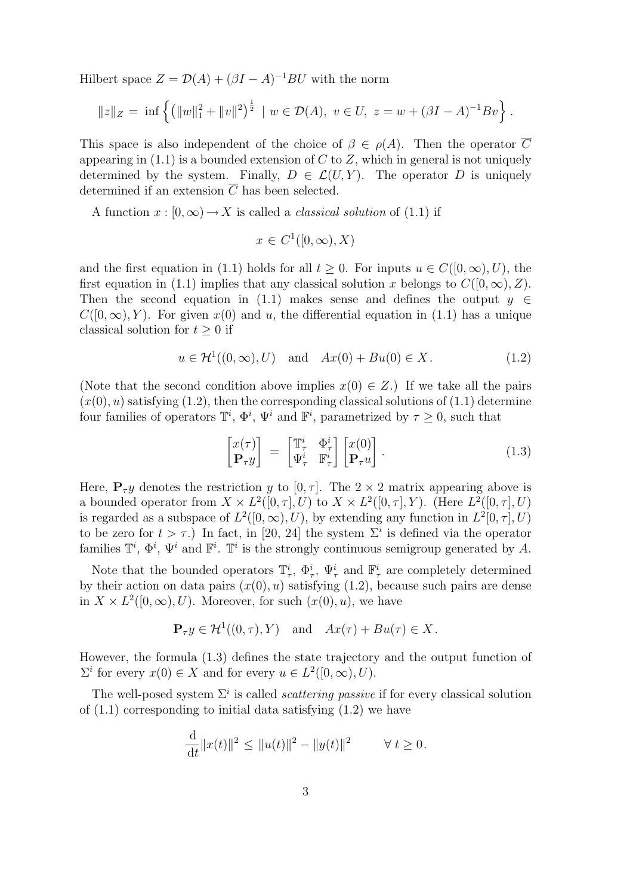Hilbert space  $Z = \mathcal{D}(A) + (\beta I - A)^{-1}BU$  with the norm

$$
||z||_Z = \inf \left\{ \left( ||w||_1^2 + ||v||^2 \right)^{\frac{1}{2}} \mid w \in \mathcal{D}(A), \ v \in U, \ z = w + (\beta I - A)^{-1} Bv \right\}.
$$

This space is also independent of the choice of  $\beta \in \rho(A)$ . Then the operator C appearing in  $(1.1)$  is a bounded extension of C to Z, which in general is not uniquely determined by the system. Finally,  $D \in \mathcal{L}(U, Y)$ . The operator D is uniquely determined if an extension  $\overline{C}$  has been selected.

A function  $x : [0, \infty) \to X$  is called a *classical solution* of (1.1) if

$$
x \in C^1([0,\infty), X)
$$

and the first equation in (1.1) holds for all  $t \geq 0$ . For inputs  $u \in C([0,\infty), U)$ , the first equation in (1.1) implies that any classical solution x belongs to  $C([0,\infty), Z)$ . Then the second equation in (1.1) makes sense and defines the output  $y \in$  $C([0,\infty), Y)$ . For given  $x(0)$  and u, the differential equation in (1.1) has a unique classical solution for  $t \geq 0$  if

$$
u \in \mathcal{H}^1((0,\infty),U) \quad \text{and} \quad Ax(0) + Bu(0) \in X. \tag{1.2}
$$

(Note that the second condition above implies  $x(0) \in Z$ .) If we take all the pairs  $(x(0), u)$  satisfying  $(1.2)$ , then the corresponding classical solutions of  $(1.1)$  determine four families of operators  $\mathbb{T}^i$ ,  $\Phi^i$ ,  $\Psi^i$  and  $\mathbb{F}^i$ , parametrized by  $\tau \geq 0$ , such that

$$
\begin{bmatrix} x(\tau) \\ \mathbf{P}_{\tau} y \end{bmatrix} = \begin{bmatrix} \mathbb{T}_{\tau}^{i} & \Phi_{\tau}^{i} \\ \Psi_{\tau}^{i} & \mathbb{F}_{\tau}^{i} \end{bmatrix} \begin{bmatrix} x(0) \\ \mathbf{P}_{\tau} u \end{bmatrix} . \tag{1.3}
$$

Here,  $P_{\tau}y$  denotes the restriction y to [0,  $\tau$ ]. The 2 × 2 matrix appearing above is a bounded operator from  $X \times L^2([0, \tau], U)$  to  $X \times L^2([0, \tau], Y)$ . (Here  $L^2([0, \tau], U)$ is regarded as a subspace of  $L^2([0,\infty),U)$ , by extending any function in  $L^2[0,\tau],U)$ to be zero for  $t > \tau$ .) In fact, in [20, 24] the system  $\Sigma^{i}$  is defined via the operator families  $\mathbb{T}^i$ ,  $\Phi^i$ ,  $\Psi^i$  and  $\mathbb{F}^i$ .  $\mathbb{T}^i$  is the strongly continuous semigroup generated by A.

Note that the bounded operators  $\mathbb{T}_\tau^i$ ,  $\Phi_\tau^i$ ,  $\Psi_\tau^i$  and  $\mathbb{F}_\tau^i$  are completely determined by their action on data pairs  $(x(0), u)$  satisfying  $(1.2)$ , because such pairs are dense in  $X \times L^2([0,\infty),U)$ . Moreover, for such  $(x(0),u)$ , we have

$$
\mathbf{P}_{\tau}y \in \mathcal{H}^{1}((0,\tau),Y) \quad \text{and} \quad Ax(\tau) + Bu(\tau) \in X.
$$

However, the formula (1.3) defines the state trajectory and the output function of  $\Sigma^i$  for every  $x(0) \in X$  and for every  $u \in L^2([0,\infty),U)$ .

The well-posed system  $\Sigma^i$  is called *scattering passive* if for every classical solution of  $(1.1)$  corresponding to initial data satisfying  $(1.2)$  we have

$$
\frac{\mathrm{d}}{\mathrm{d}t} ||x(t)||^2 \le ||u(t)||^2 - ||y(t)||^2 \qquad \forall t \ge 0.
$$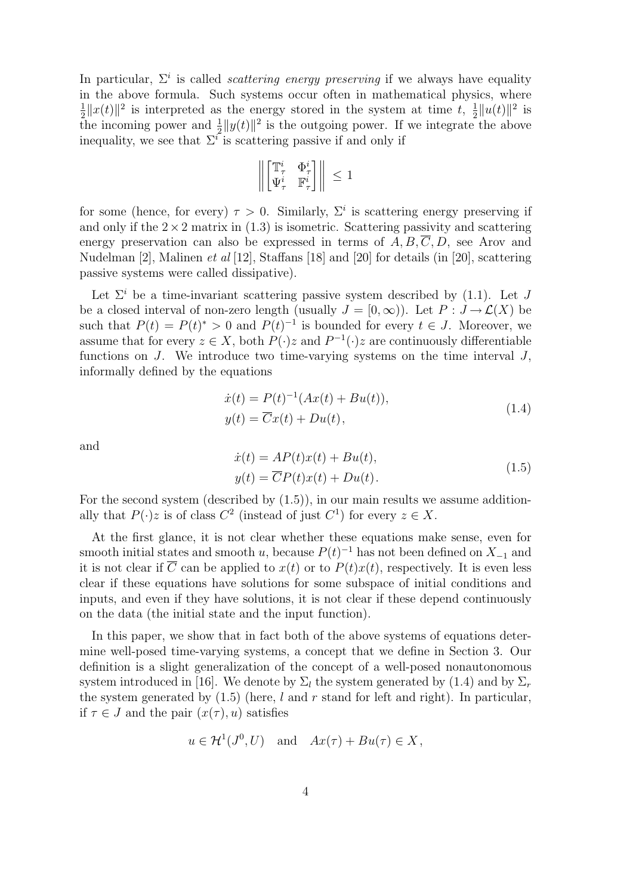In particular,  $\Sigma^i$  is called *scattering energy preserving* if we always have equality in the above formula. Such systems occur often in mathematical physics, where  $\frac{1}{2}||x(t)||^2$  is interpreted as the energy stored in the system at time t,  $\frac{1}{2}||u(t)||^2$  is 2<sup>||*x*(t)|| is metrpreted as the energy stored in the system at time t, 2||*u*(t)|| is<br>the incoming power and  $\frac{1}{2}$ ||*y*(t)||<sup>2</sup> is the outgoing power. If we integrate the above</sup> inequality, we see that  $\Sigma^i$  is scattering passive if and only if

$$
\left\| \begin{bmatrix} \mathbb{T}_\tau^i & \Phi_\tau^i \\ \Psi_\tau^i & \mathbb{F}_\tau^i \end{bmatrix} \right\| \leq 1
$$

for some (hence, for every)  $\tau > 0$ . Similarly,  $\Sigma^i$  is scattering energy preserving if and only if the  $2 \times 2$  matrix in  $(1.3)$  is isometric. Scattering passivity and scattering energy preservation can also be expressed in terms of  $A, B, \overline{C}, D$ , see Arov and Nudelman [2], Malinen et al [12], Staffans [18] and [20] for details (in [20], scattering passive systems were called dissipative).

Let  $\Sigma^i$  be a time-invariant scattering passive system described by (1.1). Let J be a closed interval of non-zero length (usually  $J = [0, \infty)$ ). Let  $P : J \to \mathcal{L}(X)$  be such that  $P(t) = P(t)^* > 0$  and  $P(t)^{-1}$  is bounded for every  $t \in J$ . Moreover, we assume that for every  $z \in X$ , both  $P(\cdot)z$  and  $P^{-1}(\cdot)z$  are continuously differentiable functions on  $J$ . We introduce two time-varying systems on the time interval  $J$ , informally defined by the equations

$$
\begin{aligned} \dot{x}(t) &= P(t)^{-1}(Ax(t) + Bu(t)),\\ y(t) &= \overline{C}x(t) + Du(t), \end{aligned} \tag{1.4}
$$

and

$$
\begin{aligned} \dot{x}(t) &= AP(t)x(t) + Bu(t), \\ y(t) &= \overline{C}P(t)x(t) + Du(t). \end{aligned} \tag{1.5}
$$

For the second system (described by  $(1.5)$ ), in our main results we assume additionally that  $P(\cdot)z$  is of class  $C^2$  (instead of just  $C^1$ ) for every  $z \in X$ .

At the first glance, it is not clear whether these equations make sense, even for smooth initial states and smooth u, because  $P(t)^{-1}$  has not been defined on  $X_{-1}$  and it is not clear if  $\overline{C}$  can be applied to  $x(t)$  or to  $P(t)x(t)$ , respectively. It is even less clear if these equations have solutions for some subspace of initial conditions and inputs, and even if they have solutions, it is not clear if these depend continuously on the data (the initial state and the input function).

In this paper, we show that in fact both of the above systems of equations determine well-posed time-varying systems, a concept that we define in Section 3. Our definition is a slight generalization of the concept of a well-posed nonautonomous system introduced in [16]. We denote by  $\Sigma_l$  the system generated by (1.4) and by  $\Sigma_r$ the system generated by  $(1.5)$  (here, l and r stand for left and right). In particular, if  $\tau \in J$  and the pair  $(x(\tau), u)$  satisfies

$$
u \in \mathcal{H}^1(J^0, U)
$$
 and  $Ax(\tau) + Bu(\tau) \in X$ ,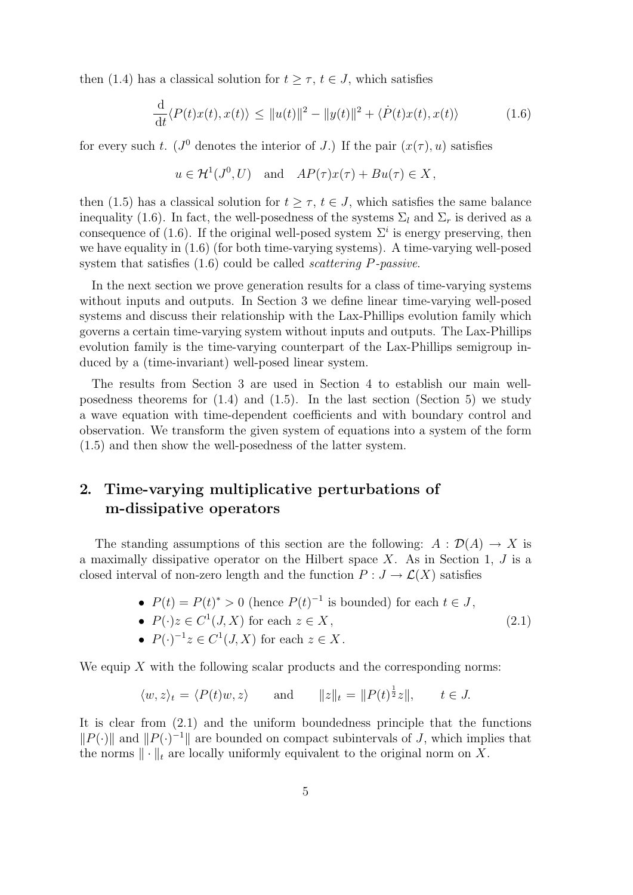then (1.4) has a classical solution for  $t \geq \tau$ ,  $t \in J$ , which satisfies

$$
\frac{\mathrm{d}}{\mathrm{d}t} \langle P(t)x(t), x(t) \rangle \le ||u(t)||^2 - ||y(t)||^2 + \langle \dot{P}(t)x(t), x(t) \rangle \tag{1.6}
$$

for every such t. ( $J^0$  denotes the interior of J.) If the pair  $(x(\tau), u)$  satisfies

$$
u \in H^1(J^0, U)
$$
 and  $AP(\tau)x(\tau) + Bu(\tau) \in X$ ,

then (1.5) has a classical solution for  $t \geq \tau$ ,  $t \in J$ , which satisfies the same balance inequality (1.6). In fact, the well-posedness of the systems  $\Sigma_l$  and  $\Sigma_r$  is derived as a consequence of (1.6). If the original well-posed system  $\Sigma^i$  is energy preserving, then we have equality in (1.6) (for both time-varying systems). A time-varying well-posed system that satisfies (1.6) could be called scattering P-passive.

In the next section we prove generation results for a class of time-varying systems without inputs and outputs. In Section 3 we define linear time-varying well-posed systems and discuss their relationship with the Lax-Phillips evolution family which governs a certain time-varying system without inputs and outputs. The Lax-Phillips evolution family is the time-varying counterpart of the Lax-Phillips semigroup induced by a (time-invariant) well-posed linear system.

The results from Section 3 are used in Section 4 to establish our main wellposedness theorems for  $(1.4)$  and  $(1.5)$ . In the last section (Section 5) we study a wave equation with time-dependent coefficients and with boundary control and observation. We transform the given system of equations into a system of the form (1.5) and then show the well-posedness of the latter system.

#### 2. Time-varying multiplicative perturbations of m-dissipative operators

The standing assumptions of this section are the following:  $A : \mathcal{D}(A) \to X$  is a maximally dissipative operator on the Hilbert space  $X$ . As in Section 1,  $J$  is a closed interval of non-zero length and the function  $P: J \to \mathcal{L}(X)$  satisfies

- $P(t) = P(t)^* > 0$  (hence  $P(t)^{-1}$  is bounded) for each  $t \in J$ , (2.1)
- $P(\cdot)z \in C^1(J,X)$  for each  $z \in X$ ,
- $P(\cdot)^{-1}z \in C^1(J, X)$  for each  $z \in X$ .

We equip  $X$  with the following scalar products and the corresponding norms:

$$
\langle w, z \rangle_t = \langle P(t)w, z \rangle
$$
 and  $||z||_t = ||P(t)^{\frac{1}{2}}z||$ ,  $t \in J$ .

It is clear from (2.1) and the uniform boundedness principle that the functions  $||P(\cdot)||$  and  $||P(\cdot)^{-1}||$  are bounded on compact subintervals of J, which implies that the norms  $\|\cdot\|_t$  are locally uniformly equivalent to the original norm on X.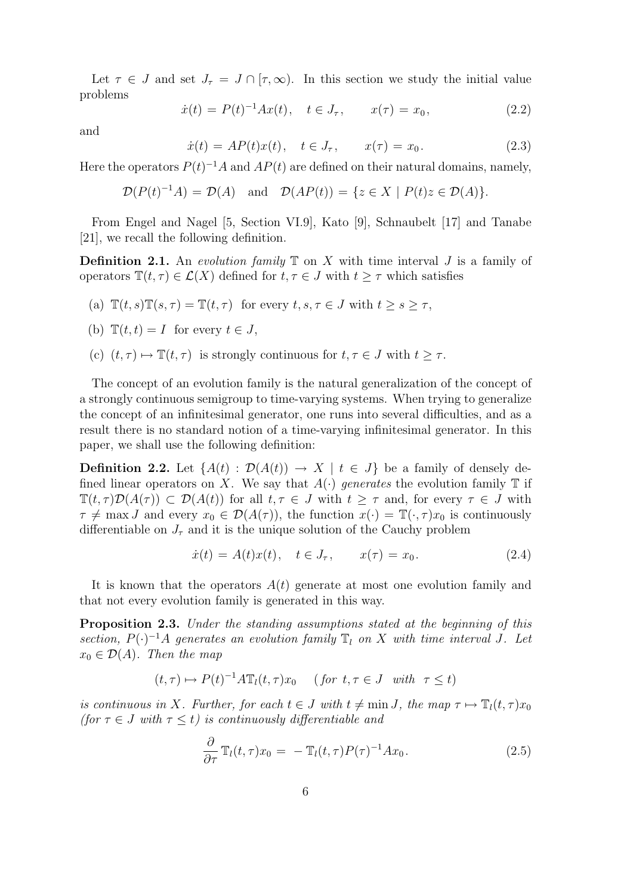Let  $\tau \in J$  and set  $J_{\tau} = J \cap [\tau, \infty)$ . In this section we study the initial value problems

$$
\dot{x}(t) = P(t)^{-1}Ax(t), \quad t \in J_{\tau}, \qquad x(\tau) = x_0,
$$
\n(2.2)

and

$$
\dot{x}(t) = AP(t)x(t), \quad t \in J_{\tau}, \qquad x(\tau) = x_0. \tag{2.3}
$$

Here the operators  $P(t)^{-1}A$  and  $AP(t)$  are defined on their natural domains, namely,

$$
\mathcal{D}(P(t)^{-1}A) = \mathcal{D}(A) \quad \text{and} \quad \mathcal{D}(AP(t)) = \{ z \in X \mid P(t)z \in \mathcal{D}(A) \}.
$$

From Engel and Nagel [5, Section VI.9], Kato [9], Schnaubelt [17] and Tanabe [21], we recall the following definition.

**Definition 2.1.** An evolution family  $\mathbb T$  on X with time interval J is a family of operators  $\mathbb{T}(t, \tau) \in \mathcal{L}(X)$  defined for  $t, \tau \in J$  with  $t \geq \tau$  which satisfies

- (a)  $\mathbb{T}(t, s)\mathbb{T}(s, \tau) = \mathbb{T}(t, \tau)$  for every  $t, s, \tau \in J$  with  $t \geq s \geq \tau$ ,
- (b)  $\mathbb{T}(t,t) = I$  for every  $t \in J$ ,
- (c)  $(t, \tau) \mapsto \mathbb{T}(t, \tau)$  is strongly continuous for  $t, \tau \in J$  with  $t \geq \tau$ .

The concept of an evolution family is the natural generalization of the concept of a strongly continuous semigroup to time-varying systems. When trying to generalize the concept of an infinitesimal generator, one runs into several difficulties, and as a result there is no standard notion of a time-varying infinitesimal generator. In this paper, we shall use the following definition:

**Definition 2.2.** Let  $\{A(t) : \mathcal{D}(A(t)) \to X \mid t \in J\}$  be a family of densely defined linear operators on X. We say that  $A(\cdot)$  generates the evolution family  $\mathbb T$  if  $\mathbb{T}(t,\tau)\mathcal{D}(A(\tau)) \subset \mathcal{D}(A(t))$  for all  $t,\tau \in J$  with  $t \geq \tau$  and, for every  $\tau \in J$  with  $\tau \neq \max J$  and every  $x_0 \in \mathcal{D}(A(\tau))$ , the function  $x(\cdot) = \mathbb{T}(\cdot, \tau)x_0$  is continuously differentiable on  $J_{\tau}$  and it is the unique solution of the Cauchy problem

$$
\dot{x}(t) = A(t)x(t), \quad t \in J_{\tau}, \qquad x(\tau) = x_0. \tag{2.4}
$$

It is known that the operators  $A(t)$  generate at most one evolution family and that not every evolution family is generated in this way.

Proposition 2.3. Under the standing assumptions stated at the beginning of this section,  $P(\cdot)^{-1}A$  generates an evolution family  $\mathbb{T}_l$  on X with time interval J. Let  $x_0 \in \mathcal{D}(A)$ . Then the map

$$
(t,\tau) \mapsto P(t)^{-1} A \mathbb{T}_l(t,\tau) x_0 \quad (\text{for } t,\tau \in J \text{ with } \tau \le t)
$$

is continuous in X. Further, for each  $t \in J$  with  $t \neq \min J$ , the map  $\tau \mapsto \mathbb{T}_l(t, \tau) x_0$ (for  $\tau \in J$  with  $\tau \leq t$ ) is continuously differentiable and

$$
\frac{\partial}{\partial \tau} \mathbb{T}_l(t, \tau) x_0 = - \mathbb{T}_l(t, \tau) P(\tau)^{-1} A x_0.
$$
 (2.5)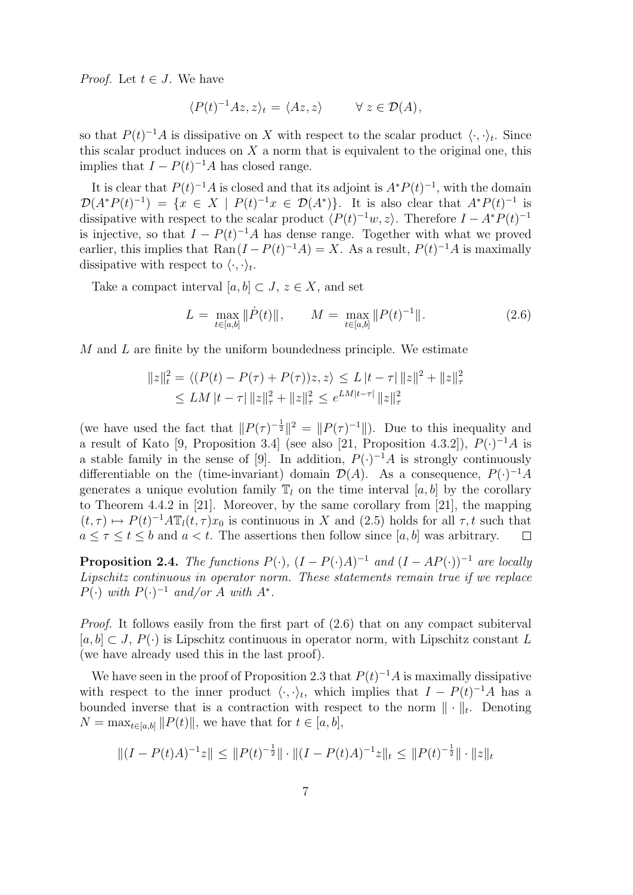*Proof.* Let  $t \in J$ . We have

$$
\langle P(t)^{-1}Az, z \rangle_t = \langle Az, z \rangle \qquad \forall \ z \in \mathcal{D}(A),
$$

so that  $P(t)^{-1}A$  is dissipative on X with respect to the scalar product  $\langle \cdot, \cdot \rangle_t$ . Since this scalar product induces on  $X$  a norm that is equivalent to the original one, this implies that  $I - P(t)^{-1}A$  has closed range.

It is clear that  $P(t)^{-1}A$  is closed and that its adjoint is  $A^*P(t)^{-1}$ , with the domain  $\mathcal{D}(A^*P(t)^{-1}) = \{x \in X \mid P(t)^{-1}x \in \mathcal{D}(A^*)\}.$  It is also clear that  $A^*P(t)^{-1}$  is dissipative with respect to the scalar product  $\langle P(t)^{-1}w, z \rangle$ . Therefore  $I - A^*P(t)^{-1}$ is injective, so that  $I - P(t)^{-1}A$  has dense range. Together with what we proved earlier, this implies that  $\text{Ran}(I - P(t)^{-1}A) = X$ . As a result,  $P(t)^{-1}A$  is maximally dissipative with respect to  $\langle \cdot, \cdot \rangle_t$ .

Take a compact interval  $[a, b] \subset J$ ,  $z \in X$ , and set

$$
L = \max_{t \in [a,b]} \|\dot{P}(t)\|, \qquad M = \max_{t \in [a,b]} \|P(t)^{-1}\|.
$$
 (2.6)

 $M$  and  $L$  are finite by the uniform boundedness principle. We estimate

$$
||z||_t^2 = \langle (P(t) - P(\tau) + P(\tau))z, z \rangle \le L |t - \tau| ||z||^2 + ||z||^2_{\tau}
$$
  
 
$$
\le LM |t - \tau| ||z||^2_{\tau} + ||z||^2_{\tau} \le e^{LM|t - \tau|} ||z||^2_{\tau}
$$

(we have used the fact that  $||P(\tau)^{-\frac{1}{2}}||^2 = ||P(\tau)^{-1}||$ ). Due to this inequality and a result of Kato [9, Proposition 3.4] (see also [21, Proposition 4.3.2]),  $P(\cdot)^{-1}A$  is a stable family in the sense of [9]. In addition,  $P(\cdot)^{-1}A$  is strongly continuously differentiable on the (time-invariant) domain  $\mathcal{D}(A)$ . As a consequence,  $P(\cdot)^{-1}A$ generates a unique evolution family  $\mathbb{T}_l$  on the time interval [a, b] by the corollary to Theorem 4.4.2 in [21]. Moreover, by the same corollary from [21], the mapping  $(t, \tau) \mapsto P(t)^{-1} A \mathbb{T}_l(t, \tau) x_0$  is continuous in X and (2.5) holds for all  $\tau, t$  such that  $a \leq \tau \leq t \leq b$  and  $a < t$ . The assertions then follow since [a, b] was arbitrary.  $\Box$ 

**Proposition 2.4.** The functions  $P(\cdot)$ ,  $(I - P(\cdot)A)^{-1}$  and  $(I - AP(\cdot))^{-1}$  are locally Lipschitz continuous in operator norm. These statements remain true if we replace  $P(\cdot)$  with  $P(\cdot)^{-1}$  and/or A with  $A^*$ .

Proof. It follows easily from the first part of (2.6) that on any compact subiterval  $[a, b] \subset J$ ,  $P(\cdot)$  is Lipschitz continuous in operator norm, with Lipschitz constant L (we have already used this in the last proof).

We have seen in the proof of Proposition 2.3 that  $P(t)^{-1}A$  is maximally dissipative with respect to the inner product  $\langle \cdot, \cdot \rangle_t$ , which implies that  $I - P(t)^{-1}A$  has a bounded inverse that is a contraction with respect to the norm  $\|\cdot\|_{t}$ . Denoting  $N = \max_{t \in [a, b]} ||P(t)||$ , we have that for  $t \in [a, b],$ 

$$
||(I - P(t)A)^{-1}z|| \le ||P(t)^{-\frac{1}{2}}|| \cdot ||(I - P(t)A)^{-1}z||_t \le ||P(t)^{-\frac{1}{2}}|| \cdot ||z||_t
$$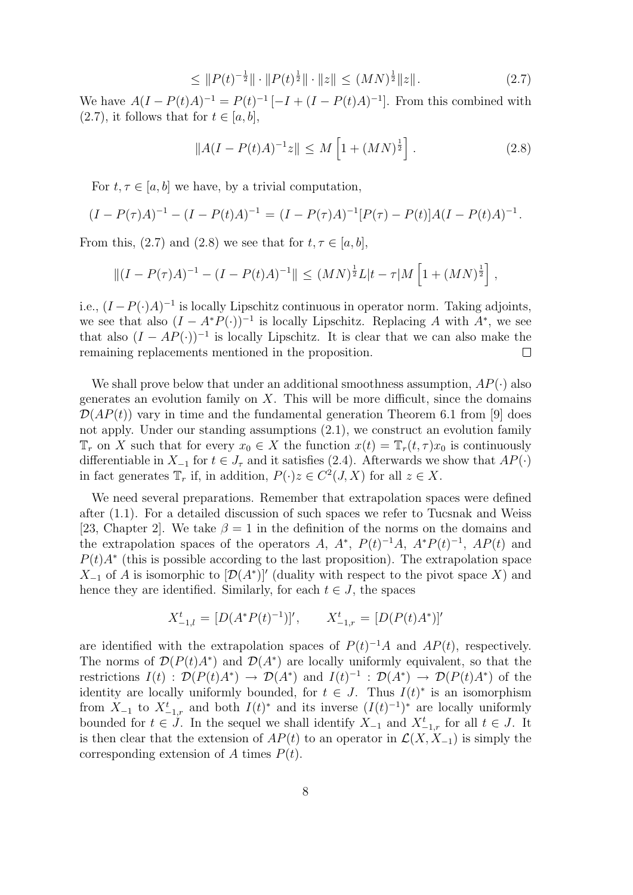$$
\leq \|P(t)^{-\frac{1}{2}}\| \cdot \|P(t)^{\frac{1}{2}}\| \cdot \|z\| \leq (MN)^{\frac{1}{2}}\|z\|.
$$
 (2.7)

We have  $A(I - P(t)A)^{-1} = P(t)^{-1} [-I + (I - P(t)A)^{-1}]$ . From this combined with  $(2.7)$ , it follows that for  $t \in [a, b]$ ,

$$
||A(I - P(t)A)^{-1}z|| \le M\left[1 + (MN)^{\frac{1}{2}}\right].
$$
\n(2.8)

For  $t, \tau \in [a, b]$  we have, by a trivial computation,

$$
(I - P(\tau)A)^{-1} - (I - P(t)A)^{-1} = (I - P(\tau)A)^{-1}[P(\tau) - P(t)]A(I - P(t)A)^{-1}.
$$

From this, (2.7) and (2.8) we see that for  $t, \tau \in [a, b]$ ,

$$
||(I - P(\tau)A)^{-1} - (I - P(t)A)^{-1}|| \leq (MN)^{\frac{1}{2}}L|t - \tau|M\left[1 + (MN)^{\frac{1}{2}}\right],
$$

i.e.,  $(I - P(\cdot)A)^{-1}$  is locally Lipschitz continuous in operator norm. Taking adjoints, we see that also  $(I - A^*P(\cdot))^{-1}$  is locally Lipschitz. Replacing A with  $A^*$ , we see that also  $(I - AP(\cdot))^{-1}$  is locally Lipschitz. It is clear that we can also make the remaining replacements mentioned in the proposition.  $\Box$ 

We shall prove below that under an additional smoothness assumption,  $AP(\cdot)$  also generates an evolution family on  $X$ . This will be more difficult, since the domains  $\mathcal{D}(AP(t))$  vary in time and the fundamental generation Theorem 6.1 from [9] does not apply. Under our standing assumptions (2.1), we construct an evolution family  $\mathbb{T}_r$  on X such that for every  $x_0 \in X$  the function  $x(t) = \mathbb{T}_r(t, \tau)x_0$  is continuously differentiable in  $X_{-1}$  for  $t \in J_{\tau}$  and it satisfies (2.4). Afterwards we show that  $AP(\cdot)$ in fact generates  $\mathbb{T}_r$  if, in addition,  $P(\cdot)z \in C^2(J,X)$  for all  $z \in X$ .

We need several preparations. Remember that extrapolation spaces were defined after (1.1). For a detailed discussion of such spaces we refer to Tucsnak and Weiss [23, Chapter 2]. We take  $\beta = 1$  in the definition of the norms on the domains and the extrapolation spaces of the operators A,  $A^*$ ,  $P(t)^{-1}A$ ,  $A^*P(t)^{-1}$ ,  $AP(t)$  and  $P(t)A^*$  (this is possible according to the last proposition). The extrapolation space  $X_{-1}$  of A is isomorphic to  $[\mathcal{D}(A^*)]'$  (duality with respect to the pivot space X) and hence they are identified. Similarly, for each  $t \in J$ , the spaces

$$
X_{-1,l}^t = [D(A^*P(t)^{-1})]', \qquad X_{-1,r}^t = [D(P(t)A^*)]'
$$

are identified with the extrapolation spaces of  $P(t)^{-1}A$  and  $AP(t)$ , respectively. The norms of  $\mathcal{D}(P(t)A^*)$  and  $\mathcal{D}(A^*)$  are locally uniformly equivalent, so that the restrictions  $I(t)$ :  $\mathcal{D}(P(t)A^*) \to \mathcal{D}(A^*)$  and  $I(t)^{-1}$ :  $\mathcal{D}(A^*) \to \mathcal{D}(P(t)A^*)$  of the identity are locally uniformly bounded, for  $t \in J$ . Thus  $I(t)^*$  is an isomorphism from  $X_{-1}$  to  $X_{-1,r}^t$  and both  $I(t)^*$  and its inverse  $(I(t)^{-1})^*$  are locally uniformly bounded for  $t \in J$ . In the sequel we shall identify  $X_{-1}$  and  $X_{-1,r}^t$  for all  $t \in J$ . It is then clear that the extension of  $AP(t)$  to an operator in  $\mathcal{L}(X, X_{-1})$  is simply the corresponding extension of A times  $P(t)$ .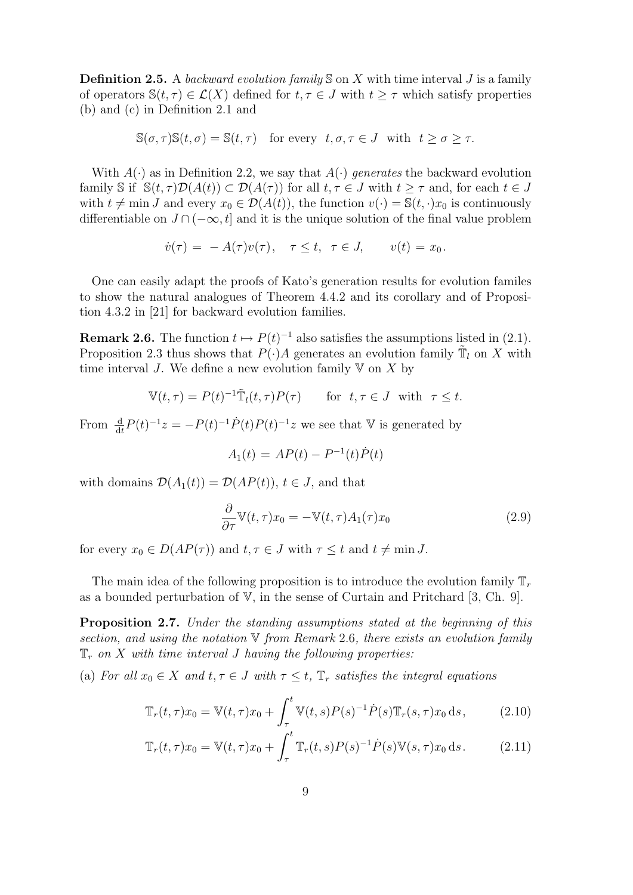**Definition 2.5.** A backward evolution family  $\mathcal{S}$  on X with time interval J is a family of operators  $\mathbb{S}(t, \tau) \in \mathcal{L}(X)$  defined for  $t, \tau \in J$  with  $t \geq \tau$  which satisfy properties (b) and (c) in Definition 2.1 and

$$
\mathbb{S}(\sigma,\tau)\mathbb{S}(t,\sigma) = \mathbb{S}(t,\tau) \quad \text{for every} \ \ t,\sigma,\tau \in J \ \ \text{with} \ \ t \ge \sigma \ge \tau.
$$

With  $A(\cdot)$  as in Definition 2.2, we say that  $A(\cdot)$  generates the backward evolution family S if  $\mathbb{S}(t, \tau)\mathcal{D}(A(t)) \subset \mathcal{D}(A(\tau))$  for all  $t, \tau \in J$  with  $t \geq \tau$  and, for each  $t \in J$ with  $t \neq \min J$  and every  $x_0 \in \mathcal{D}(A(t))$ , the function  $v(\cdot) = \mathbb{S}(t, \cdot)x_0$  is continuously differentiable on  $J \cap (-\infty, t]$  and it is the unique solution of the final value problem

$$
\dot{v}(\tau) = -A(\tau)v(\tau), \quad \tau \le t, \ \tau \in J, \qquad v(t) = x_0.
$$

One can easily adapt the proofs of Kato's generation results for evolution familes to show the natural analogues of Theorem 4.4.2 and its corollary and of Proposition 4.3.2 in [21] for backward evolution families.

**Remark 2.6.** The function  $t \mapsto P(t)^{-1}$  also satisfies the assumptions listed in (2.1). Proposition 2.3 thus shows that  $P(\cdot)A$  generates an evolution family  $\tilde{\mathbb{T}}_l$  on X with time interval J. We define a new evolution family  $V$  on X by

$$
\mathbb{V}(t,\tau) = P(t)^{-1} \tilde{\mathbb{T}}_l(t,\tau) P(\tau) \quad \text{for } t,\tau \in J \text{ with } \tau \le t.
$$

From  $\frac{d}{dt}P(t)^{-1}z = -P(t)^{-1}\dot{P}(t)P(t)^{-1}z$  we see that V is generated by

$$
A_1(t) = AP(t) - P^{-1}(t)\dot{P}(t)
$$

with domains  $\mathcal{D}(A_1(t)) = \mathcal{D}(AP(t))$ ,  $t \in J$ , and that

$$
\frac{\partial}{\partial \tau} \mathbb{V}(t, \tau) x_0 = -\mathbb{V}(t, \tau) A_1(\tau) x_0 \tag{2.9}
$$

for every  $x_0 \in D(AP(\tau))$  and  $t, \tau \in J$  with  $\tau \leq t$  and  $t \neq \min J$ .

The main idea of the following proposition is to introduce the evolution family  $\mathbb{T}_r$ as a bounded perturbation of V, in the sense of Curtain and Pritchard [3, Ch. 9].

Proposition 2.7. Under the standing assumptions stated at the beginning of this section, and using the notation V from Remark 2.6, there exists an evolution family  $\mathbb{T}_r$  on X with time interval J having the following properties:

(a) For all  $x_0 \in X$  and  $t, \tau \in J$  with  $\tau \leq t$ ,  $\mathbb{T}_r$  satisfies the integral equations

$$
\mathbb{T}_r(t,\tau)x_0 = \mathbb{V}(t,\tau)x_0 + \int_{\tau}^t \mathbb{V}(t,s)P(s)^{-1}\dot{P}(s)\mathbb{T}_r(s,\tau)x_0 \,\mathrm{d}s,\tag{2.10}
$$

$$
\mathbb{T}_r(t,\tau)x_0 = \mathbb{V}(t,\tau)x_0 + \int_{\tau}^t \mathbb{T}_r(t,s)P(s)^{-1}\dot{P}(s)\mathbb{V}(s,\tau)x_0 ds.
$$
 (2.11)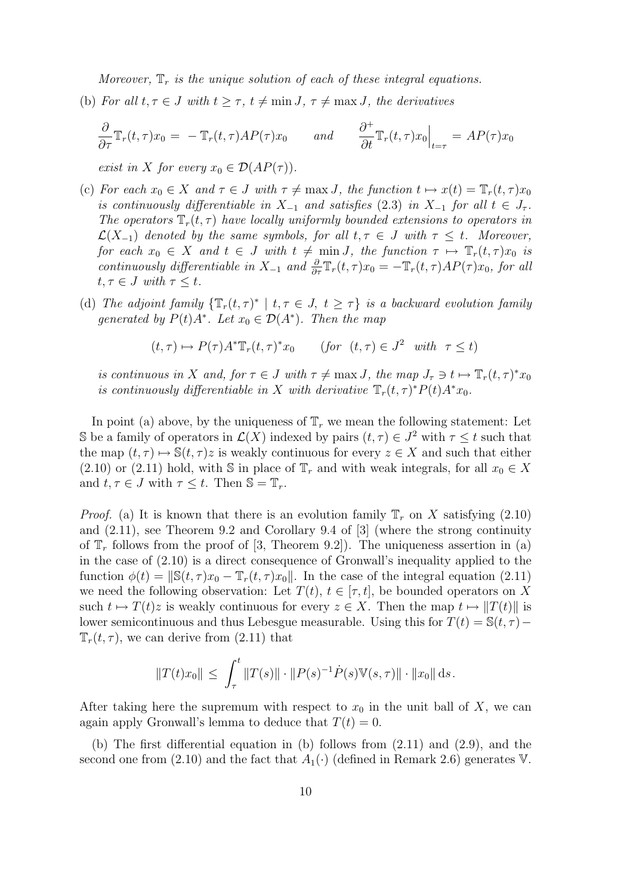Moreover,  $\mathbb{T}_r$  is the unique solution of each of these integral equations.

(b) For all  $t, \tau \in J$  with  $t \geq \tau$ ,  $t \neq \min J$ ,  $\tau \neq \max J$ , the derivatives

$$
\frac{\partial}{\partial \tau} \mathbb{T}_r(t, \tau) x_0 = - \mathbb{T}_r(t, \tau) A P(\tau) x_0 \quad \text{and} \quad \frac{\partial^+}{\partial t} \mathbb{T}_r(t, \tau) x_0 \Big|_{t = \tau} = A P(\tau) x_0
$$

exist in X for every  $x_0 \in \mathcal{D}(AP(\tau))$ .

- (c) For each  $x_0 \in X$  and  $\tau \in J$  with  $\tau \neq \max J$ , the function  $t \mapsto x(t) = \mathbb{T}_r(t, \tau) x_0$ is continuously differentiable in  $X_{-1}$  and satisfies (2.3) in  $X_{-1}$  for all  $t \in J_{\tau}$ . The operators  $\mathbb{T}_r(t,\tau)$  have locally uniformly bounded extensions to operators in  $\mathcal{L}(X_{-1})$  denoted by the same symbols, for all  $t, \tau \in J$  with  $\tau \leq t$ . Moreover, for each  $x_0 \in X$  and  $t \in J$  with  $t \neq \min J$ , the function  $\tau \mapsto \mathbb{T}_r(t, \tau) x_0$  is continuously differentiable in  $X_{-1}$  and  $\frac{\partial}{\partial \tau}\mathbb{T}_r(t,\tau)x_0 = -\mathbb{T}_r(t,\tau)AP(\tau)x_0$ , for all  $t, \tau \in J$  with  $\tau \leq t$ .
- (d) The adjoint family  $\{\mathbb{T}_r(t,\tau)^* \mid t,\tau \in J, t \geq \tau\}$  is a backward evolution family generated by  $P(t)A^*$ . Let  $x_0 \in \mathcal{D}(A^*)$ . Then the map

$$
(t,\tau) \mapsto P(\tau)A^* \mathbb{T}_r(t,\tau)^* x_0 \qquad \text{(for } (t,\tau) \in J^2 \quad \text{with } \tau \le t\text{)}
$$

is continuous in X and, for  $\tau \in J$  with  $\tau \neq \max J$ , the map  $J_{\tau} \ni t \mapsto \mathbb{T}_r(t, \tau)^* x_0$ is continuously differentiable in X with derivative  $\mathbb{T}_r(t,\tau)^* P(t) A^* x_0$ .

In point (a) above, by the uniqueness of  $\mathbb{T}_r$  we mean the following statement: Let S be a family of operators in  $\mathcal{L}(X)$  indexed by pairs  $(t, \tau) \in J^2$  with  $\tau \leq t$  such that the map  $(t, \tau) \mapsto \mathbb{S}(t, \tau)z$  is weakly continuous for every  $z \in X$  and such that either (2.10) or (2.11) hold, with S in place of  $\mathbb{T}_r$  and with weak integrals, for all  $x_0 \in X$ and  $t, \tau \in J$  with  $\tau \leq t$ . Then  $\mathbb{S} = \mathbb{T}_r$ .

*Proof.* (a) It is known that there is an evolution family  $\mathbb{T}_r$  on X satisfying (2.10) and (2.11), see Theorem 9.2 and Corollary 9.4 of [3] (where the strong continuity of  $\mathbb{T}_r$  follows from the proof of [3, Theorem 9.2]). The uniqueness assertion in (a) in the case of (2.10) is a direct consequence of Gronwall's inequality applied to the function  $\phi(t) = ||\mathbb{S}(t, \tau)x_0 - \mathbb{T}_r(t, \tau)x_0||$ . In the case of the integral equation (2.11) we need the following observation: Let  $T(t)$ ,  $t \in [\tau, t]$ , be bounded operators on X such  $t \mapsto T(t)z$  is weakly continuous for every  $z \in X$ . Then the map  $t \mapsto ||T(t)||$  is lower semicontinuous and thus Lebesgue measurable. Using this for  $T(t) = \mathbb{S}(t, \tau) \mathbb{T}_r(t,\tau)$ , we can derive from  $(2.11)$  that

$$
||T(t)x_0|| \le \int_{\tau}^t ||T(s)|| \cdot ||P(s)^{-1} \dot{P}(s) \mathbb{V}(s, \tau)|| \cdot ||x_0|| \, \mathrm{d}s.
$$

After taking here the supremum with respect to  $x_0$  in the unit ball of X, we can again apply Gronwall's lemma to deduce that  $T(t) = 0$ .

(b) The first differential equation in (b) follows from (2.11) and (2.9), and the second one from (2.10) and the fact that  $A_1(\cdot)$  (defined in Remark 2.6) generates V.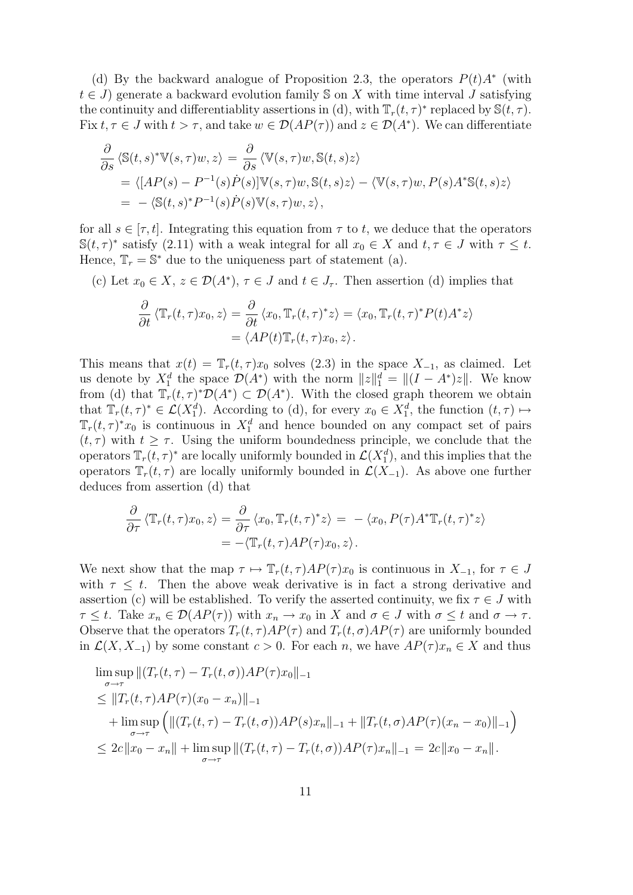(d) By the backward analogue of Proposition 2.3, the operators  $P(t)A^*$  (with  $t \in J$ ) generate a backward evolution family S on X with time interval J satisfying the continuity and differentiablity assertions in (d), with  $\mathbb{T}_r(t,\tau)^*$  replaced by  $\mathbb{S}(t,\tau)$ . Fix  $t, \tau \in J$  with  $t > \tau$ , and take  $w \in \mathcal{D}(AP(\tau))$  and  $z \in \mathcal{D}(A^*)$ . We can differentiate

$$
\frac{\partial}{\partial s} \langle \mathbb{S}(t,s)^* \mathbb{V}(s,\tau)w, z \rangle = \frac{\partial}{\partial s} \langle \mathbb{V}(s,\tau)w, \mathbb{S}(t,s)z \rangle \n= \langle [AP(s) - P^{-1}(s)\dot{P}(s)] \mathbb{V}(s,\tau)w, \mathbb{S}(t,s)z \rangle - \langle \mathbb{V}(s,\tau)w, P(s)A^* \mathbb{S}(t,s)z \rangle \n= - \langle \mathbb{S}(t,s)^* P^{-1}(s)\dot{P}(s) \mathbb{V}(s,\tau)w, z \rangle,
$$

for all  $s \in [\tau, t]$ . Integrating this equation from  $\tau$  to t, we deduce that the operators  $\mathbb{S}(t,\tau)^*$  satisfy (2.11) with a weak integral for all  $x_0 \in X$  and  $t, \tau \in J$  with  $\tau \leq t$ . Hence,  $\mathbb{T}_r = \mathbb{S}^*$  due to the uniqueness part of statement (a).

(c) Let  $x_0 \in X$ ,  $z \in \mathcal{D}(A^*)$ ,  $\tau \in J$  and  $t \in J_{\tau}$ . Then assertion (d) implies that

$$
\frac{\partial}{\partial t} \langle \mathbb{T}_r(t,\tau)x_0,z\rangle = \frac{\partial}{\partial t} \langle x_0,\mathbb{T}_r(t,\tau)^*z\rangle = \langle x_0,\mathbb{T}_r(t,\tau)^*P(t)A^*z\rangle
$$

$$
= \langle AP(t)\mathbb{T}_r(t,\tau)x_0,z\rangle.
$$

This means that  $x(t) = \mathbb{T}_r(t, \tau) x_0$  solves (2.3) in the space  $X_{-1}$ , as claimed. Let us denote by  $X_1^d$  the space  $\mathcal{D}(A^*)$  with the norm  $||z||_1^d = ||(I - A^*)z||$ . We know from (d) that  $\overline{T_r}(t,\tau)^* \mathcal{D}(A^*) \subset \mathcal{D}(A^*)$ . With the closed graph theorem we obtain that  $\mathbb{T}_r(t,\tau)^* \in \mathcal{L}(X_1^d)$ . According to (d), for every  $x_0 \in X_1^d$ , the function  $(t,\tau) \mapsto$  $\mathbb{T}_r(t,\tau)^*x_0$  is continuous in  $X_1^d$  and hence bounded on any compact set of pairs  $(t, \tau)$  with  $t \geq \tau$ . Using the uniform boundedness principle, we conclude that the operators  $\mathbb{T}_r(t,\tau)^*$  are locally uniformly bounded in  $\mathcal{L}(X_1^d)$ , and this implies that the operators  $\mathbb{T}_r(t,\tau)$  are locally uniformly bounded in  $\mathcal{L}(X_{-1})$ . As above one further deduces from assertion (d) that

$$
\frac{\partial}{\partial \tau} \langle \mathbb{T}_r(t, \tau) x_0, z \rangle = \frac{\partial}{\partial \tau} \langle x_0, \mathbb{T}_r(t, \tau)^* z \rangle = - \langle x_0, P(\tau) A^* \mathbb{T}_r(t, \tau)^* z \rangle \n= - \langle \mathbb{T}_r(t, \tau) A P(\tau) x_0, z \rangle.
$$

We next show that the map  $\tau \mapsto \mathbb{T}_r(t,\tau)AP(\tau)x_0$  is continuous in  $X_{-1}$ , for  $\tau \in J$ with  $\tau \leq t$ . Then the above weak derivative is in fact a strong derivative and assertion (c) will be established. To verify the asserted continuity, we fix  $\tau \in J$  with  $\tau \leq t$ . Take  $x_n \in \mathcal{D}(AP(\tau))$  with  $x_n \to x_0$  in X and  $\sigma \in J$  with  $\sigma \leq t$  and  $\sigma \to \tau$ . Observe that the operators  $T_r(t, \tau)AP(\tau)$  and  $T_r(t, \sigma)AP(\tau)$  are uniformly bounded in  $\mathcal{L}(X, X_{-1})$  by some constant  $c > 0$ . For each n, we have  $AP(\tau)x_n \in X$  and thus

$$
\limsup_{\sigma \to \tau} ||(T_r(t, \tau) - T_r(t, \sigma))AP(\tau)x_0||_{-1} \n\leq ||T_r(t, \tau)AP(\tau)(x_0 - x_n)||_{-1} \n+ \limsup_{\sigma \to \tau} (||(T_r(t, \tau) - T_r(t, \sigma))AP(s)x_n||_{-1} + ||T_r(t, \sigma)AP(\tau)(x_n - x_0)||_{-1}) \n\leq 2c||x_0 - x_n|| + \limsup_{\sigma \to \tau} ||(T_r(t, \tau) - T_r(t, \sigma))AP(\tau)x_n||_{-1} = 2c||x_0 - x_n||.
$$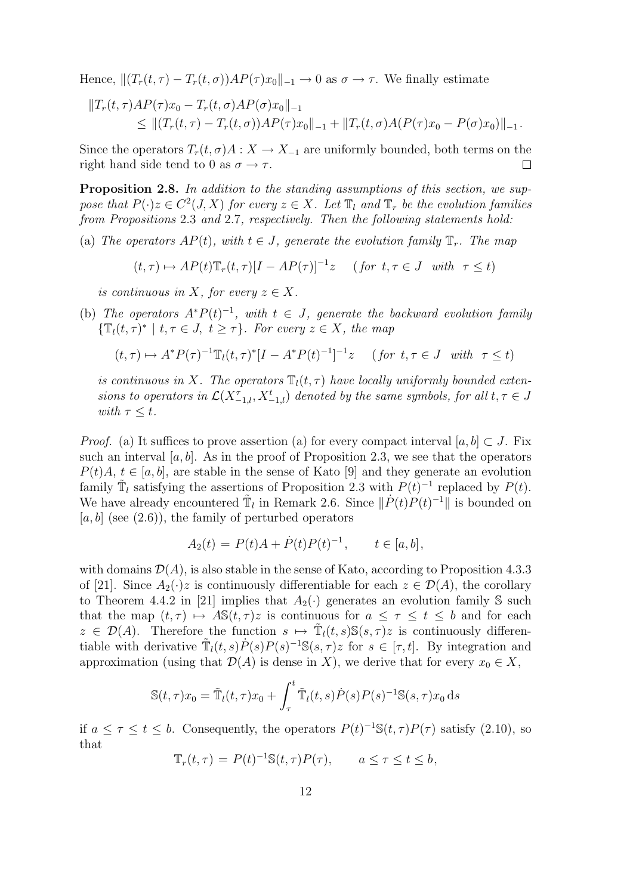Hence,  $|| (T_r(t, \tau) - T_r(t, \sigma))AP(\tau)x_0||_{-1} \to 0$  as  $\sigma \to \tau$ . We finally estimate

$$
||T_r(t,\tau)AP(\tau)x_0 - T_r(t,\sigma)AP(\sigma)x_0||_{-1}
$$
  
\n
$$
\leq ||(T_r(t,\tau) - T_r(t,\sigma))AP(\tau)x_0||_{-1} + ||T_r(t,\sigma)A(P(\tau)x_0 - P(\sigma)x_0)||_{-1}.
$$

Since the operators  $T_r(t, \sigma)A : X \to X_{-1}$  are uniformly bounded, both terms on the right hand side tend to 0 as  $\sigma \rightarrow \tau$ .  $\Box$ 

Proposition 2.8. In addition to the standing assumptions of this section, we suppose that  $P(\cdot)z \in C^2(J,X)$  for every  $z \in X$ . Let  $\mathbb{T}_l$  and  $\mathbb{T}_r$  be the evolution families from Propositions 2.3 and 2.7, respectively. Then the following statements hold:

(a) The operators  $AP(t)$ , with  $t \in J$ , generate the evolution family  $\mathbb{T}_r$ . The map

$$
(t,\tau) \mapsto AP(t)\mathbb{T}_r(t,\tau)[I - AP(\tau)]^{-1}z \quad (\text{ for } t,\tau \in J \text{ with } \tau \le t)
$$

is continuous in X, for every  $z \in X$ .

(b) The operators  $A^*P(t)^{-1}$ , with  $t \in J$ , generate the backward evolution family  $\{\mathbb{T}_l(t,\tau)^* \mid t,\tau \in J, t \geq \tau\}$ . For every  $z \in X$ , the map

$$
(t,\tau) \mapsto A^*P(\tau)^{-1}\mathbb{T}_l(t,\tau)^*[I - A^*P(t)^{-1}]^{-1}z \quad (\text{for } t,\tau \in J \text{ with } \tau \le t)
$$

is continuous in X. The operators  $\mathbb{T}_l(t, \tau)$  have locally uniformly bounded extensions to operators in  $\mathcal{L}(X_{-1,l}^{\tau}, X_{-1,l}^t)$  denoted by the same symbols, for all  $t, \tau \in J$ with  $\tau \leq t$ .

*Proof.* (a) It suffices to prove assertion (a) for every compact interval  $[a, b] \subset J$ . Fix such an interval  $[a, b]$ . As in the proof of Proposition 2.3, we see that the operators  $P(t)A, t \in [a, b]$ , are stable in the sense of Kato [9] and they generate an evolution family  $\tilde{T}_l$  satisfying the assertions of Proposition 2.3 with  $P(t)^{-1}$  replaced by  $P(t)$ . We have already encountered  $\tilde{T}_l$  in Remark 2.6. Since  $\|\dot{P}(t)P(t)^{-1}\|$  is bounded on  $[a, b]$  (see  $(2.6)$ ), the family of perturbed operators

$$
A_2(t) = P(t)A + \dot{P}(t)P(t)^{-1}, \qquad t \in [a, b],
$$

with domains  $\mathcal{D}(A)$ , is also stable in the sense of Kato, according to Proposition 4.3.3 of [21]. Since  $A_2(\cdot)z$  is continuously differentiable for each  $z \in \mathcal{D}(A)$ , the corollary to Theorem 4.4.2 in [21] implies that  $A_2(\cdot)$  generates an evolution family S such that the map  $(t, \tau) \mapsto AS(t, \tau)z$  is continuous for  $a \leq \tau \leq t \leq b$  and for each  $z \in \mathcal{D}(A)$ . Therefore the function  $s \mapsto \tilde{T}_l(t, s) \mathbb{S}(s, \tau) z$  is continuously differentiable with derivative  $\tilde{T}_l(t,s)\dot{P}(s)P(s)^{-1}\mathbb{S}(s,\tau)z$  for  $s \in [\tau,t]$ . By integration and approximation (using that  $\mathcal{D}(A)$  is dense in X), we derive that for every  $x_0 \in X$ ,

$$
\mathbb{S}(t,\tau)x_0 = \tilde{\mathbb{T}}_l(t,\tau)x_0 + \int_{\tau}^t \tilde{\mathbb{T}}_l(t,s)\dot{P}(s)P(s)^{-1}\mathbb{S}(s,\tau)x_0 ds
$$

if  $a \leq \tau \leq t \leq b$ . Consequently, the operators  $P(t)^{-1} \mathbb{S}(t, \tau) P(\tau)$  satisfy (2.10), so that

$$
\mathbb{T}_r(t,\tau) = P(t)^{-1} \mathbb{S}(t,\tau) P(\tau), \qquad a \le \tau \le t \le b,
$$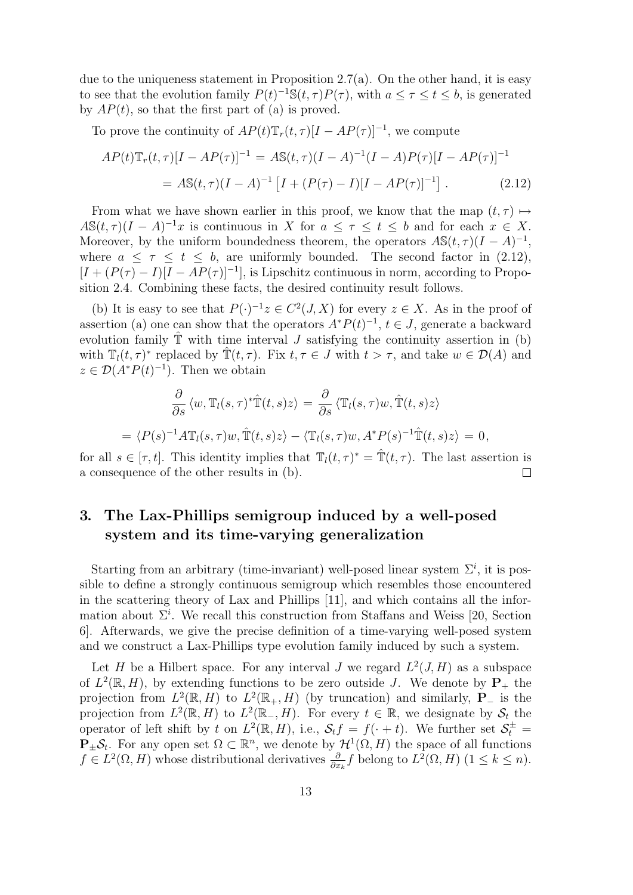due to the uniqueness statement in Proposition 2.7(a). On the other hand, it is easy to see that the evolution family  $P(t)^{-1} \mathbb{S}(t, \tau) P(\tau)$ , with  $a \leq \tau \leq t \leq b$ , is generated by  $AP(t)$ , so that the first part of (a) is proved.

To prove the continuity of  $AP(t)\mathbb{T}_r(t,\tau)[I - AP(\tau)]^{-1}$ , we compute

$$
AP(t)\mathbb{T}_r(t,\tau)[I - AP(\tau)]^{-1} = A\mathbb{S}(t,\tau)(I - A)^{-1}(I - A)P(\tau)[I - AP(\tau)]^{-1}
$$
  
= 
$$
A\mathbb{S}(t,\tau)(I - A)^{-1}[I + (P(\tau) - I)[I - AP(\tau)]^{-1}].
$$
 (2.12)

From what we have shown earlier in this proof, we know that the map  $(t, \tau) \mapsto$  $A\mathbb{S}(t,\tau)(I-A)^{-1}x$  is continuous in X for  $a \leq \tau \leq t \leq b$  and for each  $x \in X$ . Moreover, by the uniform boundedness theorem, the operators  $A\mathbb{S}(t,\tau)(I-A)^{-1}$ , where  $a \leq \tau \leq t \leq b$ , are uniformly bounded. The second factor in (2.12),  $[I + (P(\tau) - I)[I - AP(\tau)]^{-1}]$ , is Lipschitz continuous in norm, according to Proposition 2.4. Combining these facts, the desired continuity result follows.

(b) It is easy to see that  $P(\cdot)^{-1}z \in C^2(J,X)$  for every  $z \in X$ . As in the proof of assertion (a) one can show that the operators  $A^*P(t)^{-1}$ ,  $t \in J$ , generate a backward evolution family  $\hat{\mathbb{T}}$  with time interval J satisfying the continuity assertion in (b) with  $\mathbb{T}_l(t,\tau)^*$  replaced by  $\mathbb{T}(t,\tau)$ . Fix  $t,\tau \in J$  with  $t > \tau$ , and take  $w \in \mathcal{D}(A)$  and  $z \in \mathcal{D}(A^*P(t)^{-1})$ . Then we obtain

$$
\frac{\partial}{\partial s} \langle w, \mathbb{T}_l(s, \tau)^* \hat{\mathbb{T}}(t, s) z \rangle = \frac{\partial}{\partial s} \langle \mathbb{T}_l(s, \tau) w, \hat{\mathbb{T}}(t, s) z \rangle \n= \langle P(s)^{-1} A \mathbb{T}_l(s, \tau) w, \hat{\mathbb{T}}(t, s) z \rangle - \langle \mathbb{T}_l(s, \tau) w, A^* P(s)^{-1} \hat{\mathbb{T}}(t, s) z \rangle = 0,
$$

for all  $s \in [\tau, t]$ . This identity implies that  $\mathbb{T}_l(t, \tau)^* = \mathbb{T}(t, \tau)$ . The last assertion is a consequence of the other results in (b).  $\Box$ 

### 3. The Lax-Phillips semigroup induced by a well-posed system and its time-varying generalization

Starting from an arbitrary (time-invariant) well-posed linear system  $\Sigma^i$ , it is possible to define a strongly continuous semigroup which resembles those encountered in the scattering theory of Lax and Phillips [11], and which contains all the information about  $\Sigma^i$ . We recall this construction from Staffans and Weiss [20, Section 6]. Afterwards, we give the precise definition of a time-varying well-posed system and we construct a Lax-Phillips type evolution family induced by such a system.

Let H be a Hilbert space. For any interval J we regard  $L^2(J, H)$  as a subspace of  $L^2(\mathbb{R}, H)$ , by extending functions to be zero outside J. We denote by  $P_+$  the projection from  $L^2(\mathbb{R}, H)$  to  $L^2(\mathbb{R}_+, H)$  (by truncation) and similarly,  $P_-\$  is the projection from  $L^2(\mathbb{R}, H)$  to  $L^2(\mathbb{R}_-, H)$ . For every  $t \in \mathbb{R}$ , we designate by  $S_t$  the operator of left shift by t on  $L^2(\mathbb{R}, H)$ , i.e.,  $\mathcal{S}_t f = f(\cdot + t)$ . We further set  $\mathcal{S}_t^{\pm} =$  $\mathbf{P}_{\pm} \mathcal{S}_t$ . For any open set  $\Omega \subset \mathbb{R}^n$ , we denote by  $\mathcal{H}^1(\Omega, H)$  the space of all functions  $f \in L^2(\Omega, H)$  whose distributional derivatives  $\frac{\partial}{\partial x_k} f$  belong to  $L^2(\Omega, H)$   $(1 \leq k \leq n)$ .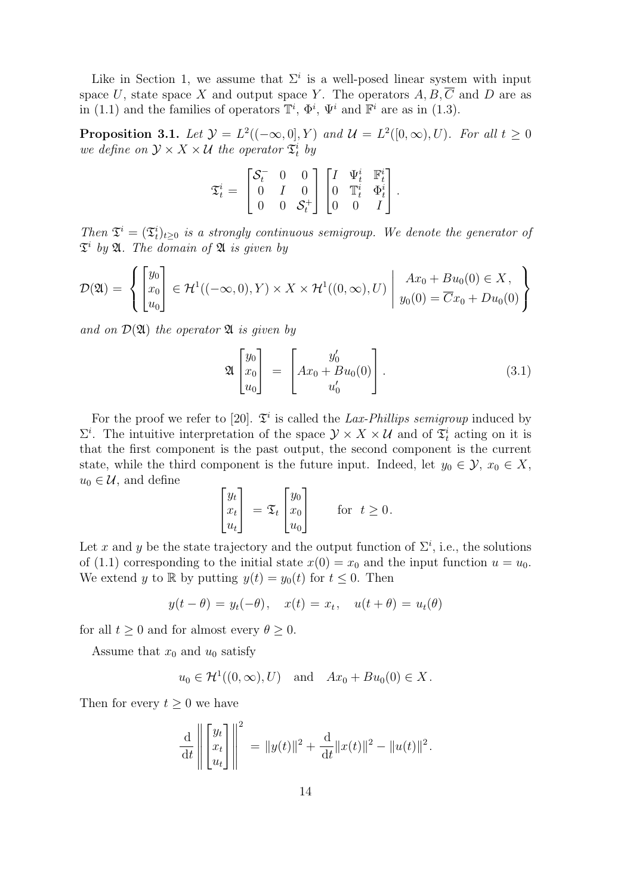Like in Section 1, we assume that  $\Sigma^i$  is a well-posed linear system with input space U, state space X and output space Y. The operators  $A, B, \overline{C}$  and D are as in (1.1) and the families of operators  $\mathbb{T}^i$ ,  $\Phi^i$ ,  $\Psi^i$  and  $\mathbb{F}^i$  are as in (1.3).

**Proposition 3.1.** Let  $\mathcal{Y} = L^2((-\infty,0],Y)$  and  $\mathcal{U} = L^2([0,\infty),U)$ . For all  $t \geq 0$ we define on  $\mathcal{Y} \times X \times \mathcal{U}$  the operator  $\mathfrak{T}_t^i$  by

$$
\mathfrak{T}^i_t = \begin{bmatrix} \mathcal{S}^-_t & 0 & 0 \\ 0 & I & 0 \\ 0 & 0 & \mathcal{S}^+_t \end{bmatrix} \begin{bmatrix} I & \Psi^i_t & \mathbb{F}^i_t \\ 0 & \mathbb{T}^i_t & \Phi^i_t \\ 0 & 0 & I \end{bmatrix}.
$$

Then  $\mathfrak{T}^i = (\mathfrak{T}^i_t)_{t \geq 0}$  is a strongly continuous semigroup. We denote the generator of  $\mathfrak{T}^i$  by  $\mathfrak{A}$ . The domain of  $\mathfrak A$  is given by

$$
\mathcal{D}(\mathfrak{A}) = \left\{ \begin{bmatrix} y_0 \\ x_0 \\ u_0 \end{bmatrix} \in \mathcal{H}^1((-\infty, 0), Y) \times X \times \mathcal{H}^1((0, \infty), U) \mid \begin{aligned} Ax_0 + Bu_0(0) &\in X, \\ y_0(0) &= \overline{C}x_0 + Du_0(0) \end{aligned} \right\}
$$

and on  $\mathcal{D}(\mathfrak{A})$  the operator  $\mathfrak A$  is given by

$$
\mathfrak{A}\begin{bmatrix}y_0\\x_0\\u_0\end{bmatrix} = \begin{bmatrix}y'_0\\Ax_0 + Bu_0(0)\\u'_0\end{bmatrix}.
$$
\n(3.1)

For the proof we refer to [20].  $\mathfrak{T}^i$  is called the Lax-Phillips semigroup induced by  $\Sigma^i$ . The intuitive interpretation of the space  $\mathcal{Y} \times X \times \mathcal{U}$  and of  $\mathfrak{T}_t^i$  acting on it is that the first component is the past output, the second component is the current state, while the third component is the future input. Indeed, let  $y_0 \in \mathcal{Y}, x_0 \in X$ ,  $u_0 \in \mathcal{U}$ , and define

$$
\begin{bmatrix} y_t \\ x_t \\ u_t \end{bmatrix} = \mathfrak{T}_t \begin{bmatrix} y_0 \\ x_0 \\ u_0 \end{bmatrix} \quad \text{for } t \ge 0.
$$

Let x and y be the state trajectory and the output function of  $\Sigma^i$ , i.e., the solutions of (1.1) corresponding to the initial state  $x(0) = x_0$  and the input function  $u = u_0$ . We extend y to R by putting  $y(t) = y_0(t)$  for  $t \leq 0$ . Then

$$
y(t - \theta) = y_t(-\theta), \quad x(t) = x_t, \quad u(t + \theta) = u_t(\theta)
$$

for all  $t \geq 0$  and for almost every  $\theta \geq 0$ .

Assume that  $x_0$  and  $u_0$  satisfy

$$
u_0 \in \mathcal{H}^1((0,\infty),U)
$$
 and  $Ax_0 + Bu_0(0) \in X$ .

Then for every  $t \geq 0$  we have

$$
\frac{\mathrm{d}}{\mathrm{d}t} \left\| \begin{bmatrix} y_t \\ x_t \\ u_t \end{bmatrix} \right\|^2 = \|y(t)\|^2 + \frac{\mathrm{d}}{\mathrm{d}t} \|x(t)\|^2 - \|u(t)\|^2.
$$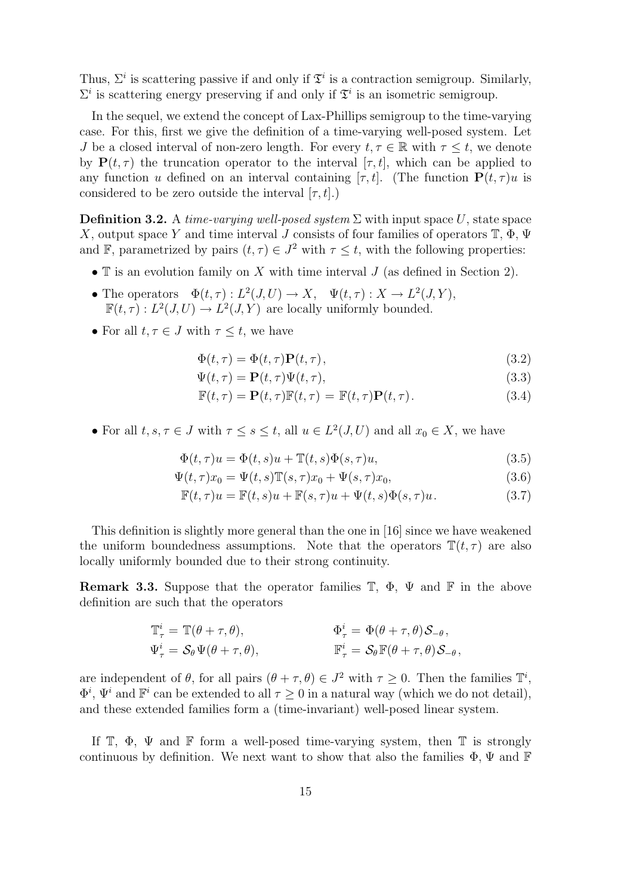Thus,  $\Sigma^i$  is scattering passive if and only if  $\mathfrak{T}^i$  is a contraction semigroup. Similarly,  $\Sigma^i$  is scattering energy preserving if and only if  $\mathfrak{T}^i$  is an isometric semigroup.

In the sequel, we extend the concept of Lax-Phillips semigroup to the time-varying case. For this, first we give the definition of a time-varying well-posed system. Let J be a closed interval of non-zero length. For every  $t, \tau \in \mathbb{R}$  with  $\tau \leq t$ , we denote by  $P(t, \tau)$  the truncation operator to the interval  $[\tau, t]$ , which can be applied to any function u defined on an interval containing [ $\tau$ ,  $t$ ]. (The function  $P(t, \tau)u$  is considered to be zero outside the interval  $[\tau, t]$ .)

**Definition 3.2.** A time-varying well-posed system  $\Sigma$  with input space U, state space X, output space Y and time interval J consists of four families of operators  $\mathbb{T}, \Phi, \Psi$ and F, parametrized by pairs  $(t, \tau) \in J^2$  with  $\tau \leq t$ , with the following properties:

- $\mathbb T$  is an evolution family on X with time interval  $J$  (as defined in Section 2).
- The operators  $\Phi(t,\tau): L^2(J,U) \to X$ ,  $\Psi(t,\tau): X \to L^2(J,Y)$ ,  $\mathbb{F}(t,\tau): L^2(J,U) \to L^2(J,Y)$  are locally uniformly bounded.
- For all  $t, \tau \in J$  with  $\tau \leq t$ , we have

$$
\Phi(t,\tau) = \Phi(t,\tau)\mathbf{P}(t,\tau),\tag{3.2}
$$

$$
\Psi(t,\tau) = \mathbf{P}(t,\tau)\Psi(t,\tau),\tag{3.3}
$$

$$
\mathbb{F}(t,\tau) = \mathbf{P}(t,\tau)\mathbb{F}(t,\tau) = \mathbb{F}(t,\tau)\mathbf{P}(t,\tau).
$$
\n(3.4)

• For all  $t, s, \tau \in J$  with  $\tau \leq s \leq t$ , all  $u \in L^2(J, U)$  and all  $x_0 \in X$ , we have

$$
\Phi(t,\tau)u = \Phi(t,s)u + \mathbb{T}(t,s)\Phi(s,\tau)u,\tag{3.5}
$$

$$
\Psi(t,\tau)x_0 = \Psi(t,s)\mathbb{T}(s,\tau)x_0 + \Psi(s,\tau)x_0,\tag{3.6}
$$

$$
\mathbb{F}(t,\tau)u = \mathbb{F}(t,s)u + \mathbb{F}(s,\tau)u + \Psi(t,s)\Phi(s,\tau)u.
$$
\n(3.7)

This definition is slightly more general than the one in [16] since we have weakened the uniform boundedness assumptions. Note that the operators  $\mathbb{T}(t, \tau)$  are also locally uniformly bounded due to their strong continuity.

**Remark 3.3.** Suppose that the operator families  $\mathbb{T}$ ,  $\Phi$ ,  $\Psi$  and  $\mathbb{F}$  in the above definition are such that the operators

$$
\mathbb{T}^i_\tau = \mathbb{T}(\theta + \tau, \theta), \qquad \qquad \Phi^i_\tau = \Phi(\theta + \tau, \theta) \mathcal{S}_{-\theta},
$$
  

$$
\Psi^i_\tau = \mathcal{S}_{\theta} \Psi(\theta + \tau, \theta), \qquad \qquad \mathbb{F}^i_\tau = \mathcal{S}_{\theta} \mathbb{F}(\theta + \tau, \theta) \mathcal{S}_{-\theta},
$$

are independent of  $\theta$ , for all pairs  $(\theta + \tau, \theta) \in J^2$  with  $\tau \geq 0$ . Then the families  $\mathbb{T}^i$ ,  $\Phi^i$ ,  $\Psi^i$  and  $\mathbb{F}^i$  can be extended to all  $\tau \geq 0$  in a natural way (which we do not detail), and these extended families form a (time-invariant) well-posed linear system.

If  $\mathbb{T}$ ,  $\Phi$ ,  $\Psi$  and  $\mathbb{F}$  form a well-posed time-varying system, then  $\mathbb{T}$  is strongly continuous by definition. We next want to show that also the families  $\Phi$ ,  $\Psi$  and  $\mathbb F$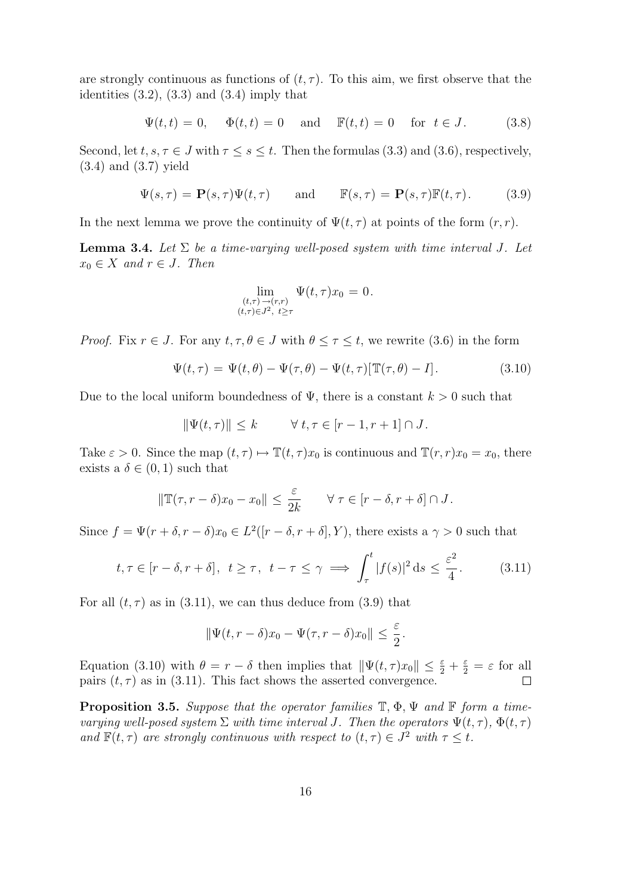are strongly continuous as functions of  $(t, \tau)$ . To this aim, we first observe that the identities  $(3.2)$ ,  $(3.3)$  and  $(3.4)$  imply that

$$
\Psi(t,t) = 0, \quad \Phi(t,t) = 0 \quad \text{and} \quad \mathbb{F}(t,t) = 0 \quad \text{for } t \in J. \tag{3.8}
$$

Second, let  $t, s, \tau \in J$  with  $\tau \leq s \leq t$ . Then the formulas (3.3) and (3.6), respectively, (3.4) and (3.7) yield

$$
\Psi(s,\tau) = \mathbf{P}(s,\tau)\Psi(t,\tau) \quad \text{and} \quad \mathbb{F}(s,\tau) = \mathbf{P}(s,\tau)\mathbb{F}(t,\tau). \quad (3.9)
$$

In the next lemma we prove the continuity of  $\Psi(t, \tau)$  at points of the form  $(r, r)$ .

**Lemma 3.4.** Let  $\Sigma$  be a time-varying well-posed system with time interval J. Let  $x_0 \in X$  and  $r \in J$ . Then

$$
\lim_{\substack{(t,\tau)\to(r,r)\\(t,\tau)\in J^2,\ t\geq \tau}} \Psi(t,\tau)x_0 = 0.
$$

*Proof.* Fix  $r \in J$ . For any  $t, \tau, \theta \in J$  with  $\theta \leq \tau \leq t$ , we rewrite (3.6) in the form

$$
\Psi(t,\tau) = \Psi(t,\theta) - \Psi(\tau,\theta) - \Psi(t,\tau)[\mathbb{T}(\tau,\theta) - I]. \tag{3.10}
$$

Due to the local uniform boundedness of  $\Psi$ , there is a constant  $k > 0$  such that

$$
\|\Psi(t,\tau)\| \le k \qquad \forall \ t,\tau \in [r-1,r+1] \cap J.
$$

Take  $\varepsilon > 0$ . Since the map  $(t, \tau) \mapsto \mathbb{T}(t, \tau)x_0$  is continuous and  $\mathbb{T}(r, r)x_0 = x_0$ , there exists a  $\delta \in (0,1)$  such that

$$
\|\mathbb{T}(\tau,r-\delta)x_0-x_0\|\leq \frac{\varepsilon}{2k} \qquad \forall \ \tau\in[r-\delta,r+\delta]\cap J.
$$

Since  $f = \Psi(r + \delta, r - \delta)x_0 \in L^2([r - \delta, r + \delta], Y)$ , there exists a  $\gamma > 0$  such that

$$
t, \tau \in [r - \delta, r + \delta], t \geq \tau, t - \tau \leq \gamma \implies \int_{\tau}^{t} |f(s)|^2 ds \leq \frac{\varepsilon^2}{4}.
$$
 (3.11)

For all  $(t, \tau)$  as in (3.11), we can thus deduce from (3.9) that

$$
\|\Psi(t,r-\delta)x_0 - \Psi(\tau,r-\delta)x_0\| \le \frac{\varepsilon}{2}.
$$

Equation (3.10) with  $\theta = r - \delta$  then implies that  $\|\Psi(t, \tau)x_0\| \leq \frac{\varepsilon}{2} + \frac{\varepsilon}{2} = \varepsilon$  for all pairs  $(t, \tau)$  as in (3.11). This fact shows the asserted convergence.

**Proposition 3.5.** Suppose that the operator families  $\mathbb{T}, \Phi, \Psi$  and  $\mathbb{F}$  form a timevarying well-posed system  $\Sigma$  with time interval J. Then the operators  $\Psi(t,\tau)$ ,  $\Phi(t,\tau)$ and  $\mathbb{F}(t,\tau)$  are strongly continuous with respect to  $(t,\tau) \in J^2$  with  $\tau \leq t$ .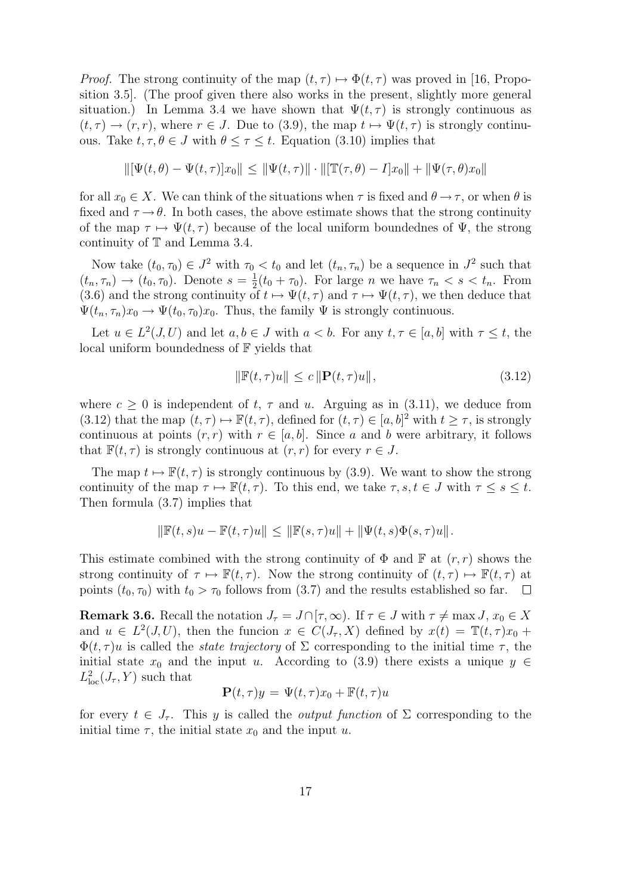*Proof.* The strong continuity of the map  $(t, \tau) \mapsto \Phi(t, \tau)$  was proved in [16, Proposition 3.5]. (The proof given there also works in the present, slightly more general situation.) In Lemma 3.4 we have shown that  $\Psi(t, \tau)$  is strongly continuous as  $(t, \tau) \rightarrow (r, r)$ , where  $r \in J$ . Due to (3.9), the map  $t \mapsto \Psi(t, \tau)$  is strongly continuous. Take  $t, \tau, \theta \in J$  with  $\theta \leq \tau \leq t$ . Equation (3.10) implies that

$$
\|[\Psi(t,\theta)-\Psi(t,\tau)]x_0\|\leq \|\Psi(t,\tau)\|\cdot\|[\mathbb{T}(\tau,\theta)-I]x_0\|+\|\Psi(\tau,\theta)x_0\|
$$

for all  $x_0 \in X$ . We can think of the situations when  $\tau$  is fixed and  $\theta \to \tau$ , or when  $\theta$  is fixed and  $\tau \rightarrow \theta$ . In both cases, the above estimate shows that the strong continuity of the map  $\tau \mapsto \Psi(t, \tau)$  because of the local uniform boundednes of  $\Psi$ , the strong continuity of T and Lemma 3.4.

Now take  $(t_0, \tau_0) \in J^2$  with  $\tau_0 < t_0$  and let  $(t_n, \tau_n)$  be a sequence in  $J^2$  such that  $(t_n, \tau_n) \rightarrow (t_0, \tau_0)$ . Denote  $s = \frac{1}{2}$  $\frac{1}{2}(t_0 + \tau_0)$ . For large *n* we have  $\tau_n < s < t_n$ . From (3.6) and the strong continuity of  $t \mapsto \Psi(t, \tau)$  and  $\tau \mapsto \Psi(t, \tau)$ , we then deduce that  $\Psi(t_n, \tau_n)x_0 \to \Psi(t_0, \tau_0)x_0$ . Thus, the family  $\Psi$  is strongly continuous.

Let  $u \in L^2(J, U)$  and let  $a, b \in J$  with  $a < b$ . For any  $t, \tau \in [a, b]$  with  $\tau \leq t$ , the local uniform boundedness of F yields that

$$
\|\mathbb{F}(t,\tau)u\| \le c\|\mathbf{P}(t,\tau)u\|,\tag{3.12}
$$

where  $c \geq 0$  is independent of t,  $\tau$  and u. Arguing as in (3.11), we deduce from (3.12) that the map  $(t, \tau) \mapsto \mathbb{F}(t, \tau)$ , defined for  $(t, \tau) \in [a, b]^2$  with  $t \geq \tau$ , is strongly continuous at points  $(r, r)$  with  $r \in [a, b]$ . Since a and b were arbitrary, it follows that  $\mathbb{F}(t,\tau)$  is strongly continuous at  $(r,r)$  for every  $r \in J$ .

The map  $t \mapsto \mathbb{F}(t, \tau)$  is strongly continuous by (3.9). We want to show the strong continuity of the map  $\tau \mapsto \mathbb{F}(t, \tau)$ . To this end, we take  $\tau, s, t \in J$  with  $\tau \le s \le t$ . Then formula (3.7) implies that

$$
\|\mathbb{F}(t,s)u - \mathbb{F}(t,\tau)u\| \le \|\mathbb{F}(s,\tau)u\| + \|\Psi(t,s)\Phi(s,\tau)u\|.
$$

This estimate combined with the strong continuity of  $\Phi$  and  $\mathbb F$  at  $(r, r)$  shows the strong continuity of  $\tau \mapsto \mathbb{F}(t, \tau)$ . Now the strong continuity of  $(t, \tau) \mapsto \mathbb{F}(t, \tau)$  at points  $(t_0, \tau_0)$  with  $t_0 > \tau_0$  follows from  $(3.7)$  and the results established so far.  $\Box$ 

**Remark 3.6.** Recall the notation  $J_{\tau} = J \cap [\tau, \infty)$ . If  $\tau \in J$  with  $\tau \neq \max J$ ,  $x_0 \in X$ and  $u \in L^2(J, U)$ , then the funcion  $x \in C(J_\tau, X)$  defined by  $x(t) = \mathbb{T}(t, \tau)x_0 +$  $\Phi(t,\tau)u$  is called the *state trajectory* of  $\Sigma$  corresponding to the initial time  $\tau$ , the initial state  $x_0$  and the input u. According to (3.9) there exists a unique  $y \in$  $L^2_{\text{loc}}(J_\tau, Y)$  such that

$$
\mathbf{P}(t,\tau)y = \Psi(t,\tau)x_0 + \mathbb{F}(t,\tau)u
$$

for every  $t \in J_{\tau}$ . This y is called the *output function* of  $\Sigma$  corresponding to the initial time  $\tau$ , the initial state  $x_0$  and the input u.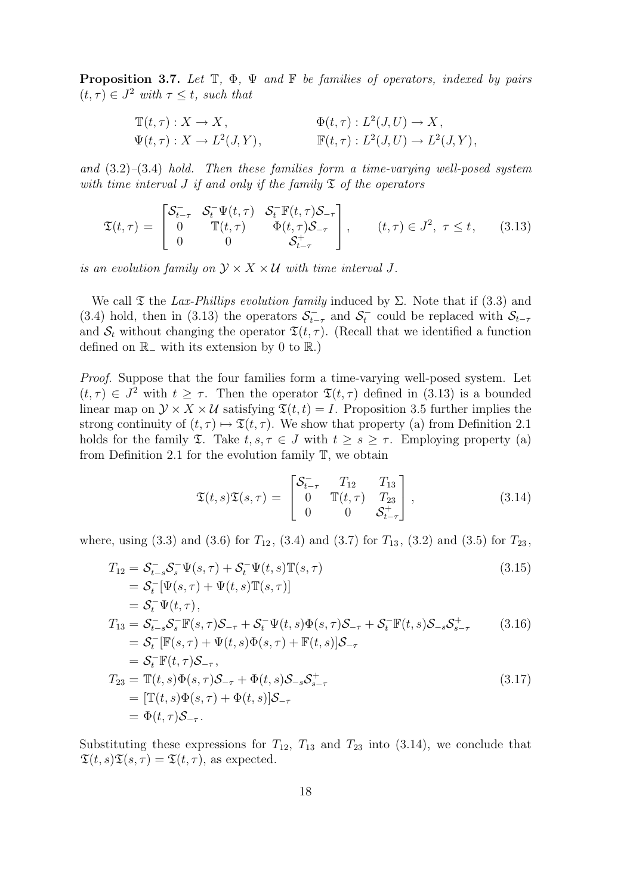**Proposition 3.7.** Let  $\mathbb{T}$ ,  $\Phi$ ,  $\Psi$  and  $\mathbb{F}$  be families of operators, indexed by pairs  $(t, \tau) \in J^2$  with  $\tau \leq t$ , such that

$$
\mathbb{T}(t,\tau): X \to X, \qquad \Phi(t,\tau): L^2(J,U) \to X, \n\Psi(t,\tau): X \to L^2(J,Y), \qquad \mathbb{F}(t,\tau): L^2(J,U) \to L^2(J,Y),
$$

and  $(3.2)$ – $(3.4)$  hold. Then these families form a time-varying well-posed system with time interval J if and only if the family  $\mathfrak T$  of the operators

$$
\mathfrak{T}(t,\tau) = \begin{bmatrix} \mathcal{S}_{t-\tau}^{-} & \mathcal{S}_{t}^{-}\Psi(t,\tau) & \mathcal{S}_{t}^{-}\mathbb{F}(t,\tau)\mathcal{S}_{-\tau} \\ 0 & \mathbb{T}(t,\tau) & \Phi(t,\tau)\mathcal{S}_{-\tau} \\ 0 & 0 & \mathcal{S}_{t-\tau}^{+} \end{bmatrix}, \qquad (t,\tau) \in J^{2}, \ \tau \leq t, \qquad (3.13)
$$

is an evolution family on  $\mathcal{Y} \times X \times U$  with time interval J.

We call  $\mathfrak X$  the Lax-Phillips evolution family induced by  $\Sigma$ . Note that if (3.3) and (3.4) hold, then in (3.13) the operators  $S_{t-\tau}^-$  and  $S_t^-$  could be replaced with  $S_{t-\tau}$ and  $S_t$  without changing the operator  $\mathfrak{T}(t, \tau)$ . (Recall that we identified a function defined on  $\mathbb{R}_-$  with its extension by 0 to  $\mathbb{R}$ .)

Proof. Suppose that the four families form a time-varying well-posed system. Let  $(t, \tau) \in J^2$  with  $t \geq \tau$ . Then the operator  $\mathfrak{T}(t, \tau)$  defined in (3.13) is a bounded linear map on  $\mathcal{Y} \times X \times \mathcal{U}$  satisfying  $\mathfrak{T}(t,t) = I$ . Proposition 3.5 further implies the strong continuity of  $(t, \tau) \mapsto \mathfrak{T}(t, \tau)$ . We show that property (a) from Definition 2.1 holds for the family  $\mathfrak{T}$ . Take  $t, s, \tau \in J$  with  $t \geq s \geq \tau$ . Employing property (a) from Definition 2.1 for the evolution family T, we obtain

$$
\mathfrak{T}(t,s)\mathfrak{T}(s,\tau) = \begin{bmatrix} \mathcal{S}_{t-\tau}^- & T_{12} & T_{13} \\ 0 & \mathbb{T}(t,\tau) & T_{23} \\ 0 & 0 & \mathcal{S}_{t-\tau}^+ \end{bmatrix},
$$
\n(3.14)

where, using (3.3) and (3.6) for  $T_{12}$ , (3.4) and (3.7) for  $T_{13}$ , (3.2) and (3.5) for  $T_{23}$ ,

$$
T_{12} = \mathcal{S}_{t-s}^{-} \mathcal{S}_{s}^{-} \Psi(s,\tau) + \mathcal{S}_{t}^{-} \Psi(t,s) \mathbb{T}(s,\tau)
$$
(3.15)  
\n
$$
= \mathcal{S}_{t}^{-} [\Psi(s,\tau) + \Psi(t,s) \mathbb{T}(s,\tau)]
$$
  
\n
$$
= \mathcal{S}_{t}^{-} \Psi(t,\tau),
$$
  
\n
$$
T_{13} = \mathcal{S}_{t-s}^{-} \mathcal{S}_{s}^{-} \mathbb{F}(s,\tau) \mathcal{S}_{-\tau} + \mathcal{S}_{t}^{-} \Psi(t,s) \Phi(s,\tau) \mathcal{S}_{-\tau} + \mathcal{S}_{t}^{-} \mathbb{F}(t,s) \mathcal{S}_{-s} \mathcal{S}_{s-\tau}^{+}
$$
(3.16)  
\n
$$
= \mathcal{S}_{t}^{-} [\mathbb{F}(s,\tau) + \Psi(t,s) \Phi(s,\tau) + \mathbb{F}(t,s)] \mathcal{S}_{-\tau}
$$
  
\n
$$
= \mathcal{S}_{t}^{-} \mathbb{F}(t,\tau) \mathcal{S}_{-\tau},
$$
  
\n
$$
T_{23} = \mathbb{T}(t,s) \Phi(s,\tau) \mathcal{S}_{-\tau} + \Phi(t,s) \mathcal{S}_{-s} \mathcal{S}_{s-\tau}^{+}
$$
  
\n
$$
= [\mathbb{T}(t,s) \Phi(s,\tau) + \Phi(t,s)] \mathcal{S}_{-\tau}
$$
  
\n
$$
= \Phi(t,\tau) \mathcal{S}_{-\tau}.
$$
(3.17)

Substituting these expressions for  $T_{12}$ ,  $T_{13}$  and  $T_{23}$  into (3.14), we conclude that  $\mathfrak{T}(t, s)\mathfrak{T}(s, \tau) = \mathfrak{T}(t, \tau)$ , as expected.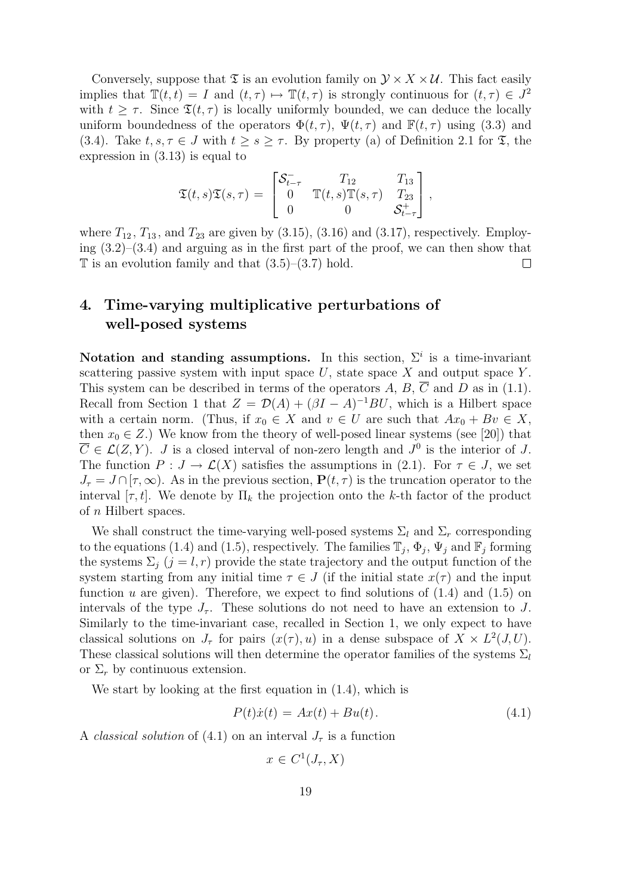Conversely, suppose that  $\mathfrak T$  is an evolution family on  $\mathcal Y \times X \times \mathcal U$ . This fact easily implies that  $\mathbb{T}(t,t) = I$  and  $(t,\tau) \mapsto \mathbb{T}(t,\tau)$  is strongly continuous for  $(t,\tau) \in J^2$ with  $t \geq \tau$ . Since  $\mathfrak{T}(t, \tau)$  is locally uniformly bounded, we can deduce the locally uniform boundedness of the operators  $\Phi(t, \tau)$ ,  $\Psi(t, \tau)$  and  $\mathbb{F}(t, \tau)$  using (3.3) and (3.4). Take  $t, s, \tau \in J$  with  $t \geq s \geq \tau$ . By property (a) of Definition 2.1 for  $\mathfrak{T}$ , the expression in (3.13) is equal to

$$
\mathfrak{T}(t,s)\mathfrak{T}(s,\tau) = \begin{bmatrix} \mathcal{S}_{t-\tau}^- & T_{12} & T_{13} \\ 0 & \mathbb{T}(t,s)\mathbb{T}(s,\tau) & T_{23} \\ 0 & 0 & \mathcal{S}_{t-\tau}^+ \end{bmatrix},
$$

where  $T_{12}$ ,  $T_{13}$ , and  $T_{23}$  are given by  $(3.15)$ ,  $(3.16)$  and  $(3.17)$ , respectively. Employing (3.2)–(3.4) and arguing as in the first part of the proof, we can then show that  $\mathbb T$  is an evolution family and that  $(3.5)$ – $(3.7)$  hold.  $\Box$ 

## 4. Time-varying multiplicative perturbations of well-posed systems

Notation and standing assumptions. In this section,  $\Sigma^i$  is a time-invariant scattering passive system with input space  $U$ , state space  $X$  and output space  $Y$ . This system can be described in terms of the operators A, B,  $\overline{C}$  and D as in (1.1). Recall from Section 1 that  $Z = \mathcal{D}(A) + (\beta I - A)^{-1}BU$ , which is a Hilbert space with a certain norm. (Thus, if  $x_0 \in X$  and  $v \in U$  are such that  $Ax_0 + Bv \in X$ , then  $x_0 \in Z$ .) We know from the theory of well-posed linear systems (see [20]) that  $\overline{C} \in \mathcal{L}(Z, Y)$ . J is a closed interval of non-zero length and  $J^0$  is the interior of J. The function  $P: J \to \mathcal{L}(X)$  satisfies the assumptions in (2.1). For  $\tau \in J$ , we set  $J_{\tau} = J \cap [\tau, \infty)$ . As in the previous section,  $P(t, \tau)$  is the truncation operator to the interval  $[\tau, t]$ . We denote by  $\Pi_k$  the projection onto the k-th factor of the product of n Hilbert spaces.

We shall construct the time-varying well-posed systems  $\Sigma_l$  and  $\Sigma_r$  corresponding to the equations (1.4) and (1.5), respectively. The families  $\mathbb{T}_j$ ,  $\Phi_j$ ,  $\Psi_j$  and  $\mathbb{F}_j$  forming the systems  $\Sigma_i$   $(j = l, r)$  provide the state trajectory and the output function of the system starting from any initial time  $\tau \in J$  (if the initial state  $x(\tau)$ ) and the input function u are given). Therefore, we expect to find solutions of  $(1.4)$  and  $(1.5)$  on intervals of the type  $J_{\tau}$ . These solutions do not need to have an extension to J. Similarly to the time-invariant case, recalled in Section 1, we only expect to have classical solutions on  $J_{\tau}$  for pairs  $(x(\tau), u)$  in a dense subspace of  $X \times L^2(J, U)$ . These classical solutions will then determine the operator families of the systems  $\Sigma_l$ or  $\Sigma_r$  by continuous extension.

We start by looking at the first equation in (1.4), which is

$$
P(t)\dot{x}(t) = Ax(t) + Bu(t).
$$
\n(4.1)

A classical solution of (4.1) on an interval  $J_{\tau}$  is a function

$$
x \in C^1(J_\tau, X)
$$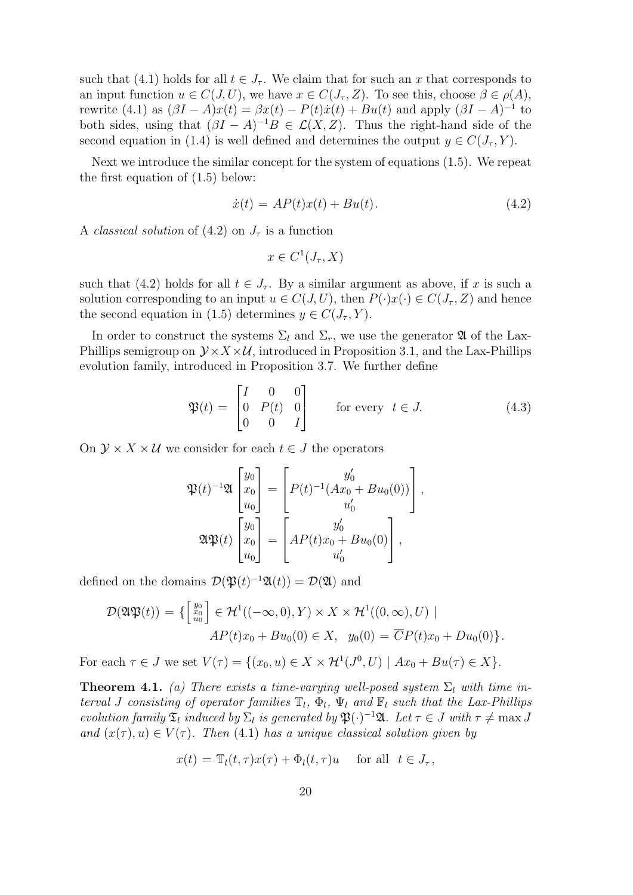such that (4.1) holds for all  $t \in J_{\tau}$ . We claim that for such an x that corresponds to an input function  $u \in C(J, U)$ , we have  $x \in C(J_\tau, Z)$ . To see this, choose  $\beta \in \rho(A)$ , rewrite (4.1) as  $(\beta I - A)x(t) = \beta x(t) - P(t)\dot{x}(t) + Bu(t)$  and apply  $(\beta I - A)^{-1}$  to both sides, using that  $(\beta I - A)^{-1}B \in \mathcal{L}(X, Z)$ . Thus the right-hand side of the second equation in (1.4) is well defined and determines the output  $y \in C(J_\tau, Y)$ .

Next we introduce the similar concept for the system of equations (1.5). We repeat the first equation of (1.5) below:

$$
\dot{x}(t) = AP(t)x(t) + Bu(t). \tag{4.2}
$$

A *classical solution* of  $(4.2)$  on  $J_{\tau}$  is a function

$$
x \in C^1(J_\tau, X)
$$

such that (4.2) holds for all  $t \in J_{\tau}$ . By a similar argument as above, if x is such a solution corresponding to an input  $u \in C(J, U)$ , then  $P(\cdot)x(\cdot) \in C(J_\tau, Z)$  and hence the second equation in (1.5) determines  $y \in C(J_\tau, Y)$ .

In order to construct the systems  $\Sigma_l$  and  $\Sigma_r$ , we use the generator **2** of the Lax-Phillips semigroup on  $\mathcal{Y} \times X \times \mathcal{U}$ , introduced in Proposition 3.1, and the Lax-Phillips evolution family, introduced in Proposition 3.7. We further define

$$
\mathfrak{P}(t) = \begin{bmatrix} I & 0 & 0 \\ 0 & P(t) & 0 \\ 0 & 0 & I \end{bmatrix} \quad \text{for every } t \in J. \tag{4.3}
$$

On  $\mathcal{Y} \times X \times \mathcal{U}$  we consider for each  $t \in J$  the operators

$$
\mathfrak{P}(t)^{-1}\mathfrak{A}\begin{bmatrix}y_0\\x_0\\u_0\end{bmatrix}=\begin{bmatrix}y'_0\\P(t)^{-1}(Ax_0+Bu_0(0))\\u'_0\\u'_0\end{bmatrix},
$$

$$
\mathfrak{A}\mathfrak{P}(t)\begin{bmatrix}y_0\\x_0\\u_0\end{bmatrix}=\begin{bmatrix}y'_0\\AP(t)x_0+Bu_0(0)\\u'_0\end{bmatrix},
$$

defined on the domains  $\mathcal{D}(\mathfrak{P}(t)^{-1}\mathfrak{A}(t)) = \mathcal{D}(\mathfrak{A})$  and

$$
\mathcal{D}(\mathfrak{A}\mathfrak{P}(t)) = \{ \begin{bmatrix} y_0 \\ x_0 \\ u_0 \end{bmatrix} \in \mathcal{H}^1((-\infty, 0), Y) \times X \times \mathcal{H}^1((0, \infty), U) \mid
$$
  
 
$$
AP(t)x_0 + Bu_0(0) \in X, \quad y_0(0) = \overline{C}P(t)x_0 + Du_0(0) \}.
$$

For each  $\tau \in J$  we set  $V(\tau) = \{(x_0, u) \in X \times \mathcal{H}^1(J^0, U) \mid Ax_0 + Bu(\tau) \in X\}.$ 

**Theorem 4.1.** (a) There exists a time-varying well-posed system  $\Sigma_l$  with time interval J consisting of operator families  $\mathbb{T}_l$ ,  $\Phi_l$ ,  $\Psi_l$  and  $\mathbb{F}_l$  such that the Lax-Phillips evolution family  $\mathfrak{T}_l$  induced by  $\Sigma_l$  is generated by  $\mathfrak{P}(\cdot)^{-1}\mathfrak{A}$ . Let  $\tau \in J$  with  $\tau \neq \max J$ and  $(x(\tau), u) \in V(\tau)$ . Then (4.1) has a unique classical solution given by

$$
x(t) = \mathbb{T}_l(t, \tau) x(\tau) + \Phi_l(t, \tau) u \quad \text{for all} \ \ t \in J_\tau,
$$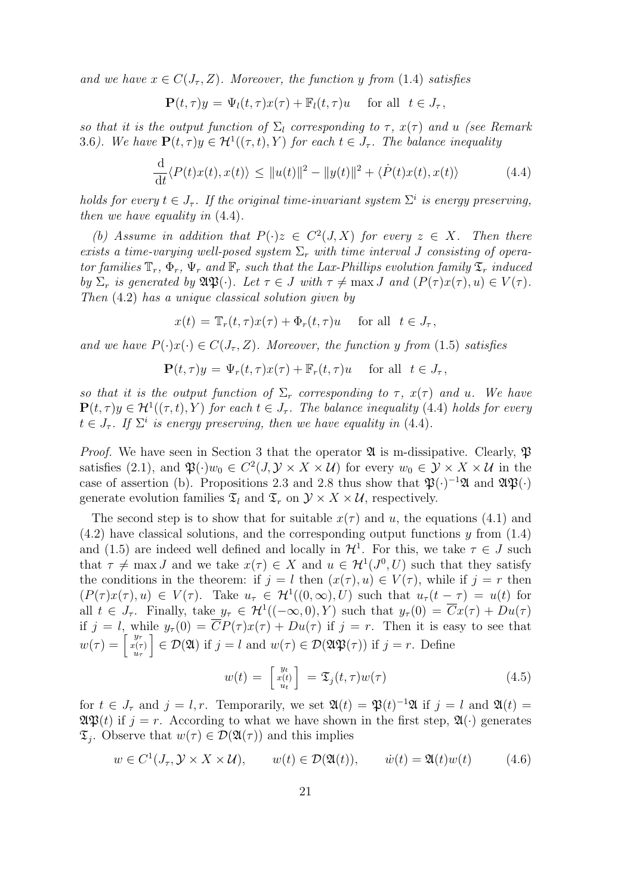and we have  $x \in C(J_\tau, Z)$ . Moreover, the function y from (1.4) satisfies

$$
\mathbf{P}(t,\tau)y = \Psi_l(t,\tau)x(\tau) + \mathbb{F}_l(t,\tau)u \quad \text{ for all } t \in J_\tau,
$$

so that it is the output function of  $\Sigma_l$  corresponding to  $\tau$ ,  $x(\tau)$  and u (see Remark 3.6). We have  $\mathbf{P}(t,\tau)y \in \mathcal{H}^{1}((\tau,t),Y)$  for each  $t \in J_{\tau}$ . The balance inequality

$$
\frac{\mathrm{d}}{\mathrm{d}t} \langle P(t)x(t), x(t) \rangle \le ||u(t)||^2 - ||y(t)||^2 + \langle \dot{P}(t)x(t), x(t) \rangle \tag{4.4}
$$

holds for every  $t \in J_{\tau}$ . If the original time-invariant system  $\Sigma^{i}$  is energy preserving, then we have equality in (4.4).

(b) Assume in addition that  $P(\cdot)z \in C^2(J,X)$  for every  $z \in X$ . Then there exists a time-varying well-posed system  $\Sigma_r$  with time interval J consisting of operator families  $\mathbb{T}_r$ ,  $\Phi_r$ ,  $\Psi_r$  and  $\mathbb{F}_r$  such that the Lax-Phillips evolution family  $\mathfrak{T}_r$  induced by  $\Sigma_r$  is generated by  $\mathfrak{A}\mathfrak{P}(\cdot)$ . Let  $\tau \in J$  with  $\tau \neq \max J$  and  $(P(\tau)x(\tau), u) \in V(\tau)$ . Then (4.2) has a unique classical solution given by

$$
x(t) = \mathbb{T}_r(t, \tau) x(\tau) + \Phi_r(t, \tau) u \quad \text{for all} \ \ t \in J_\tau,
$$

and we have  $P(\cdot)x(\cdot) \in C(J_\tau, Z)$ . Moreover, the function y from (1.5) satisfies

$$
\mathbf{P}(t,\tau)y = \Psi_r(t,\tau)x(\tau) + \mathbb{F}_r(t,\tau)u \quad \text{for all} \ \ t \in J_\tau,
$$

so that it is the output function of  $\Sigma_r$  corresponding to  $\tau$ ,  $x(\tau)$  and u. We have  $\mathbf{P}(t,\tau)y \in \mathcal{H}^{1}((\tau,t),Y)$  for each  $t \in J_{\tau}$ . The balance inequality (4.4) holds for every  $t \in J_{\tau}$ . If  $\Sigma^{i}$  is energy preserving, then we have equality in (4.4).

*Proof.* We have seen in Section 3 that the operator  $\mathfrak A$  is m-dissipative. Clearly,  $\mathfrak P$ satisfies (2.1), and  $\mathfrak{P}(\cdot)w_0 \in C^2(J, \mathcal{Y} \times X \times \mathcal{U})$  for every  $w_0 \in \mathcal{Y} \times X \times \mathcal{U}$  in the case of assertion (b). Propositions 2.3 and 2.8 thus show that  $\mathfrak{P}(\cdot)^{-1}\mathfrak{A}$  and  $\mathfrak{P}(\cdot)$ generate evolution families  $\mathfrak{T}_l$  and  $\mathfrak{T}_r$  on  $\mathcal{Y} \times X \times \mathcal{U}$ , respectively.

The second step is to show that for suitable  $x(\tau)$  and u, the equations (4.1) and  $(4.2)$  have classical solutions, and the corresponding output functions y from  $(1.4)$ and (1.5) are indeed well defined and locally in  $\mathcal{H}^1$ . For this, we take  $\tau \in J$  such that  $\tau \neq \max J$  and we take  $x(\tau) \in X$  and  $u \in H^1(J^0, U)$  such that they satisfy the conditions in the theorem: if  $j = l$  then  $(x(\tau), u) \in V(\tau)$ , while if  $j = r$  then  $(P(\tau)x(\tau),u) \in V(\tau)$ . Take  $u_{\tau} \in H^1((0,\infty),U)$  such that  $u_{\tau}(t-\tau) = u(t)$  for all  $t \in J_{\tau}$ . Finally, take  $y_{\tau} \in H^1((-\infty,0), Y)$  such that  $y_{\tau}(0) = \overline{C}x(\tau) + Du(\tau)$ if  $j = l$ , while  $y_\tau(0) = \overline{C}P(\tau)x(\tau) + Du(\tau)$  if  $j = r$ . Then it is easy to see that  $w(\tau) = \begin{bmatrix} y_\tau \ x(\tau) \ u_\tau \end{bmatrix}$  $\mathcal{D}(\mathfrak{A})$  if  $j = l$  and  $w(\tau) \in \mathcal{D}(\mathfrak{A}\mathfrak{P}(\tau))$  if  $j = r$ . Define

$$
w(t) = \begin{bmatrix} y_t \\ x(t) \\ u_t \end{bmatrix} = \mathfrak{T}_j(t, \tau) w(\tau) \tag{4.5}
$$

for  $t \in J_{\tau}$  and  $j = l, r$ . Temporarily, we set  $\mathfrak{A}(t) = \mathfrak{P}(t)^{-1}\mathfrak{A}$  if  $j = l$  and  $\mathfrak{A}(t) =$  $\mathfrak{A}\mathfrak{P}(t)$  if  $j = r$ . According to what we have shown in the first step,  $\mathfrak{A}(\cdot)$  generates  $\mathfrak{T}_j$ . Observe that  $w(\tau) \in \mathcal{D}(\mathfrak{A}(\tau))$  and this implies

$$
w \in C^{1}(J_{\tau}, \mathcal{Y} \times X \times \mathcal{U}), \qquad w(t) \in \mathcal{D}(\mathfrak{A}(t)), \qquad \dot{w}(t) = \mathfrak{A}(t)w(t) \tag{4.6}
$$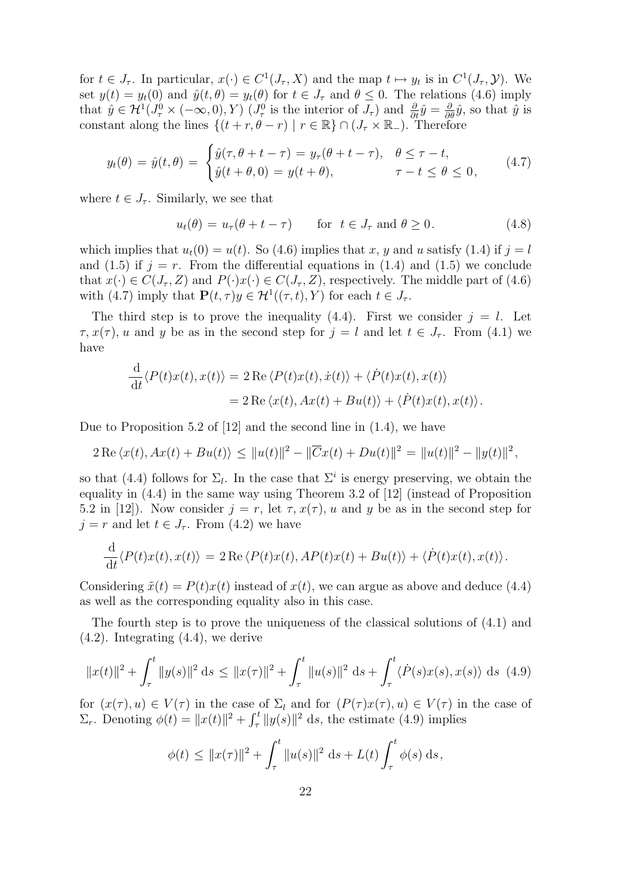for  $t \in J_{\tau}$ . In particular,  $x(\cdot) \in C^{1}(J_{\tau}, X)$  and the map  $t \mapsto y_{t}$  is in  $C^{1}(J_{\tau}, Y)$ . We set  $y(t) = y_t(0)$  and  $\hat{y}(t, \theta) = y_t(\theta)$  for  $t \in J_\tau$  and  $\theta \leq 0$ . The relations (4.6) imply that  $\hat{y} \in \mathcal{H}^1(J_\tau^0 \times (-\infty, 0), Y)$   $(J_\tau^0$  is the interior of  $J_\tau$ ) and  $\frac{\partial}{\partial t} \hat{y} = \frac{\partial}{\partial \theta} \hat{y}$ , so that  $\hat{y}$  is constant along the lines  $\{(t + r, \theta - r) \mid r \in \mathbb{R}\}\cap (J_{\tau}\times\mathbb{R}_{-})$ . Therefore

$$
y_t(\theta) = \hat{y}(t, \theta) = \begin{cases} \hat{y}(\tau, \theta + t - \tau) = y_\tau(\theta + t - \tau), & \theta \le \tau - t, \\ \hat{y}(t + \theta, 0) = y(t + \theta), & \tau - t \le \theta \le 0, \end{cases}
$$
(4.7)

where  $t \in J_{\tau}$ . Similarly, we see that

$$
u_t(\theta) = u_\tau(\theta + t - \tau) \quad \text{for } t \in J_\tau \text{ and } \theta \ge 0.
$$
 (4.8)

which implies that  $u_t(0) = u(t)$ . So (4.6) implies that x, y and u satisfy (1.4) if  $j = l$ and (1.5) if  $j = r$ . From the differential equations in (1.4) and (1.5) we conclude that  $x(\cdot) \in C(J_\tau, Z)$  and  $P(\cdot)x(\cdot) \in C(J_\tau, Z)$ , respectively. The middle part of (4.6) with (4.7) imply that  $\mathbf{P}(t, \tau)y \in \mathcal{H}^1((\tau, t), Y)$  for each  $t \in J_{\tau}$ .

The third step is to prove the inequality (4.4). First we consider  $j = l$ . Let  $\tau$ ,  $x(\tau)$ , u and y be as in the second step for  $j = l$  and let  $t \in J_{\tau}$ . From (4.1) we have

$$
\frac{\mathrm{d}}{\mathrm{d}t} \langle P(t)x(t), x(t) \rangle = 2 \operatorname{Re} \langle P(t)x(t), \dot{x}(t) \rangle + \langle \dot{P}(t)x(t), x(t) \rangle
$$
  
= 2 \operatorname{Re} \langle x(t), Ax(t) + Bu(t) \rangle + \langle \dot{P}(t)x(t), x(t) \rangle.

Due to Proposition 5.2 of [12] and the second line in (1.4), we have

$$
2 \operatorname{Re} \langle x(t), Ax(t) + Bu(t) \rangle \le ||u(t)||^2 - ||\overline{C}x(t) + Du(t)||^2 = ||u(t)||^2 - ||y(t)||^2,
$$

so that (4.4) follows for  $\Sigma_l$ . In the case that  $\Sigma^i$  is energy preserving, we obtain the equality in (4.4) in the same way using Theorem 3.2 of [12] (instead of Proposition 5.2 in [12]). Now consider  $j = r$ , let  $\tau$ ,  $x(\tau)$ , u and y be as in the second step for  $j = r$  and let  $t \in J_{\tau}$ . From (4.2) we have

$$
\frac{\mathrm{d}}{\mathrm{d}t} \langle P(t)x(t), x(t) \rangle = 2 \operatorname{Re} \langle P(t)x(t), AP(t)x(t) + Bu(t) \rangle + \langle \dot{P}(t)x(t), x(t) \rangle.
$$

Considering  $\tilde{x}(t) = P(t)x(t)$  instead of  $x(t)$ , we can argue as above and deduce (4.4) as well as the corresponding equality also in this case.

The fourth step is to prove the uniqueness of the classical solutions of (4.1) and (4.2). Integrating (4.4), we derive

$$
||x(t)||^{2} + \int_{\tau}^{t} ||y(s)||^{2} ds \le ||x(\tau)||^{2} + \int_{\tau}^{t} ||u(s)||^{2} ds + \int_{\tau}^{t} \langle \dot{P}(s)x(s), x(s) \rangle ds
$$
 (4.9)

for  $(x(\tau), u) \in V(\tau)$  in the case of  $\Sigma_l$  and for  $(P(\tau)x(\tau), u) \in V(\tau)$  in the case of  $\Sigma_r$ . Denoting  $\phi(t) = ||x(t)||^2 + \int_{\tau}^{t} ||y(s)||^2 ds$ , the estimate (4.9) implies

$$
\phi(t) \le ||x(\tau)||^2 + \int_{\tau}^t ||u(s)||^2 \, \mathrm{d}s + L(t) \int_{\tau}^t \phi(s) \, \mathrm{d}s,
$$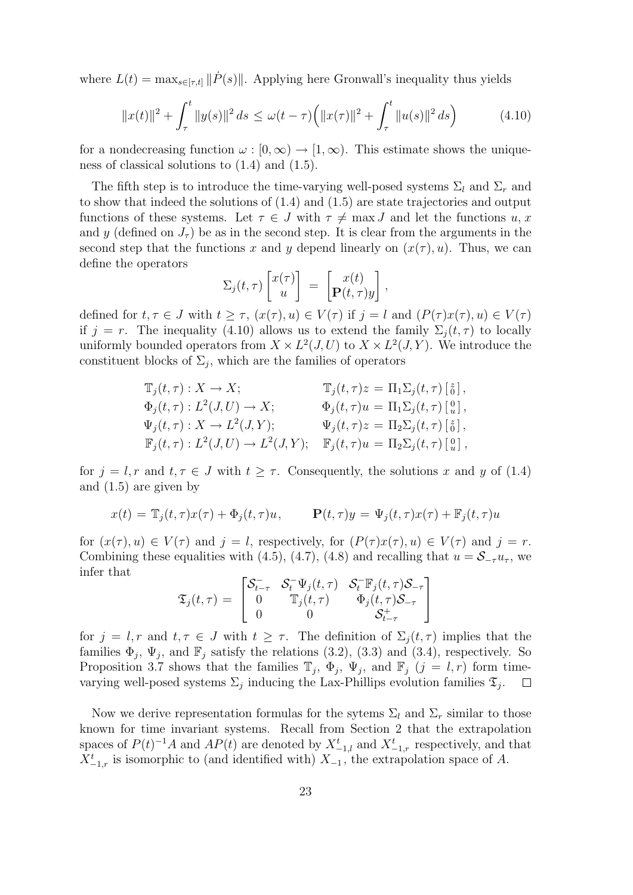where  $L(t) = \max_{s \in [\tau, t]} || \dot{P}(s) ||$ . Applying here Gronwall's inequality thus yields

$$
||x(t)||^2 + \int_{\tau}^t ||y(s)||^2 ds \le \omega(t-\tau) \left( ||x(\tau)||^2 + \int_{\tau}^t ||u(s)||^2 ds \right) \tag{4.10}
$$

for a nondecreasing function  $\omega : [0, \infty) \to [1, \infty)$ . This estimate shows the uniqueness of classical solutions to (1.4) and (1.5).

The fifth step is to introduce the time-varying well-posed systems  $\Sigma_l$  and  $\Sigma_r$  and to show that indeed the solutions of (1.4) and (1.5) are state trajectories and output functions of these systems. Let  $\tau \in J$  with  $\tau \neq \max J$  and let the functions  $u, x$ and y (defined on  $J_{\tau}$ ) be as in the second step. It is clear from the arguments in the second step that the functions x and y depend linearly on  $(x(\tau), u)$ . Thus, we can define the operators

$$
\Sigma_j(t,\tau)\begin{bmatrix}x(\tau)\\u\end{bmatrix} = \begin{bmatrix}x(t)\\ \mathbf{P}(t,\tau)y\end{bmatrix},\,
$$

defined for  $t, \tau \in J$  with  $t \geq \tau$ ,  $(x(\tau), u) \in V(\tau)$  if  $j = l$  and  $(P(\tau)x(\tau), u) \in V(\tau)$ if  $j = r$ . The inequality (4.10) allows us to extend the family  $\Sigma_i(t, \tau)$  to locally uniformly bounded operators from  $X \times L^2(J, U)$  to  $X \times L^2(J, Y)$ . We introduce the constituent blocks of  $\Sigma_j$ , which are the families of operators

$$
\label{eq:11} \begin{array}{ll} \mathbb{T}_j(t,\tau): X \to X; & \mathbb{T}_j(t,\tau)z = \Pi_1 \Sigma_j(t,\tau) \left[ \begin{smallmatrix} z \\ 0 \end{smallmatrix} \right],\\ \Phi_j(t,\tau): L^2(J,U) \to X; & \Phi_j(t,\tau)u = \Pi_1 \Sigma_j(t,\tau) \left[ \begin{smallmatrix} 0 \\ u \end{smallmatrix} \right],\\ \Psi_j(t,\tau): X \to L^2(J,Y); & \Psi_j(t,\tau)z = \Pi_2 \Sigma_j(t,\tau) \left[ \begin{smallmatrix} z \\ 0 \end{smallmatrix} \right],\\ \mathbb{F}_j(t,\tau): L^2(J,U) \to L^2(J,Y); & \mathbb{F}_j(t,\tau)u = \Pi_2 \Sigma_j(t,\tau) \left[ \begin{smallmatrix} 0 \\ u \end{smallmatrix} \right], \end{array}
$$

for  $j = l, r$  and  $t, \tau \in J$  with  $t \geq \tau$ . Consequently, the solutions x and y of (1.4) and (1.5) are given by

$$
x(t) = \mathbb{T}_j(t, \tau) x(\tau) + \Phi_j(t, \tau) u, \qquad \mathbf{P}(t, \tau) y = \Psi_j(t, \tau) x(\tau) + \mathbb{F}_j(t, \tau) u
$$

for  $(x(\tau), u) \in V(\tau)$  and  $i = l$ , respectively, for  $(P(\tau)x(\tau), u) \in V(\tau)$  and  $i = r$ . Combining these equalities with (4.5), (4.7), (4.8) and recalling that  $u = S_{-\tau}u_{\tau}$ , we infer that

$$
\mathfrak{T}_j(t,\tau) = \begin{bmatrix} \mathcal{S}_{t-\tau}^- & \mathcal{S}_t^- \Psi_j(t,\tau) & \mathcal{S}_t^- \mathbb{F}_j(t,\tau) \mathcal{S}_{-\tau} \\ 0 & \mathbb{T}_j(t,\tau) & \Phi_j(t,\tau) \mathcal{S}_{-\tau} \\ 0 & 0 & \mathcal{S}_{t-\tau}^+ \end{bmatrix}
$$

for  $j = l, r$  and  $t, \tau \in J$  with  $t \geq \tau$ . The definition of  $\Sigma_j(t, \tau)$  implies that the families  $\Phi_j$ ,  $\Psi_j$ , and  $\mathbb{F}_j$  satisfy the relations (3.2), (3.3) and (3.4), respectively. So Proposition 3.7 shows that the families  $\mathbb{T}_j$ ,  $\Phi_j$ ,  $\Psi_j$ , and  $\mathbb{F}_j$   $(j = l, r)$  form timevarying well-posed systems  $\Sigma_j$  inducing the Lax-Phillips evolution families  $\mathfrak{T}_j$ .  $\Box$ 

Now we derive representation formulas for the sytems  $\Sigma_l$  and  $\Sigma_r$  similar to those known for time invariant systems. Recall from Section 2 that the extrapolation spaces of  $P(t)^{-1}A$  and  $AP(t)$  are denoted by  $X_{-1,l}^t$  and  $X_{-1,r}^t$  respectively, and that  $X_{-1,r}^t$  is isomorphic to (and identified with)  $X_{-1}$ , the extrapolation space of A.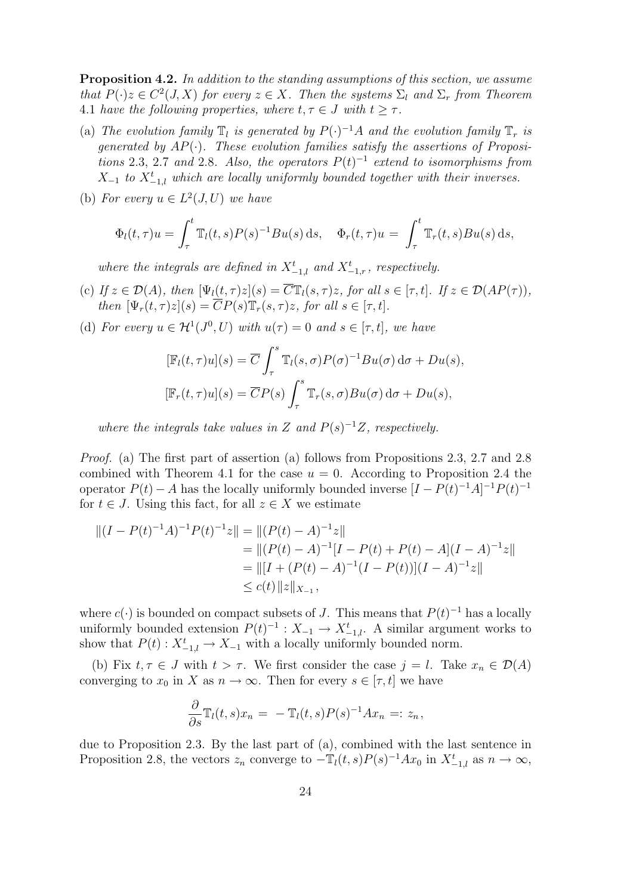Proposition 4.2. In addition to the standing assumptions of this section, we assume that  $P(\cdot)z \in C^2(J,X)$  for every  $z \in X$ . Then the systems  $\Sigma_l$  and  $\Sigma_r$  from Theorem 4.1 have the following properties, where  $t, \tau \in J$  with  $t \geq \tau$ .

- (a) The evolution family  $\mathbb{T}_l$  is generated by  $P(\cdot)^{-1}A$  and the evolution family  $\mathbb{T}_r$  is generated by  $AP(\cdot)$ . These evolution families satisfy the assertions of Propositions 2.3, 2.7 and 2.8. Also, the operators  $P(t)^{-1}$  extend to isomorphisms from  $X_{-1}$  to  $X_{-1,l}^t$  which are locally uniformly bounded together with their inverses.
- (b) For every  $u \in L^2(J, U)$  we have

$$
\Phi_l(t,\tau)u = \int_{\tau}^t \mathbb{T}_l(t,s)P(s)^{-1}Bu(s) ds, \quad \Phi_r(t,\tau)u = \int_{\tau}^t \mathbb{T}_r(t,s)Bu(s) ds,
$$

where the integrals are defined in  $X_{-1,l}^t$  and  $X_{-1,r}^t$ , respectively.

- (c) If  $z \in \mathcal{D}(A)$ , then  $[\Psi_l(t, \tau)z](s) = \overline{C} \mathbb{T}_l(s, \tau)z$ , for all  $s \in [\tau, t]$ . If  $z \in \mathcal{D}(AP(\tau))$ , then  $[\Psi_r(t,\tau)z](s) = \overline{C}P(s)\mathbb{T}_r(s,\tau)z$ , for all  $s \in [\tau,t]$ .
- (d) For every  $u \in H^1(J^0, U)$  with  $u(\tau) = 0$  and  $s \in [\tau, t]$ , we have

$$
[\mathbb{F}_l(t,\tau)u](s) = \overline{C} \int_{\tau}^s \mathbb{T}_l(s,\sigma) P(\sigma)^{-1} Bu(\sigma) d\sigma + Du(s),
$$
  

$$
[\mathbb{F}_r(t,\tau)u](s) = \overline{C}P(s) \int_{\tau}^s \mathbb{T}_r(s,\sigma) Bu(\sigma) d\sigma + Du(s),
$$

where the integrals take values in Z and  $P(s)^{-1}Z$ , respectively.

Proof. (a) The first part of assertion (a) follows from Propositions 2.3, 2.7 and 2.8 combined with Theorem 4.1 for the case  $u = 0$ . According to Proposition 2.4 the operator  $P(t) - A$  has the locally uniformly bounded inverse  $[I - P(t)^{-1}A]^{-1}P(t)^{-1}$ for  $t \in J$ . Using this fact, for all  $z \in X$  we estimate

$$
||(I - P(t)^{-1}A)^{-1}P(t)^{-1}z|| = ||(P(t) - A)^{-1}z||
$$
  
\n
$$
= ||(P(t) - A)^{-1}[I - P(t) + P(t) - A](I - A)^{-1}z||
$$
  
\n
$$
= ||[I + (P(t) - A)^{-1}(I - P(t))](I - A)^{-1}z||
$$
  
\n
$$
\le c(t) ||z||_{X_{-1}},
$$

where  $c(\cdot)$  is bounded on compact subsets of J. This means that  $P(t)^{-1}$  has a locally uniformly bounded extension  $P(t)^{-1}: X_{-1} \to X_{-1,l}^t$ . A similar argument works to show that  $P(t)$ :  $X_{-1,l}^t \to X_{-1}$  with a locally uniformly bounded norm.

(b) Fix  $t, \tau \in J$  with  $t > \tau$ . We first consider the case  $j = l$ . Take  $x_n \in \mathcal{D}(A)$ converging to  $x_0$  in X as  $n \to \infty$ . Then for every  $s \in [\tau, t]$  we have

$$
\frac{\partial}{\partial s}\mathbb{T}_l(t,s)x_n = -\mathbb{T}_l(t,s)P(s)^{-1}Ax_n =: z_n,
$$

due to Proposition 2.3. By the last part of (a), combined with the last sentence in Proposition 2.8, the vectors  $z_n$  converge to  $-\mathbb{T}_l(t,s)P(s)^{-1}Ax_0$  in  $X^t_{-1,l}$  as  $n \to \infty$ ,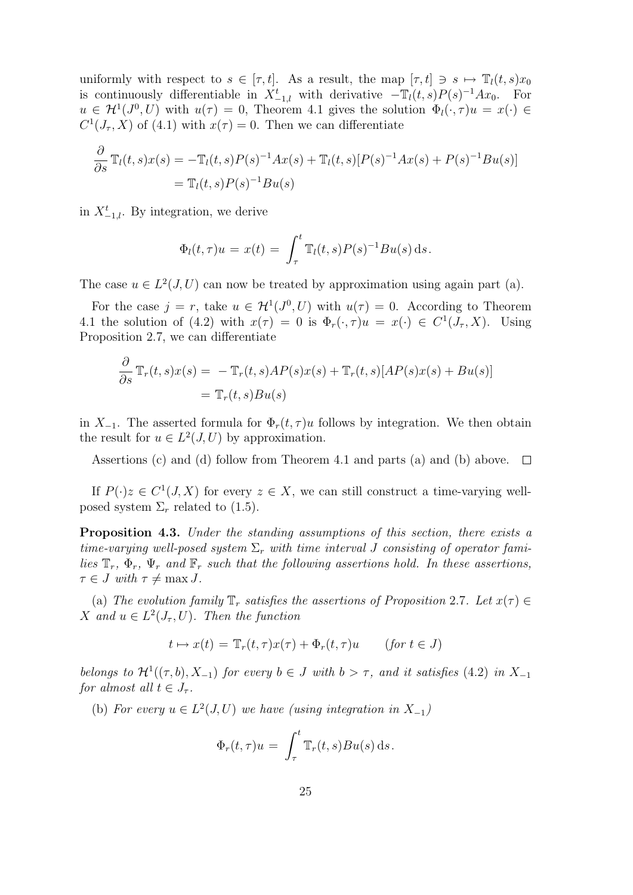uniformly with respect to  $s \in [\tau, t]$ . As a result, the map  $[\tau, t] \ni s \mapsto \mathbb{T}_l(t, s)x_0$ is continuously differentiable in  $X_{-1,l}^t$  with derivative  $-\mathbb{T}_l(t,s)P(s)^{-1}Ax_0$ . For  $u \in H^1(J^0, U)$  with  $u(\tau) = 0$ , Theorem 4.1 gives the solution  $\Phi_i(\cdot, \tau)u = x(\cdot) \in$  $C^1(J_\tau, X)$  of (4.1) with  $x(\tau) = 0$ . Then we can differentiate

$$
\frac{\partial}{\partial s} \mathbb{T}_l(t, s) x(s) = -\mathbb{T}_l(t, s) P(s)^{-1} A x(s) + \mathbb{T}_l(t, s) [P(s)^{-1} A x(s) + P(s)^{-1} B u(s)] \n= \mathbb{T}_l(t, s) P(s)^{-1} B u(s)
$$

in  $X_{-1,l}^t$ . By integration, we derive

$$
\Phi_l(t,\tau)u = x(t) = \int_{\tau}^t \mathbb{T}_l(t,s)P(s)^{-1}Bu(s) ds.
$$

The case  $u \in L^2(J, U)$  can now be treated by approximation using again part (a).

For the case  $j = r$ , take  $u \in H^1(J^0, U)$  with  $u(\tau) = 0$ . According to Theorem 4.1 the solution of (4.2) with  $x(\tau) = 0$  is  $\Phi_r(\cdot, \tau)u = x(\cdot) \in C^1(J_\tau, X)$ . Using Proposition 2.7, we can differentiate

$$
\frac{\partial}{\partial s} \mathbb{T}_r(t,s)x(s) = -\mathbb{T}_r(t,s)AP(s)x(s) + \mathbb{T}_r(t,s)[AP(s)x(s) + Bu(s)]
$$
  
=  $\mathbb{T}_r(t,s)Bu(s)$ 

in  $X_{-1}$ . The asserted formula for  $\Phi_r(t,\tau)u$  follows by integration. We then obtain the result for  $u \in L^2(J, U)$  by approximation.

Assertions (c) and (d) follow from Theorem 4.1 and parts (a) and (b) above.  $\square$ 

If  $P(\cdot)z \in C^1(J,X)$  for every  $z \in X$ , we can still construct a time-varying wellposed system  $\Sigma_r$  related to (1.5).

Proposition 4.3. Under the standing assumptions of this section, there exists a time-varying well-posed system  $\Sigma_r$  with time interval J consisting of operator families  $\mathbb{T}_r$ ,  $\Phi_r$ ,  $\Psi_r$  and  $\mathbb{F}_r$  such that the following assertions hold. In these assertions,  $\tau \in J$  with  $\tau \neq \max J$ .

(a) The evolution family  $\mathbb{T}_r$  satisfies the assertions of Proposition 2.7. Let  $x(\tau) \in$ X and  $u \in L^2(J_\tau, U)$ . Then the function

$$
t \mapsto x(t) = \mathbb{T}_r(t, \tau)x(\tau) + \Phi_r(t, \tau)u \qquad (for \ t \in J)
$$

belongs to  $\mathcal{H}^1((\tau,b),X_{-1})$  for every  $b \in J$  with  $b > \tau$ , and it satisfies (4.2) in  $X_{-1}$ for almost all  $t \in J_{\tau}$ .

(b) For every  $u \in L^2(J, U)$  we have (using integration in  $X_{-1}$ )

$$
\Phi_r(t,\tau)u = \int_{\tau}^t \mathbb{T}_r(t,s)Bu(s) ds.
$$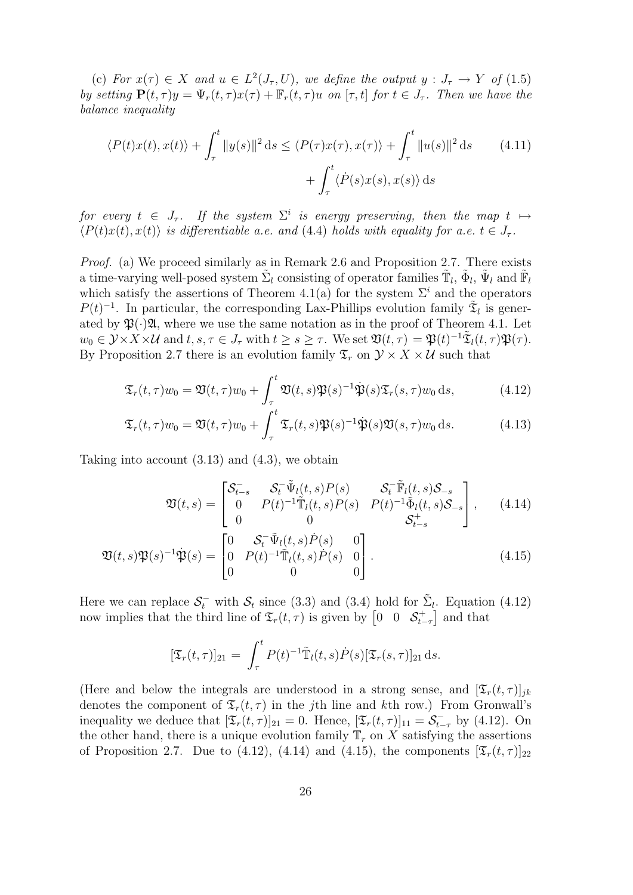(c) For  $x(\tau) \in X$  and  $u \in L^2(J_\tau, U)$ , we define the output  $y : J_\tau \to Y$  of (1.5) by setting  $P(t, \tau)y = \Psi_r(t, \tau)x(\tau) + \mathbb{F}_r(t, \tau)u$  on  $[\tau, t]$  for  $t \in J_{\tau}$ . Then we have the balance inequality

$$
\langle P(t)x(t), x(t) \rangle + \int_{\tau}^{t} \|y(s)\|^2 ds \le \langle P(\tau)x(\tau), x(\tau) \rangle + \int_{\tau}^{t} \|u(s)\|^2 ds \qquad (4.11)
$$

$$
+ \int_{\tau}^{t} \langle \dot{P}(s)x(s), x(s) \rangle ds
$$

for every  $t \in J_{\tau}$ . If the system  $\Sigma^{i}$  is energy preserving, then the map  $t \mapsto$  $\langle P(t)x(t), x(t) \rangle$  is differentiable a.e. and (4.4) holds with equality for a.e.  $t \in J_{\tau}$ .

Proof. (a) We proceed similarly as in Remark 2.6 and Proposition 2.7. There exists a time-varying well-posed system  $\tilde{\Sigma}_l$  consisting of operator families  $\tilde{\mathbb{T}}_l$ ,  $\tilde{\Phi}_l$ ,  $\tilde{\Psi}_l$  and  $\tilde{\mathbb{F}}_l$ which satisfy the assertions of Theorem 4.1(a) for the system  $\Sigma^i$  and the operators  $P(t)^{-1}$ . In particular, the corresponding Lax-Phillips evolution family  $\tilde{\mathfrak{T}}_l$  is generated by  $\mathfrak{P}(\cdot)\mathfrak{A}$ , where we use the same notation as in the proof of Theorem 4.1. Let  $w_0 \in \mathcal{Y} \times X \times \mathcal{U}$  and  $t, s, \tau \in J_\tau$  with  $t \geq s \geq \tau$ . We set  $\mathfrak{V}(t, \tau) = \mathfrak{P}(t)^{-1} \tilde{\mathfrak{X}}_l(t, \tau) \mathfrak{P}(\tau)$ . By Proposition 2.7 there is an evolution family  $\mathfrak{T}_r$  on  $\mathcal{Y} \times X \times \mathcal{U}$  such that

$$
\mathfrak{T}_r(t,\tau)w_0 = \mathfrak{V}(t,\tau)w_0 + \int_{\tau_1}^t \mathfrak{V}(t,s)\mathfrak{P}(s)^{-1}\dot{\mathfrak{P}}(s)\mathfrak{T}_r(s,\tau)w_0 ds, \tag{4.12}
$$

$$
\mathfrak{T}_r(t,\tau)w_0 = \mathfrak{V}(t,\tau)w_0 + \int_{\tau}^t \mathfrak{T}_r(t,s)\mathfrak{P}(s)^{-1}\dot{\mathfrak{P}}(s)\mathfrak{V}(s,\tau)w_0 ds.
$$
 (4.13)

Taking into account  $(3.13)$  and  $(4.3)$ , we obtain

$$
\mathfrak{V}(t,s) = \begin{bmatrix} \mathcal{S}_{t-s}^{-} & \mathcal{S}_t^{-} \tilde{\Psi}_l(t,s) P(s) & \mathcal{S}_t^{-} \tilde{\mathbb{F}}_l(t,s) \mathcal{S}_{-s} \\ 0 & P(t)^{-1} \tilde{\mathbb{T}}_l(t,s) P(s) & P(t)^{-1} \tilde{\Phi}_l(t,s) \mathcal{S}_{-s} \\ 0 & 0 & \mathcal{S}_{t-s}^{+} \end{bmatrix}, \qquad (4.14)
$$

$$
\mathfrak{V}(t,s)\mathfrak{P}(s)^{-1}\dot{\mathfrak{P}}(s) = \begin{bmatrix} 0 & \mathcal{S}_t^{-} \tilde{\Psi}_l(t,s)\dot{P}(s) & 0\\ 0 & P(t)^{-1} \tilde{\mathbb{T}}_l(t,s)\dot{P}(s) & 0\\ 0 & 0 & 0 \end{bmatrix}.
$$
\n(4.15)

Here we can replace  $S_t^-$  with  $S_t$  since (3.3) and (3.4) hold for  $\tilde{\Sigma}_l$ . Equation (4.12) now implies that the third line of  $\mathfrak{T}_r(t,\tau)$  is given by  $\begin{bmatrix} 0 & 0 & \mathcal{S}_{t-\tau}^+ \end{bmatrix}$  and that

$$
[\mathfrak{T}_r(t,\tau)]_{21} = \int_{\tau}^t P(t)^{-1} \tilde{\mathbb{T}}_l(t,s) \dot{P}(s) [\mathfrak{T}_r(s,\tau)]_{21} ds.
$$

(Here and below the integrals are understood in a strong sense, and  $[\mathfrak{T}_r(t,\tau)]_{ik}$ denotes the component of  $\mathfrak{T}_r(t,\tau)$  in the jth line and kth row.) From Gronwall's inequality we deduce that  $[\mathfrak{T}_r(t,\tau)]_{21} = 0$ . Hence,  $[\mathfrak{T}_r(t,\tau)]_{11} = \mathcal{S}_{t-\tau}^-$  by (4.12). On the other hand, there is a unique evolution family  $\mathbb{T}_r$  on X satisfying the assertions of Proposition 2.7. Due to (4.12), (4.14) and (4.15), the components  $[\mathfrak{T}_r(t,\tau)]_{22}$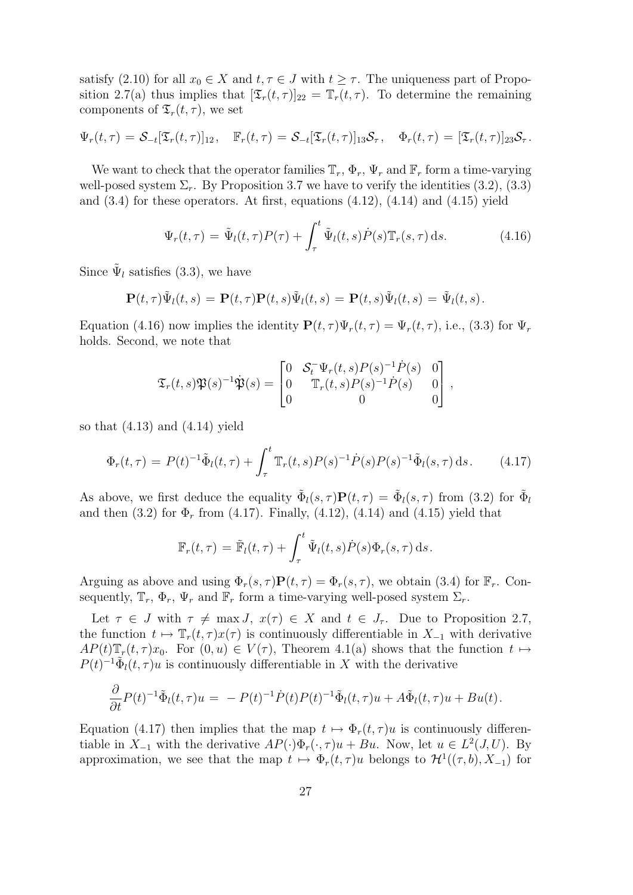satisfy (2.10) for all  $x_0 \in X$  and  $t, \tau \in J$  with  $t \geq \tau$ . The uniqueness part of Proposition 2.7(a) thus implies that  $[\mathfrak{T}_r(t,\tau)]_{22} = \mathfrak{T}_r(t,\tau)$ . To determine the remaining components of  $\mathfrak{T}_r(t,\tau)$ , we set

$$
\Psi_r(t,\tau) = \mathcal{S}_{-t}[\mathfrak{T}_r(t,\tau)]_{12}, \quad \mathbb{F}_r(t,\tau) = \mathcal{S}_{-t}[\mathfrak{T}_r(t,\tau)]_{13}\mathcal{S}_{\tau}, \quad \Phi_r(t,\tau) = [\mathfrak{T}_r(t,\tau)]_{23}\mathcal{S}_{\tau}.
$$

We want to check that the operator families  $\mathbb{T}_r$ ,  $\Phi_r$ ,  $\Psi_r$  and  $\mathbb{F}_r$  form a time-varying well-posed system  $\Sigma_r$ . By Proposition 3.7 we have to verify the identities (3.2), (3.3) and  $(3.4)$  for these operators. At first, equations  $(4.12)$ ,  $(4.14)$  and  $(4.15)$  yield

$$
\Psi_r(t,\tau) = \tilde{\Psi}_l(t,\tau)P(\tau) + \int_{\tau}^t \tilde{\Psi}_l(t,s)\dot{P}(s)\mathbb{T}_r(s,\tau)\,\mathrm{d}s.
$$
 (4.16)

Since  $\tilde{\Psi}_l$  satisfies (3.3), we have

$$
\mathbf{P}(t,\tau)\tilde{\Psi}_l(t,s) = \mathbf{P}(t,\tau)\mathbf{P}(t,s)\tilde{\Psi}_l(t,s) = \mathbf{P}(t,s)\tilde{\Psi}_l(t,s) = \tilde{\Psi}_l(t,s).
$$

Equation (4.16) now implies the identity  $\mathbf{P}(t, \tau)\Psi_r(t, \tau) = \Psi_r(t, \tau)$ , i.e., (3.3) for  $\Psi_r$ holds. Second, we note that

$$
\mathfrak{T}_r(t,s)\mathfrak{P}(s)^{-1}\dot{\mathfrak{P}}(s) = \begin{bmatrix} 0 & \mathcal{S}_t^{-}\Psi_r(t,s)P(s)^{-1}\dot{P}(s) & 0\\ 0 & \mathbb{T}_r(t,s)P(s)^{-1}\dot{P}(s) & 0\\ 0 & 0 & 0 \end{bmatrix},
$$

so that  $(4.13)$  and  $(4.14)$  yield

$$
\Phi_r(t,\tau) = P(t)^{-1} \tilde{\Phi}_l(t,\tau) + \int_{\tau}^t \mathbb{T}_r(t,s) P(s)^{-1} \dot{P}(s) P(s)^{-1} \tilde{\Phi}_l(s,\tau) \, \mathrm{d}s. \tag{4.17}
$$

As above, we first deduce the equality  $\tilde{\Phi}_l(s,\tau)P(t,\tau) = \tilde{\Phi}_l(s,\tau)$  from (3.2) for  $\tilde{\Phi}_l$ and then  $(3.2)$  for  $\Phi_r$  from  $(4.17)$ . Finally,  $(4.12)$ ,  $(4.14)$  and  $(4.15)$  yield that

$$
\mathbb{F}_r(t,\tau) = \tilde{\mathbb{F}}_l(t,\tau) + \int_{\tau}^t \tilde{\Psi}_l(t,s) \dot{P}(s) \Phi_r(s,\tau) \,ds.
$$

Arguing as above and using  $\Phi_r(s,\tau)P(t,\tau) = \Phi_r(s,\tau)$ , we obtain (3.4) for  $\mathbb{F}_r$ . Consequently,  $\mathbb{T}_r$ ,  $\Phi_r$ ,  $\Psi_r$  and  $\mathbb{F}_r$  form a time-varying well-posed system  $\Sigma_r$ .

Let  $\tau \in J$  with  $\tau \neq \max J$ ,  $x(\tau) \in X$  and  $t \in J_{\tau}$ . Due to Proposition 2.7, the function  $t \mapsto \mathbb{T}_r(t, \tau) x(\tau)$  is continuously differentiable in  $X_{-1}$  with derivative  $AP(t)\mathbb{T}_r(t,\tau)x_0$ . For  $(0,u) \in V(\tau)$ , Theorem 4.1(a) shows that the function  $t \mapsto$  $P(t)^{-1} \tilde{\Phi}_l(t, \tau) u$  is continuously differentiable in X with the derivative

$$
\frac{\partial}{\partial t}P(t)^{-1}\tilde{\Phi}_l(t,\tau)u = -P(t)^{-1}\dot{P}(t)P(t)^{-1}\tilde{\Phi}_l(t,\tau)u + A\tilde{\Phi}_l(t,\tau)u + Bu(t).
$$

Equation (4.17) then implies that the map  $t \mapsto \Phi_r(t, \tau)u$  is continuously differentiable in  $X_{-1}$  with the derivative  $AP(\cdot)\Phi_r(\cdot, \tau)u + Bu$ . Now, let  $u \in L^2(J, U)$ . By approximation, we see that the map  $t \mapsto \Phi_r(t, \tau)u$  belongs to  $\mathcal{H}^1((\tau, b), X_{-1})$  for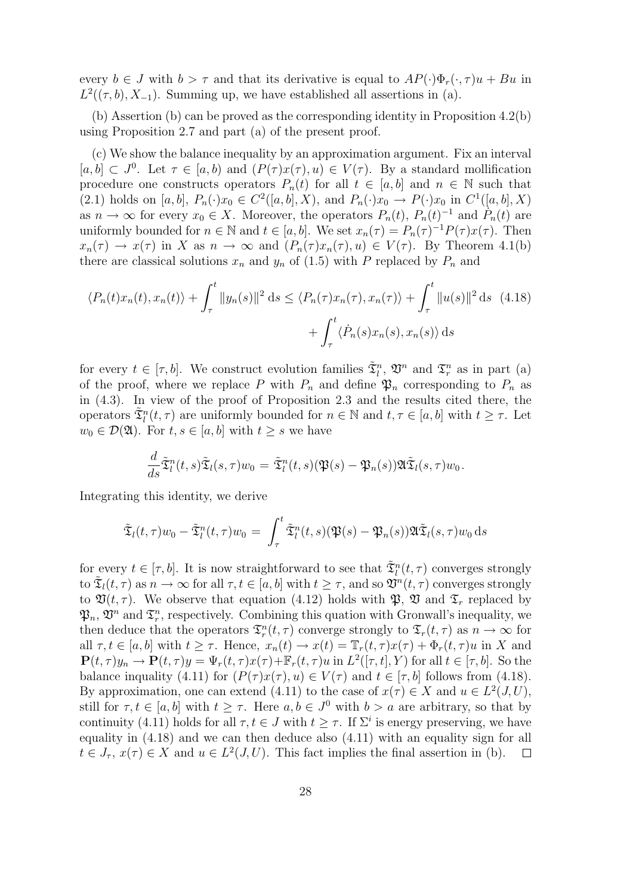every  $b \in J$  with  $b > \tau$  and that its derivative is equal to  $AP(\cdot)\Phi_r(\cdot, \tau)u + Bu$  in  $L^2((\tau, b), X_{-1})$ . Summing up, we have established all assertions in (a).

(b) Assertion (b) can be proved as the corresponding identity in Proposition 4.2(b) using Proposition 2.7 and part (a) of the present proof.

(c) We show the balance inequality by an approximation argument. Fix an interval  $[a, b] \subset J^0$ . Let  $\tau \in [a, b]$  and  $(P(\tau)x(\tau), u) \in V(\tau)$ . By a standard mollification procedure one constructs operators  $P_n(t)$  for all  $t \in [a, b]$  and  $n \in \mathbb{N}$  such that (2.1) holds on [a, b],  $P_n(\cdot)x_0 \in C^2([a, b], X)$ , and  $P_n(\cdot)x_0 \to P(\cdot)x_0$  in  $C^1([a, b], X)$ as  $n \to \infty$  for every  $x_0 \in X$ . Moreover, the operators  $P_n(t)$ ,  $P_n(t)^{-1}$  and  $P_n(t)$  are uniformly bounded for  $n \in \mathbb{N}$  and  $t \in [a, b]$ . We set  $x_n(\tau) = P_n(\tau)^{-1} P(\tau) x(\tau)$ . Then  $x_n(\tau) \to x(\tau)$  in X as  $n \to \infty$  and  $(P_n(\tau)x_n(\tau), u) \in V(\tau)$ . By Theorem 4.1(b) there are classical solutions  $x_n$  and  $y_n$  of (1.5) with P replaced by  $P_n$  and

$$
\langle P_n(t)x_n(t), x_n(t) \rangle + \int_{\tau}^t \|y_n(s)\|^2 ds \le \langle P_n(\tau)x_n(\tau), x_n(\tau) \rangle + \int_{\tau}^t \|u(s)\|^2 ds \quad (4.18)
$$

$$
+ \int_{\tau}^t \langle \dot{P}_n(s)x_n(s), x_n(s) \rangle ds
$$

for every  $t \in [\tau, b]$ . We construct evolution families  $\tilde{\mathfrak{T}}_l^n$ ,  $\mathfrak{V}^n$  and  $\mathfrak{T}_r^n$  as in part (a) of the proof, where we replace P with  $P_n$  and define  $\mathfrak{P}_n$  corresponding to  $P_n$  as in (4.3). In view of the proof of Proposition 2.3 and the results cited there, the operators  $\tilde{\mathfrak{T}}_l^n(t,\tau)$  are uniformly bounded for  $n \in \mathbb{N}$  and  $t, \tau \in [a,b]$  with  $t \geq \tau$ . Let  $w_0 \in \mathcal{D}(\mathfrak{A})$ . For  $t, s \in [a, b]$  with  $t \geq s$  we have

$$
\frac{d}{ds}\tilde{\mathfrak{T}}_l^n(t,s)\tilde{\mathfrak{T}}_l(s,\tau)w_0=\tilde{\mathfrak{T}}_l^n(t,s)(\mathfrak{P}(s)-\mathfrak{P}_n(s))\mathfrak{A}\tilde{\mathfrak{T}}_l(s,\tau)w_0.
$$

Integrating this identity, we derive

$$
\tilde{\mathfrak{T}}_l(t,\tau)w_0 - \tilde{\mathfrak{T}}_l^n(t,\tau)w_0 = \int_{\tau}^t \tilde{\mathfrak{T}}_l^n(t,s)(\mathfrak{P}(s) - \mathfrak{P}_n(s))\mathfrak{A}\tilde{\mathfrak{T}}_l(s,\tau)w_0 ds
$$

for every  $t \in [\tau, b]$ . It is now straightforward to see that  $\tilde{\mathfrak{T}}_l^n(t, \tau)$  converges strongly to  $\tilde{\mathfrak{T}}_l(t,\tau)$  as  $n \to \infty$  for all  $\tau, t \in [a,b]$  with  $t \geq \tau$ , and so  $\mathfrak{V}^n(t,\tau)$  converges strongly to  $\mathfrak{V}(t, \tau)$ . We observe that equation (4.12) holds with  $\mathfrak{P}, \mathfrak{V}$  and  $\mathfrak{T}_r$  replaced by  $\mathfrak{P}_n$ ,  $\mathfrak{V}^n$  and  $\mathfrak{T}^n_r$ , respectively. Combining this quation with Gronwall's inequality, we then deduce that the operators  $\mathfrak{T}_r^n(t,\tau)$  converge strongly to  $\mathfrak{T}_r(t,\tau)$  as  $n \to \infty$  for all  $\tau, t \in [a, b]$  with  $t \geq \tau$ . Hence,  $x_n(t) \to x(t) = \mathbb{T}_r(t, \tau)x(\tau) + \Phi_r(t, \tau)u$  in X and  $\mathbf{P}(t,\tau)y_n \to \mathbf{P}(t,\tau)y = \Psi_r(t,\tau)x(\tau) + \mathbb{F}_r(t,\tau)u$  in  $L^2([\tau,t],Y)$  for all  $t \in [\tau,b]$ . So the balance inquality (4.11) for  $(P(\tau)x(\tau), u) \in V(\tau)$  and  $t \in [\tau, b]$  follows from (4.18). By approximation, one can extend (4.11) to the case of  $x(\tau) \in X$  and  $u \in L^2(J, U)$ , still for  $\tau, t \in [a, b]$  with  $t \geq \tau$ . Here  $a, b \in J^0$  with  $b > a$  are arbitrary, so that by continuity (4.11) holds for all  $\tau, t \in J$  with  $t \geq \tau$ . If  $\Sigma^{i}$  is energy preserving, we have equality in (4.18) and we can then deduce also (4.11) with an equality sign for all  $t \in J_{\tau}$ ,  $x(\tau) \in X$  and  $u \in L^2(J, U)$ . This fact implies the final assertion in (b).  $\Box$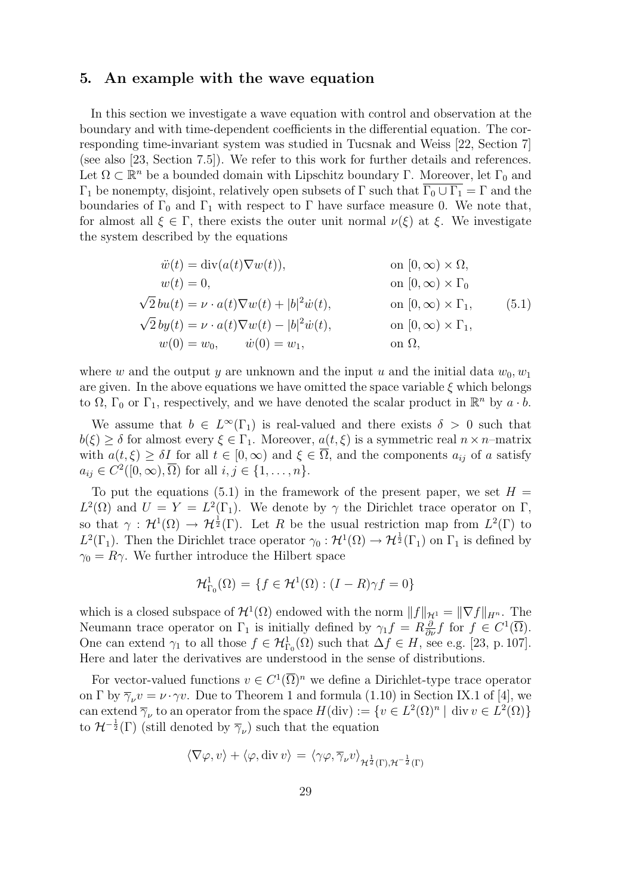#### 5. An example with the wave equation

In this section we investigate a wave equation with control and observation at the boundary and with time-dependent coefficients in the differential equation. The corresponding time-invariant system was studied in Tucsnak and Weiss [22, Section 7] (see also [23, Section 7.5]). We refer to this work for further details and references. Let  $\Omega \subset \mathbb{R}^n$  be a bounded domain with Lipschitz boundary  $\Gamma$ . Moreover, let  $\Gamma_0$  and  $\Gamma_1$  be nonempty, disjoint, relatively open subsets of  $\Gamma$  such that  $\overline{\Gamma_0 \cup \Gamma_1} = \Gamma$  and the boundaries of  $\Gamma_0$  and  $\Gamma_1$  with respect to  $\Gamma$  have surface measure 0. We note that, for almost all  $\xi \in \Gamma$ , there exists the outer unit normal  $\nu(\xi)$  at  $\xi$ . We investigate the system described by the equations

$$
\begin{aligned}\n\ddot{w}(t) &= \text{div}(a(t)\nabla w(t)), & \text{on } [0, \infty) \times \Omega, \\
w(t) &= 0, & \text{on } [0, \infty) \times \Gamma_0 \\
\sqrt{2}bu(t) &= \nu \cdot a(t)\nabla w(t) + |b|^2 \dot{w}(t), & \text{on } [0, \infty) \times \Gamma_1, \\
\sqrt{2}by(t) &= \nu \cdot a(t)\nabla w(t) - |b|^2 \dot{w}(t), & \text{on } [0, \infty) \times \Gamma_1, \\
w(0) &= w_0, & \dot{w}(0) &= w_1, & \text{on } \Omega,\n\end{aligned}\n\tag{5.1}
$$

where w and the output y are unknown and the input u and the initial data  $w_0, w_1$ are given. In the above equations we have omitted the space variable  $\xi$  which belongs to  $\overline{\Omega}$ ,  $\Gamma_0$  or  $\Gamma_1$ , respectively, and we have denoted the scalar product in  $\mathbb{R}^n$  by  $a \cdot b$ .

We assume that  $b \in L^{\infty}(\Gamma_1)$  is real-valued and there exists  $\delta > 0$  such that  $b(\xi) \geq \delta$  for almost every  $\xi \in \Gamma_1$ . Moreover,  $a(t, \xi)$  is a symmetric real  $n \times n$ -matrix with  $a(t,\xi) \geq \delta I$  for all  $t \in [0,\infty)$  and  $\xi \in \overline{\Omega}$ , and the components  $a_{ij}$  of a satisfy  $a_{ij} \in C^2([0,\infty),\overline{\Omega})$  for all  $i, j \in \{1,\ldots,n\}.$ 

To put the equations (5.1) in the framework of the present paper, we set  $H =$  $L^2(\Omega)$  and  $U = Y = L^2(\Gamma_1)$ . We denote by  $\gamma$  the Dirichlet trace operator on  $\Gamma$ , so that  $\gamma: \mathcal{H}^1(\Omega) \to \mathcal{H}^{\frac{1}{2}}(\Gamma)$ . Let R be the usual restriction map from  $L^2(\Gamma)$  to  $L^2(\Gamma_1)$ . Then the Dirichlet trace operator  $\gamma_0: \mathcal{H}^1(\Omega) \to \mathcal{H}^{\frac{1}{2}}(\Gamma_1)$  on  $\Gamma_1$  is defined by  $\gamma_0 = R\gamma$ . We further introduce the Hilbert space

$$
\mathcal{H}^1_{\Gamma_0}(\Omega) = \{ f \in \mathcal{H}^1(\Omega) : (I - R)\gamma f = 0 \}
$$

which is a closed subspace of  $\mathcal{H}^1(\Omega)$  endowed with the norm  $||f||_{\mathcal{H}^1} = ||\nabla f||_{H^n}$ . The Neumann trace operator on  $\Gamma_1$  is initially defined by  $\gamma_1 f = R \frac{\partial}{\partial \nu} f$  for  $f \in C^1(\overline{\Omega})$ . One can extend  $\gamma_1$  to all those  $f \in \mathcal{H}^1_{\Gamma_0}(\Omega)$  such that  $\Delta f \in H$ , see e.g. [23, p. 107]. Here and later the derivatives are understood in the sense of distributions.

For vector-valued functions  $v \in C^1(\overline{\Omega})^n$  we define a Dirichlet-type trace operator on Γ by  $\overline{\gamma}_{\nu}v = \nu \cdot \gamma v$ . Due to Theorem 1 and formula (1.10) in Section IX.1 of [4], we can extend  $\overline{\gamma}_{\nu}$  to an operator from the space  $H(\text{div}) := \{v \in L^2(\Omega)^n | \text{div } v \in L^2(\Omega) \}$ to  $\mathcal{H}^{-\frac{1}{2}}(\Gamma)$  (still denoted by  $\overline{\gamma}_{\nu}$ ) such that the equation

$$
\langle \nabla \varphi, v \rangle + \langle \varphi, \text{div } v \rangle = \langle \gamma \varphi, \overline{\gamma}_{\nu} v \rangle_{\mathcal{H}^{\frac{1}{2}}(\Gamma), \mathcal{H}^{-\frac{1}{2}}(\Gamma)}
$$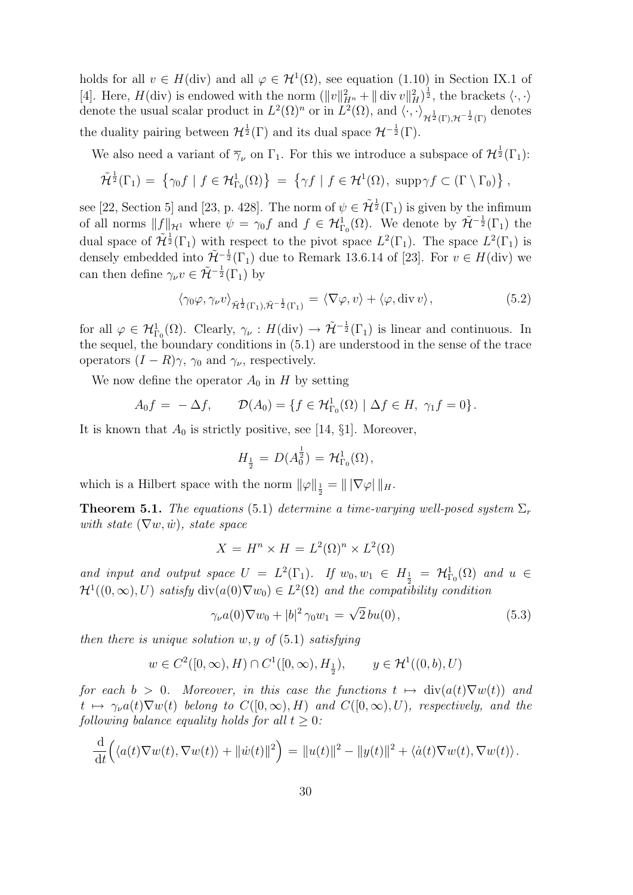holds for all  $v \in H(\text{div})$  and all  $\varphi \in H^1(\Omega)$ , see equation (1.10) in Section IX.1 of [4]. Here,  $H(\text{div})$  is endowed with the norm  $(\|v\|_{H^n}^2 + \|\text{div } v\|_H^2)^{\frac{1}{2}}$ , the brackets  $\langle \cdot, \cdot \rangle$ denote the usual scalar product in  $L^2(\Omega)^n$  or in  $L^2(\Omega)$ , and  $\langle \cdot, \cdot \rangle_{\mathcal{H}^{\frac{1}{2}}(\Gamma), \mathcal{H}^{-\frac{1}{2}}(\Gamma)}$  denotes the duality pairing between  $\mathcal{H}^{\frac{1}{2}}(\Gamma)$  and its dual space  $\mathcal{H}^{-\frac{1}{2}}(\Gamma)$ .

We also need a variant of  $\overline{\gamma}_{\nu}$  on  $\Gamma_1$ . For this we introduce a subspace of  $\mathcal{H}^{\frac{1}{2}}(\Gamma_1)$ :

$$
\tilde{\mathcal{H}}^{\frac{1}{2}}(\Gamma_1) = \left\{ \gamma_0 f \mid f \in \mathcal{H}^1_{\Gamma_0}(\Omega) \right\} = \left\{ \gamma f \mid f \in \mathcal{H}^1(\Omega), \ \operatorname{supp} \gamma f \subset (\Gamma \setminus \Gamma_0) \right\},
$$

see [22, Section 5] and [23, p. 428]. The norm of  $\psi \in \tilde{\mathcal{H}}^{\frac{1}{2}}(\Gamma_1)$  is given by the infimum of all norms  $||f||_{\mathcal{H}^1}$  where  $\psi = \gamma_0 f$  and  $f \in \mathcal{H}_{\Gamma_0}^1(\Omega)$ . We denote by  $\tilde{\mathcal{H}}^{-\frac{1}{2}}(\Gamma_1)$  the dual space of  $\tilde{\mathcal{H}}^{\frac{1}{2}}(\Gamma_1)$  with respect to the pivot space  $L^2(\Gamma_1)$ . The space  $L^2(\Gamma_1)$  is densely embedded into  $\tilde{\mathcal{H}}^{-\frac{1}{2}}(\Gamma_1)$  due to Remark 13.6.14 of [23]. For  $v \in H(\text{div})$  we can then define  $\gamma_{\nu}v \in \tilde{\mathcal{H}}^{-\frac{1}{2}}(\Gamma_1)$  by

$$
\langle \gamma_0 \varphi, \gamma_\nu v \rangle_{\tilde{\mathcal{H}}^{\frac{1}{2}}(\Gamma_1), \tilde{\mathcal{H}}^{-\frac{1}{2}}(\Gamma_1)} = \langle \nabla \varphi, v \rangle + \langle \varphi, \text{div } v \rangle, \tag{5.2}
$$

for all  $\varphi \in \mathcal{H}_{\Gamma_0}^1(\Omega)$ . Clearly,  $\gamma_{\nu}: H(\text{div}) \to \tilde{\mathcal{H}}^{-\frac{1}{2}}(\Gamma_1)$  is linear and continuous. In the sequel, the boundary conditions in (5.1) are understood in the sense of the trace operators  $(I - R)\gamma$ ,  $\gamma_0$  and  $\gamma_{\nu}$ , respectively.

We now define the operator  $A_0$  in H by setting

$$
A_0f = -\Delta f, \qquad \mathcal{D}(A_0) = \{ f \in \mathcal{H}^1_{\Gamma_0}(\Omega) \mid \Delta f \in H, \ \gamma_1 f = 0 \}.
$$

It is known that  $A_0$  is strictly positive, see [14, §1]. Moreover,

$$
H_{\frac{1}{2}} = D(A_0^{\frac{1}{2}}) = \mathcal{H}_{\Gamma_0}^1(\Omega),
$$

which is a Hilbert space with the norm  $\|\varphi\|_{\frac{1}{2}} = \| |\nabla \varphi| \|_{H}$ .

**Theorem 5.1.** The equations (5.1) determine a time-varying well-posed system  $\Sigma_r$ with state  $(\nabla w, \dot{w})$ , state space

$$
X = H^n \times H = L^2(\Omega)^n \times L^2(\Omega)
$$

and input and output space  $U = L^2(\Gamma_1)$ . If  $w_0, w_1 \in H_{\frac{1}{2}} = H_{\Gamma_0}^1(\Omega)$  and  $u \in$  $\mathcal{H}^1((0,\infty),U)$  satisfy  $\text{div}(a(0)\nabla w_0) \in L^2(\Omega)$  and the compatibility condition

$$
\gamma_{\nu}a(0)\nabla w_0 + |b|^2 \gamma_0 w_1 = \sqrt{2}bu(0), \qquad (5.3)
$$

then there is unique solution  $w, y$  of  $(5.1)$  satisfying

$$
w \in C^2([0,\infty),H) \cap C^1([0,\infty),H_{\frac{1}{2}}), \qquad y \in \mathcal{H}^1((0,b),U)
$$

for each  $b > 0$ . Moreover, in this case the functions  $t \mapsto \text{div}(a(t)\nabla w(t))$  and  $t \mapsto \gamma_{\nu}a(t)\nabla w(t)$  belong to  $C([0,\infty), H)$  and  $C([0,\infty), U)$ , respectively, and the following balance equality holds for all  $t \geq 0$ :

$$
\frac{\mathrm{d}}{\mathrm{d}t}\Big(\langle a(t)\nabla w(t),\nabla w(t)\rangle+\|\dot{w}(t)\|^2\Big)=\|u(t)\|^2-\|y(t)\|^2+\langle\dot{a}(t)\nabla w(t),\nabla w(t)\rangle.
$$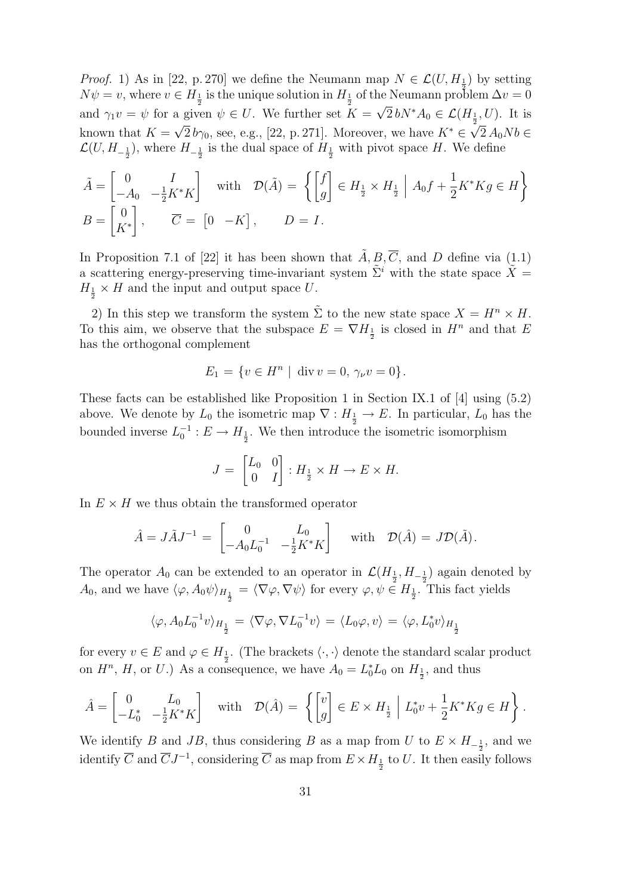*Proof.* 1) As in [22, p. 270] we define the Neumann map  $N \in \mathcal{L}(U, H_{\frac{1}{2}})$  by setting  $N\psi = v$ , where  $v \in H_{\frac{1}{2}}$  is the unique solution in  $H_{\frac{1}{2}}$  of the Neumann problem  $\Delta v = 0$ and  $\gamma_1 v = \psi$  for a given  $\psi \in U$ . We further set  $K = \sqrt{2} b N^* A_0 \in \mathcal{L}(H_{\frac{1}{2}}, U)$ . It is known that  $K = \sqrt{2} b\gamma_0$ , see, e.g., [22, p. 271]. Moreover, we have  $K^* \in \sqrt{2} A_0 N b \in$  $\mathcal{L}(U, H_{-\frac{1}{2}})$ , where  $H_{-\frac{1}{2}}$  is the dual space of  $H_{\frac{1}{2}}$  with pivot space H. We define

$$
\tilde{A} = \begin{bmatrix} 0 & I \\ -A_0 & -\frac{1}{2}K^*K \end{bmatrix} \quad \text{with} \quad \mathcal{D}(\tilde{A}) = \left\{ \begin{bmatrix} f \\ g \end{bmatrix} \in H_{\frac{1}{2}} \times H_{\frac{1}{2}} \middle| A_0 f + \frac{1}{2}K^*Kg \in H \right\}
$$
\n
$$
B = \begin{bmatrix} 0 \\ K^* \end{bmatrix}, \qquad \overline{C} = \begin{bmatrix} 0 & -K \end{bmatrix}, \qquad D = I.
$$

In Proposition 7.1 of [22] it has been shown that  $\tilde{A}, B, \overline{C}$ , and D define via (1.1) a scattering energy-preserving time-invariant system  $\tilde{\Sigma}^i$  with the state space  $\tilde{X}$  =  $H_{\frac{1}{2}} \times H$  and the input and output space U.

2) In this step we transform the system  $\Sigma$  to the new state space  $X = H^n \times H$ . To this aim, we observe that the subspace  $E = \nabla H_{\frac{1}{2}}$  is closed in  $H^n$  and that E has the orthogonal complement

$$
E_1 = \{ v \in H^n \mid \text{div } v = 0, \, \gamma_\nu v = 0 \}.
$$

These facts can be established like Proposition 1 in Section IX.1 of [4] using (5.2) above. We denote by  $L_0$  the isometric map  $\nabla: H_{\frac{1}{2}} \to E$ . In particular,  $L_0$  has the bounded inverse  $L_0^{-1}: E \to H_{\frac{1}{2}}$ . We then introduce the isometric isomorphism

$$
J = \begin{bmatrix} L_0 & 0 \\ 0 & I \end{bmatrix} : H_{\frac{1}{2}} \times H \to E \times H.
$$

In  $E \times H$  we thus obtain the transformed operator

$$
\hat{A} = J\tilde{A}J^{-1} = \begin{bmatrix} 0 & L_0 \\ -A_0L_0^{-1} & -\frac{1}{2}K^*K \end{bmatrix} \text{ with } \mathcal{D}(\hat{A}) = J\mathcal{D}(\tilde{A}).
$$

The operator  $A_0$  can be extended to an operator in  $\mathcal{L}(H_{\frac{1}{2}}, H_{-\frac{1}{2}})$  again denoted by  $A_0$ , and we have  $\langle \varphi, A_0 \psi \rangle_{H_{\frac{1}{2}}} = \langle \nabla \varphi, \nabla \psi \rangle$  for every  $\varphi, \psi \in H_{\frac{1}{2}}$ . This fact yields

$$
\langle \varphi, A_0 L_0^{-1} v \rangle_{H_{\frac{1}{2}}} = \langle \nabla \varphi, \nabla L_0^{-1} v \rangle = \langle L_0 \varphi, v \rangle = \langle \varphi, L_0^* v \rangle_{H_{\frac{1}{2}}}
$$

for every  $v \in E$  and  $\varphi \in H_{\frac{1}{2}}$ . (The brackets  $\langle \cdot, \cdot \rangle$  denote the standard scalar product on  $H^n$ , H, or U.) As a consequence, we have  $A_0 = L_0^* L_0$  on  $H_{\frac{1}{2}}$ , and thus

$$
\hat{A} = \begin{bmatrix} 0 & L_0 \\ -L_0^* & -\frac{1}{2}K^*K \end{bmatrix} \quad \text{with} \quad \mathcal{D}(\hat{A}) = \left\{ \begin{bmatrix} v \\ g \end{bmatrix} \in E \times H_{\frac{1}{2}} \middle| L_0^* v + \frac{1}{2}K^* K g \in H \right\}.
$$

We identify B and JB, thus considering B as a map from U to  $E \times H_{-\frac{1}{2}}$ , and we identify  $\overline{C}$  and  $\overline{C}J^{-1}$ , considering  $\overline{C}$  as map from  $E \times H_{\frac{1}{2}}$  to  $U$ . It then easily follows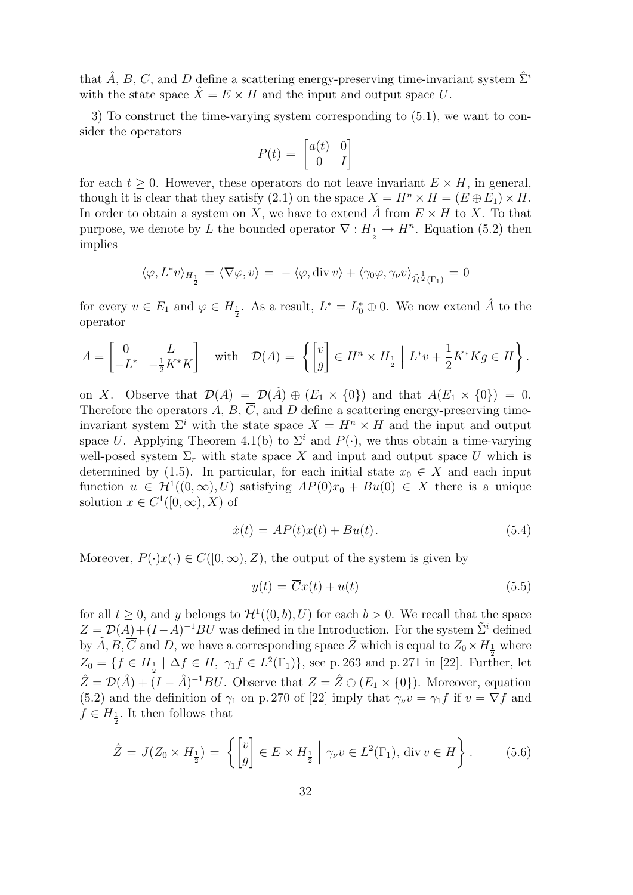that  $\hat{A}$ ,  $B$ ,  $\overline{C}$ , and  $D$  define a scattering energy-preserving time-invariant system  $\hat{\Sigma}^i$ with the state space  $\hat{X} = E \times H$  and the input and output space U.

3) To construct the time-varying system corresponding to (5.1), we want to consider the operators

$$
P(t) = \begin{bmatrix} a(t) & 0 \\ 0 & I \end{bmatrix}
$$

for each  $t > 0$ . However, these operators do not leave invariant  $E \times H$ , in general, though it is clear that they satisfy (2.1) on the space  $X = H<sup>n</sup> \times H = (E \oplus E<sub>1</sub>) \times H$ . In order to obtain a system on X, we have to extend  $\ddot{A}$  from  $E \times H$  to X. To that purpose, we denote by L the bounded operator  $\nabla: H_{\frac{1}{2}} \to H^n$ . Equation (5.2) then implies

$$
\langle \varphi, L^* v \rangle_{H_{\frac{1}{2}}} = \langle \nabla \varphi, v \rangle = - \langle \varphi, \operatorname{div} v \rangle + \langle \gamma_0 \varphi, \gamma_\nu v \rangle_{\tilde{\mathcal{H}}^{\frac{1}{2}}(\Gamma_1)} = 0
$$

for every  $v \in E_1$  and  $\varphi \in H_{\frac{1}{2}}$ . As a result,  $L^* = L_0^* \oplus 0$ . We now extend  $\hat{A}$  to the operator

$$
A = \begin{bmatrix} 0 & L \\ -L^* & -\frac{1}{2}K^*K \end{bmatrix} \quad \text{with} \quad \mathcal{D}(A) = \left\{ \begin{bmatrix} v \\ g \end{bmatrix} \in H^n \times H_{\frac{1}{2}} \middle| L^*v + \frac{1}{2}K^*Kg \in H \right\}.
$$

on X. Observe that  $\mathcal{D}(A) = \mathcal{D}(\hat{A}) \oplus (E_1 \times \{0\})$  and that  $A(E_1 \times \{0\}) = 0$ . Therefore the operators A, B,  $\overline{C}$ , and D define a scattering energy-preserving timeinvariant system  $\Sigma^i$  with the state space  $X = H^n \times H$  and the input and output space U. Applying Theorem 4.1(b) to  $\Sigma^i$  and  $P(\cdot)$ , we thus obtain a time-varying well-posed system  $\Sigma_r$  with state space X and input and output space U which is determined by (1.5). In particular, for each initial state  $x_0 \in X$  and each input function  $u \in H^1((0,\infty),U)$  satisfying  $AP(0)x_0 + Bu(0) \in X$  there is a unique solution  $x \in C^1([0,\infty),X)$  of

$$
\dot{x}(t) = AP(t)x(t) + Bu(t). \tag{5.4}
$$

Moreover,  $P(\cdot)x(\cdot) \in C([0,\infty), Z)$ , the output of the system is given by

$$
y(t) = \overline{C}x(t) + u(t)
$$
\n(5.5)

for all  $t \geq 0$ , and y belongs to  $\mathcal{H}^1((0, b), U)$  for each  $b > 0$ . We recall that the space  $Z = \mathcal{D}(A) + (I - A)^{-1}BU$  was defined in the Introduction. For the system  $\tilde{\Sigma}^i$  defined by  $\tilde{A}, \tilde{B}, \tilde{C}$  and D, we have a corresponding space  $\tilde{Z}$  which is equal to  $Z_0 \times H_{\frac{1}{2}}$  where  $Z_0 = \{ f \in H_{\frac{1}{2}} \mid \Delta f \in H, \ \gamma_1 f \in L^2(\Gamma_1) \},$  see p. 263 and p. 271 in [22]. Further, let  $\hat{Z} = \mathcal{D}(\hat{A}) + (I - \hat{A})^{-1}BU$ . Observe that  $Z = \hat{Z} \oplus (E_1 \times \{0\})$ . Moreover, equation (5.2) and the definition of  $\gamma_1$  on p. 270 of [22] imply that  $\gamma_\nu v = \gamma_1 f$  if  $v = \nabla f$  and  $f \in H_{\frac{1}{2}}$ . It then follows that

$$
\hat{Z} = J(Z_0 \times H_{\frac{1}{2}}) = \left\{ \begin{bmatrix} v \\ g \end{bmatrix} \in E \times H_{\frac{1}{2}} \middle| \gamma_\nu v \in L^2(\Gamma_1), \text{ div } v \in H \right\}.
$$
 (5.6)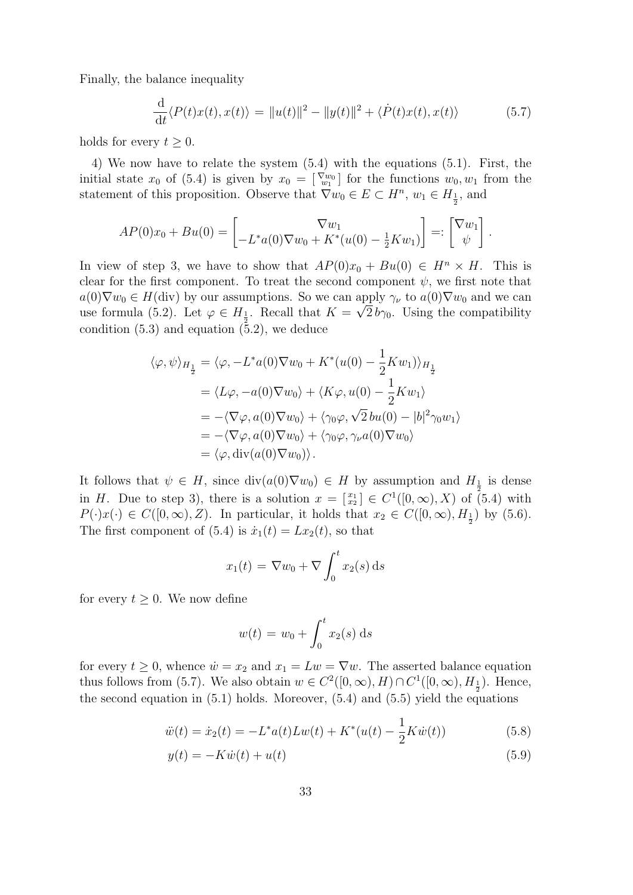Finally, the balance inequality

$$
\frac{\mathrm{d}}{\mathrm{d}t} \langle P(t)x(t), x(t) \rangle = ||u(t)||^2 - ||y(t)||^2 + \langle \dot{P}(t)x(t), x(t) \rangle \tag{5.7}
$$

holds for every  $t \geq 0$ .

4) We now have to relate the system (5.4) with the equations (5.1). First, the initial state  $x_0$  of (5.4) is given by  $x_0 = \begin{bmatrix} \nabla w_0 \\ w_1 \end{bmatrix}$  for the functions  $w_0, w_1$  from the statement of this proposition. Observe that  $\nabla w_0 \in E \subset H^n$ ,  $w_1 \in H_{\frac{1}{2}}$ , and

$$
AP(0)x_0 + Bu(0) = \begin{bmatrix} \nabla w_1 \\ -L^*a(0)\nabla w_0 + K^*(u(0) - \frac{1}{2}Kw_1) \end{bmatrix} =: \begin{bmatrix} \nabla w_1 \\ \psi \end{bmatrix}.
$$

In view of step 3, we have to show that  $AP(0)x_0 + Bu(0) \in H^n \times H$ . This is clear for the first component. To treat the second component  $\psi$ , we first note that  $a(0)\nabla w_0 \in H(\text{div})$  by our assumptions. So we can apply  $\gamma_\nu$  to  $a(0)\nabla w_0$  and we can use formula (5.2). Let  $\varphi \in H_{\frac{1}{2}}$ . Recall that  $K = \sqrt{2} b\gamma_0$ . Using the compatibility condition  $(5.3)$  and equation  $(5.2)$ , we deduce

$$
\langle \varphi, \psi \rangle_{H_{\frac{1}{2}}} = \langle \varphi, -L^* a(0) \nabla w_0 + K^* (u(0) - \frac{1}{2} K w_1) \rangle_{H_{\frac{1}{2}}}
$$
  
\n
$$
= \langle L\varphi, -a(0) \nabla w_0 \rangle + \langle K\varphi, u(0) - \frac{1}{2} K w_1 \rangle
$$
  
\n
$$
= -\langle \nabla \varphi, a(0) \nabla w_0 \rangle + \langle \gamma_0 \varphi, \sqrt{2} bu(0) - |b|^2 \gamma_0 w_1 \rangle
$$
  
\n
$$
= -\langle \nabla \varphi, a(0) \nabla w_0 \rangle + \langle \gamma_0 \varphi, \gamma_\nu a(0) \nabla w_0 \rangle
$$
  
\n
$$
= \langle \varphi, \text{div}(a(0) \nabla w_0) \rangle.
$$

It follows that  $\psi \in H$ , since  $\text{div}(a(0)\nabla w_0) \in H$  by assumption and  $H_{\frac{1}{2}}$  is dense in H. Due to step 3), there is a solution  $x = \begin{bmatrix} x_1 \\ x_2 \end{bmatrix} \in C^1([0,\infty),X)$  of  $(5.4)$  with  $P(\cdot)x(\cdot) \in C([0,\infty),Z)$ . In particular, it holds that  $x_2 \in C([0,\infty), H_{\frac{1}{2}})$  by (5.6). The first component of (5.4) is  $\dot{x}_1(t) = Lx_2(t)$ , so that

$$
x_1(t) = \nabla w_0 + \nabla \int_0^t x_2(s) \, \mathrm{d} s
$$

for every  $t \geq 0$ . We now define

$$
w(t) = w_0 + \int_0^t x_2(s) \, ds
$$

for every  $t \geq 0$ , whence  $\dot{w} = x_2$  and  $x_1 = Lw = \nabla w$ . The asserted balance equation thus follows from (5.7). We also obtain  $w \in C^2([0,\infty), H) \cap C^1([0,\infty), H_1)$ . Hence, the second equation in  $(5.1)$  holds. Moreover,  $(5.4)$  and  $(5.5)$  yield the equations

$$
\ddot{w}(t) = \dot{x}_2(t) = -L^*a(t)Lw(t) + K^*(u(t) - \frac{1}{2}K\dot{w}(t))
$$
\n(5.8)

$$
y(t) = -K\dot{w}(t) + u(t) \tag{5.9}
$$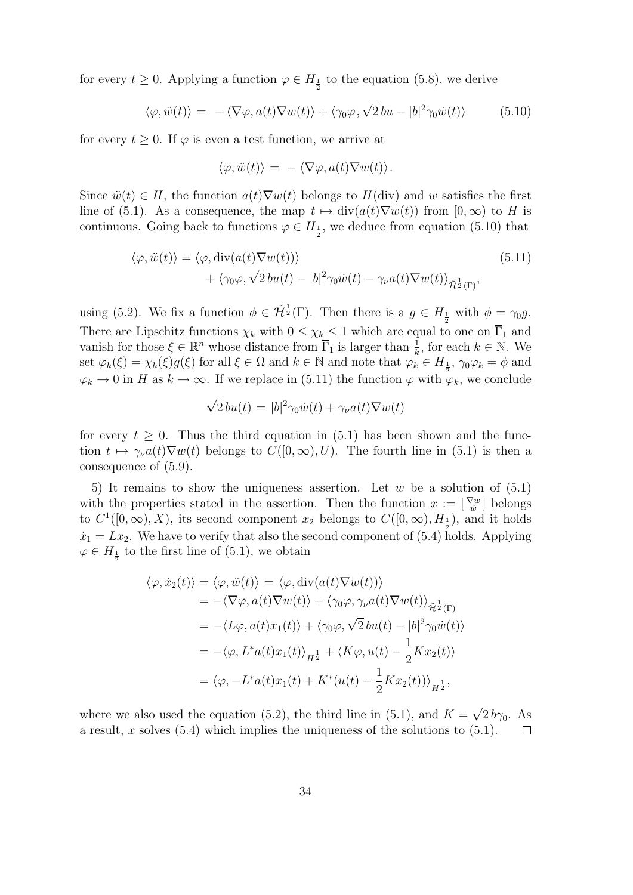for every  $t \geq 0$ . Applying a function  $\varphi \in H_{\frac{1}{2}}$  to the equation (5.8), we derive

$$
\langle \varphi, \ddot{w}(t) \rangle = - \langle \nabla \varphi, a(t) \nabla w(t) \rangle + \langle \gamma_0 \varphi, \sqrt{2} \, bu - |b|^2 \gamma_0 \dot{w}(t) \rangle \tag{5.10}
$$

for every  $t > 0$ . If  $\varphi$  is even a test function, we arrive at

$$
\langle \varphi, \ddot{w}(t) \rangle = - \langle \nabla \varphi, a(t) \nabla w(t) \rangle.
$$

Since  $\ddot{w}(t) \in H$ , the function  $a(t)\nabla w(t)$  belongs to  $H(\text{div})$  and w satisfies the first line of (5.1). As a consequence, the map  $t \mapsto \text{div}(a(t)\nabla w(t))$  from  $[0,\infty)$  to H is continuous. Going back to functions  $\varphi \in H_{\frac{1}{2}}$ , we deduce from equation (5.10) that

$$
\langle \varphi, \ddot{w}(t) \rangle = \langle \varphi, \text{div}(a(t) \nabla w(t)) \rangle + \langle \gamma_0 \varphi, \sqrt{2} \, bu(t) - |b|^2 \gamma_0 \dot{w}(t) - \gamma_\nu a(t) \nabla w(t) \rangle_{\tilde{\mathcal{H}}^{\frac{1}{2}}(\Gamma)},
$$
(5.11)

using (5.2). We fix a function  $\phi \in \tilde{\mathcal{H}}^{\frac{1}{2}}(\Gamma)$ . Then there is a  $g \in H_{\frac{1}{2}}$  with  $\phi = \gamma_0 g$ . There are Lipschitz functions  $\chi_k$  with  $0 \leq \chi_k \leq 1$  which are equal to one on  $\overline{\Gamma}_1$  and vanish for those  $\xi \in \mathbb{R}^n$  whose distance from  $\overline{\Gamma}_1$  is larger than  $\frac{1}{k}$ , for each  $k \in \mathbb{N}$ . We set  $\varphi_k(\xi) = \chi_k(\xi) g(\xi)$  for all  $\xi \in \Omega$  and  $k \in \mathbb{N}$  and note that  $\varphi_k^{\alpha} \in H_{\frac{1}{2}}$ ,  $\gamma_0 \varphi_k = \phi$  and  $\varphi_k \to 0$  in H as  $k \to \infty$ . If we replace in (5.11) the function  $\varphi$  with  $\varphi_k$ , we conclude

$$
\sqrt{2}bu(t) = |b|^2 \gamma_0 \dot{w}(t) + \gamma_\nu a(t) \nabla w(t)
$$

for every  $t \geq 0$ . Thus the third equation in (5.1) has been shown and the function  $t \mapsto \gamma_{\nu}a(t)\nabla w(t)$  belongs to  $C([0,\infty), U)$ . The fourth line in (5.1) is then a consequence of (5.9).

5) It remains to show the uniqueness assertion. Let w be a solution of  $(5.1)$ with the properties stated in the assertion. Then the function  $x := \begin{bmatrix} \nabla w \\ \nabla \end{bmatrix}$  belongs to  $C^1([0,\infty),X)$ , its second component  $x_2$  belongs to  $C([0,\infty),H_{\frac{1}{2}})$ , and it holds  $\dot{x}_1 = Lx_2$ . We have to verify that also the second component of (5.4) holds. Applying  $\varphi \in H_{\frac{1}{2}}$  to the first line of (5.1), we obtain

$$
\langle \varphi, \dot{x}_2(t) \rangle = \langle \varphi, \ddot{w}(t) \rangle = \langle \varphi, \text{div}(a(t) \nabla w(t)) \rangle
$$
  
\n
$$
= -\langle \nabla \varphi, a(t) \nabla w(t) \rangle + \langle \gamma_0 \varphi, \gamma_\nu a(t) \nabla w(t) \rangle_{\tilde{\mathcal{H}}_2^{\frac{1}{2}}(\Gamma)}
$$
  
\n
$$
= -\langle L\varphi, a(t) x_1(t) \rangle + \langle \gamma_0 \varphi, \sqrt{2} \, bu(t) - |b|^2 \gamma_0 \dot{w}(t) \rangle
$$
  
\n
$$
= -\langle \varphi, L^* a(t) x_1(t) \rangle_{H_2^{\frac{1}{2}}} + \langle K\varphi, u(t) - \frac{1}{2} K x_2(t) \rangle
$$
  
\n
$$
= \langle \varphi, -L^* a(t) x_1(t) + K^* (u(t) - \frac{1}{2} K x_2(t)) \rangle_{H_2^{\frac{1}{2}}},
$$

√ where we also used the equation (5.2), the third line in (5.1), and  $K =$  $2b\gamma_0$ . As a result, x solves  $(5.4)$  which implies the uniqueness of the solutions to  $(5.1)$ .  $\Box$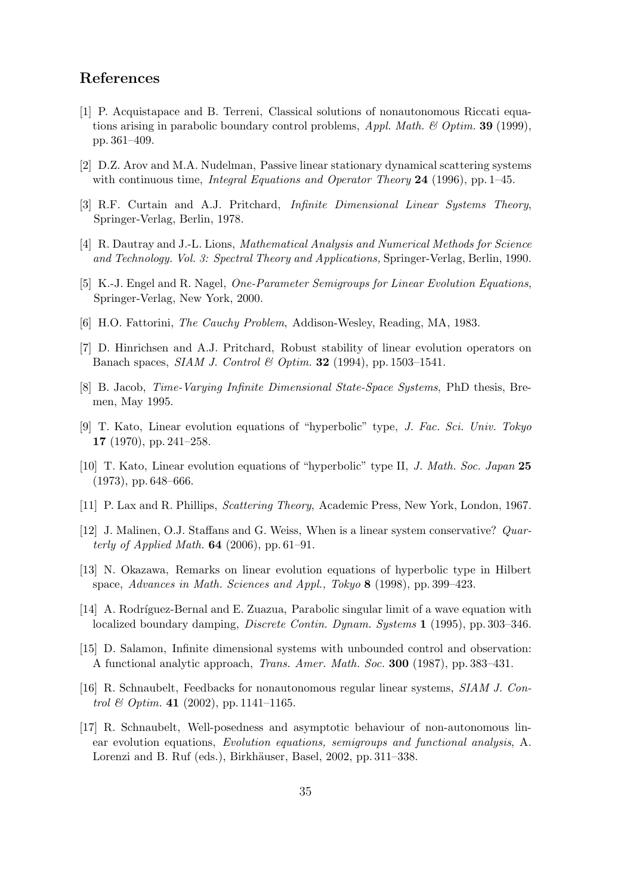#### References

- [1] P. Acquistapace and B. Terreni, Classical solutions of nonautonomous Riccati equations arising in parabolic boundary control problems,  $Appl. Math. \& Optim. 39 (1999),$ pp. 361–409.
- [2] D.Z. Arov and M.A. Nudelman, Passive linear stationary dynamical scattering systems with continuous time, *Integral Equations and Operator Theory* 24 (1996), pp. 1–45.
- [3] R.F. Curtain and A.J. Pritchard, Infinite Dimensional Linear Systems Theory, Springer-Verlag, Berlin, 1978.
- [4] R. Dautray and J.-L. Lions, Mathematical Analysis and Numerical Methods for Science and Technology. Vol. 3: Spectral Theory and Applications, Springer-Verlag, Berlin, 1990.
- [5] K.-J. Engel and R. Nagel, One-Parameter Semigroups for Linear Evolution Equations, Springer-Verlag, New York, 2000.
- [6] H.O. Fattorini, The Cauchy Problem, Addison-Wesley, Reading, MA, 1983.
- [7] D. Hinrichsen and A.J. Pritchard, Robust stability of linear evolution operators on Banach spaces, SIAM J. Control & Optim. 32 (1994), pp. 1503–1541.
- [8] B. Jacob, Time-Varying Infinite Dimensional State-Space Systems, PhD thesis, Bremen, May 1995.
- [9] T. Kato, Linear evolution equations of "hyperbolic" type, J. Fac. Sci. Univ. Tokyo 17 (1970), pp. 241–258.
- [10] T. Kato, Linear evolution equations of "hyperbolic" type II, J. Math. Soc. Japan 25 (1973), pp. 648–666.
- [11] P. Lax and R. Phillips, Scattering Theory, Academic Press, New York, London, 1967.
- [12] J. Malinen, O.J. Staffans and G. Weiss, When is a linear system conservative? Quarterly of Applied Math. **64** (2006), pp. 61–91.
- [13] N. Okazawa, Remarks on linear evolution equations of hyperbolic type in Hilbert space, Advances in Math. Sciences and Appl., Tokyo 8 (1998), pp. 399–423.
- [14] A. Rodríguez-Bernal and E. Zuazua, Parabolic singular limit of a wave equation with localized boundary damping, Discrete Contin. Dynam. Systems 1 (1995), pp. 303–346.
- [15] D. Salamon, Infinite dimensional systems with unbounded control and observation: A functional analytic approach, Trans. Amer. Math. Soc. 300 (1987), pp. 383–431.
- [16] R. Schnaubelt, Feedbacks for nonautonomous regular linear systems, SIAM J. Control & Optim. 41 (2002), pp. 1141-1165.
- [17] R. Schnaubelt, Well-posedness and asymptotic behaviour of non-autonomous linear evolution equations, Evolution equations, semigroups and functional analysis, A. Lorenzi and B. Ruf (eds.), Birkhäuser, Basel, 2002, pp. 311–338.